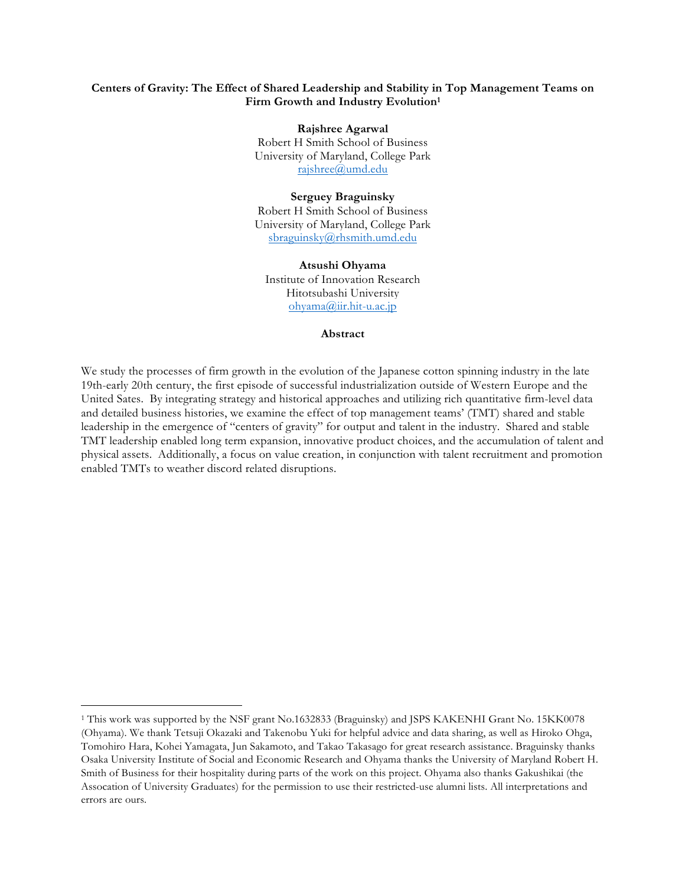## **Centers of Gravity: The Effect of Shared Leadership and Stability in Top Management Teams on** Firm Growth and Industry Evolution<sup>1</sup>

**Rajshree Agarwal** Robert H Smith School of Business University of Maryland, College Park rajshree@umd.edu

## **Serguey Braguinsky**

Robert H Smith School of Business University of Maryland, College Park sbraguinsky@rhsmith.umd.edu

**Atsushi Ohyama** Institute of Innovation Research Hitotsubashi University ohyama@iir.hit-u.ac.jp

#### **Abstract**

We study the processes of firm growth in the evolution of the Japanese cotton spinning industry in the late 19th-early 20th century, the first episode of successful industrialization outside of Western Europe and the United Sates. By integrating strategy and historical approaches and utilizing rich quantitative firm-level data and detailed business histories, we examine the effect of top management teams' (TMT) shared and stable leadership in the emergence of "centers of gravity" for output and talent in the industry. Shared and stable TMT leadership enabled long term expansion, innovative product choices, and the accumulation of talent and physical assets. Additionally, a focus on value creation, in conjunction with talent recruitment and promotion enabled TMTs to weather discord related disruptions.

<sup>&</sup>lt;sup>1</sup> This work was supported by the NSF grant No.1632833 (Braguinsky) and JSPS KAKENHI Grant No. 15KK0078 (Ohyama). We thank Tetsuji Okazaki and Takenobu Yuki for helpful advice and data sharing, as well as Hiroko Ohga, Tomohiro Hara, Kohei Yamagata, Jun Sakamoto, and Takao Takasago for great research assistance. Braguinsky thanks Osaka University Institute of Social and Economic Research and Ohyama thanks the University of Maryland Robert H. Smith of Business for their hospitality during parts of the work on this project. Ohyama also thanks Gakushikai (the Assocation of University Graduates) for the permission to use their restricted-use alumni lists. All interpretations and

errors are ours.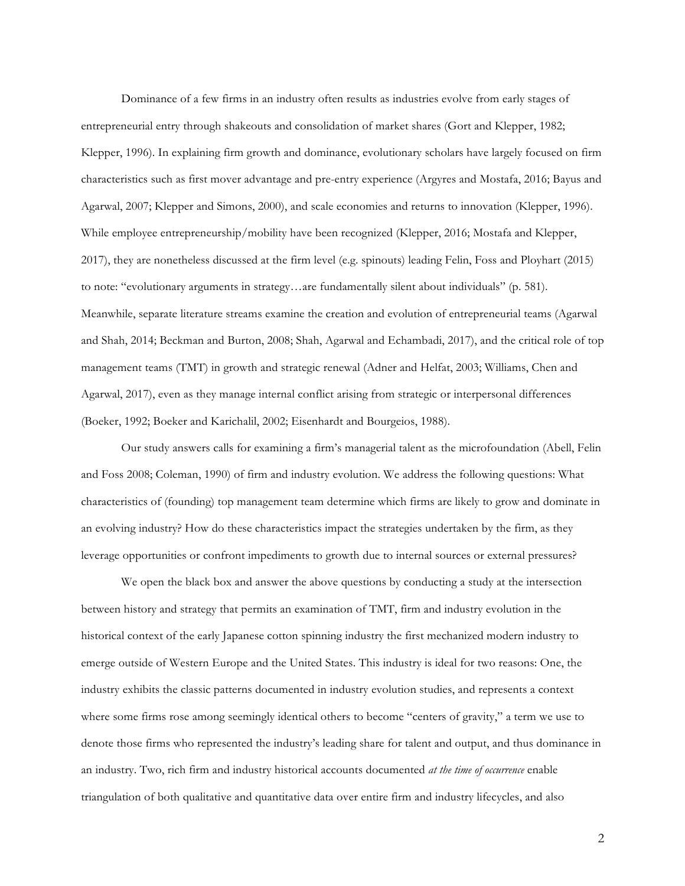Dominance of a few firms in an industry often results as industries evolve from early stages of entrepreneurial entry through shakeouts and consolidation of market shares (Gort and Klepper, 1982; Klepper, 1996). In explaining firm growth and dominance, evolutionary scholars have largely focused on firm characteristics such as first mover advantage and pre-entry experience (Argyres and Mostafa, 2016; Bayus and Agarwal, 2007; Klepper and Simons, 2000), and scale economies and returns to innovation (Klepper, 1996). While employee entrepreneurship/mobility have been recognized (Klepper, 2016; Mostafa and Klepper, 2017), they are nonetheless discussed at the firm level (e.g. spinouts) leading Felin, Foss and Ployhart (2015) to note: "evolutionary arguments in strategy…are fundamentally silent about individuals" (p. 581). Meanwhile, separate literature streams examine the creation and evolution of entrepreneurial teams (Agarwal and Shah, 2014; Beckman and Burton, 2008; Shah, Agarwal and Echambadi, 2017), and the critical role of top management teams (TMT) in growth and strategic renewal (Adner and Helfat, 2003; Williams, Chen and Agarwal, 2017), even as they manage internal conflict arising from strategic or interpersonal differences (Boeker, 1992; Boeker and Karichalil, 2002; Eisenhardt and Bourgeios, 1988).

Our study answers calls for examining a firm's managerial talent as the microfoundation (Abell, Felin and Foss 2008; Coleman, 1990) of firm and industry evolution. We address the following questions: What characteristics of (founding) top management team determine which firms are likely to grow and dominate in an evolving industry? How do these characteristics impact the strategies undertaken by the firm, as they leverage opportunities or confront impediments to growth due to internal sources or external pressures?

We open the black box and answer the above questions by conducting a study at the intersection between history and strategy that permits an examination of TMT, firm and industry evolution in the historical context of the early Japanese cotton spinning industry the first mechanized modern industry to emerge outside of Western Europe and the United States. This industry is ideal for two reasons: One, the industry exhibits the classic patterns documented in industry evolution studies, and represents a context where some firms rose among seemingly identical others to become "centers of gravity," a term we use to denote those firms who represented the industry's leading share for talent and output, and thus dominance in an industry. Two, rich firm and industry historical accounts documented *at the time of occurrence* enable triangulation of both qualitative and quantitative data over entire firm and industry lifecycles, and also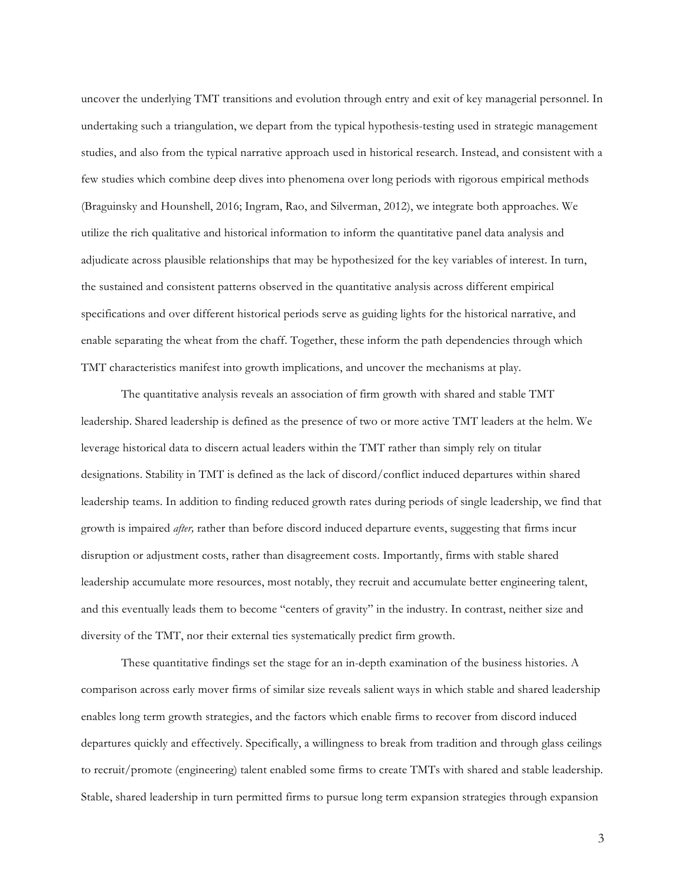uncover the underlying TMT transitions and evolution through entry and exit of key managerial personnel. In undertaking such a triangulation, we depart from the typical hypothesis-testing used in strategic management studies, and also from the typical narrative approach used in historical research. Instead, and consistent with a few studies which combine deep dives into phenomena over long periods with rigorous empirical methods (Braguinsky and Hounshell, 2016; Ingram, Rao, and Silverman, 2012), we integrate both approaches. We utilize the rich qualitative and historical information to inform the quantitative panel data analysis and adjudicate across plausible relationships that may be hypothesized for the key variables of interest. In turn, the sustained and consistent patterns observed in the quantitative analysis across different empirical specifications and over different historical periods serve as guiding lights for the historical narrative, and enable separating the wheat from the chaff. Together, these inform the path dependencies through which TMT characteristics manifest into growth implications, and uncover the mechanisms at play.

The quantitative analysis reveals an association of firm growth with shared and stable TMT leadership. Shared leadership is defined as the presence of two or more active TMT leaders at the helm. We leverage historical data to discern actual leaders within the TMT rather than simply rely on titular designations. Stability in TMT is defined as the lack of discord/conflict induced departures within shared leadership teams. In addition to finding reduced growth rates during periods of single leadership, we find that growth is impaired *after,* rather than before discord induced departure events, suggesting that firms incur disruption or adjustment costs, rather than disagreement costs. Importantly, firms with stable shared leadership accumulate more resources, most notably, they recruit and accumulate better engineering talent, and this eventually leads them to become "centers of gravity" in the industry. In contrast, neither size and diversity of the TMT, nor their external ties systematically predict firm growth.

These quantitative findings set the stage for an in-depth examination of the business histories. A comparison across early mover firms of similar size reveals salient ways in which stable and shared leadership enables long term growth strategies, and the factors which enable firms to recover from discord induced departures quickly and effectively. Specifically, a willingness to break from tradition and through glass ceilings to recruit/promote (engineering) talent enabled some firms to create TMTs with shared and stable leadership. Stable, shared leadership in turn permitted firms to pursue long term expansion strategies through expansion

3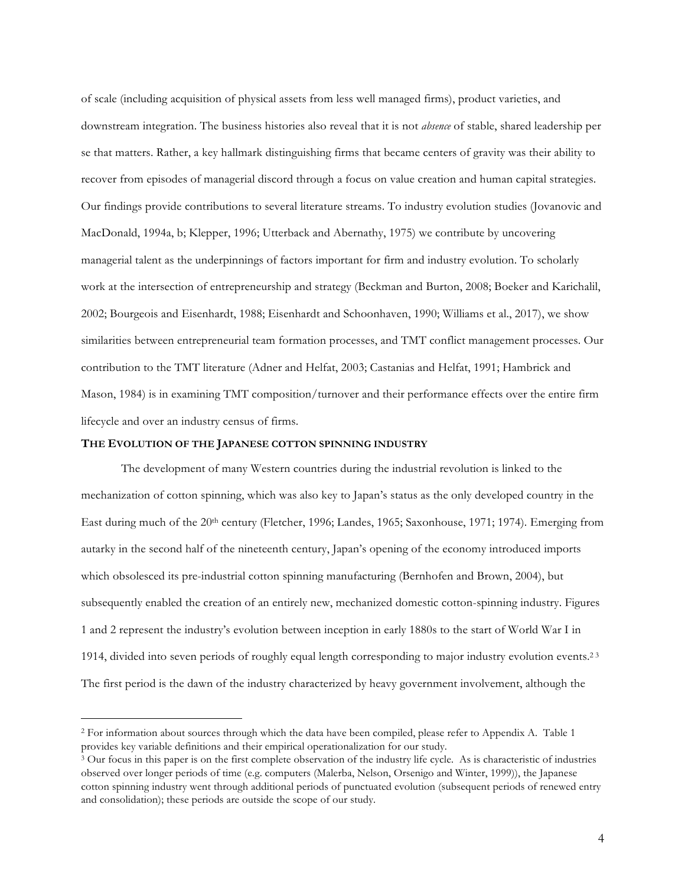of scale (including acquisition of physical assets from less well managed firms), product varieties, and downstream integration. The business histories also reveal that it is not *absence* of stable, shared leadership per se that matters. Rather, a key hallmark distinguishing firms that became centers of gravity was their ability to recover from episodes of managerial discord through a focus on value creation and human capital strategies. Our findings provide contributions to several literature streams. To industry evolution studies (Jovanovic and MacDonald, 1994a, b; Klepper, 1996; Utterback and Abernathy, 1975) we contribute by uncovering managerial talent as the underpinnings of factors important for firm and industry evolution. To scholarly work at the intersection of entrepreneurship and strategy (Beckman and Burton, 2008; Boeker and Karichalil, 2002; Bourgeois and Eisenhardt, 1988; Eisenhardt and Schoonhaven, 1990; Williams et al., 2017), we show similarities between entrepreneurial team formation processes, and TMT conflict management processes. Our contribution to the TMT literature (Adner and Helfat, 2003; Castanias and Helfat, 1991; Hambrick and Mason, 1984) is in examining TMT composition/turnover and their performance effects over the entire firm lifecycle and over an industry census of firms.

## **THE EVOLUTION OF THE JAPANESE COTTON SPINNING INDUSTRY**

The development of many Western countries during the industrial revolution is linked to the mechanization of cotton spinning, which was also key to Japan's status as the only developed country in the East during much of the 20<sup>th</sup> century (Fletcher, 1996; Landes, 1965; Saxonhouse, 1971; 1974). Emerging from autarky in the second half of the nineteenth century, Japan's opening of the economy introduced imports which obsolesced its pre-industrial cotton spinning manufacturing (Bernhofen and Brown, 2004), but subsequently enabled the creation of an entirely new, mechanized domestic cotton-spinning industry. Figures 1 and 2 represent the industry's evolution between inception in early 1880s to the start of World War I in 1914, divided into seven periods of roughly equal length corresponding to major industry evolution events.2 <sup>3</sup> The first period is the dawn of the industry characterized by heavy government involvement, although the

 <sup>2</sup> For information about sources through which the data have been compiled, please refer to Appendix A. Table 1 provides key variable definitions and their empirical operationalization for our study.<br><sup>3</sup> Our focus in this paper is on the first complete observation of the industry life cycle. As is characteristic of industries

observed over longer periods of time (e.g. computers (Malerba, Nelson, Orsenigo and Winter, 1999)), the Japanese cotton spinning industry went through additional periods of punctuated evolution (subsequent periods of renewed entry and consolidation); these periods are outside the scope of our study.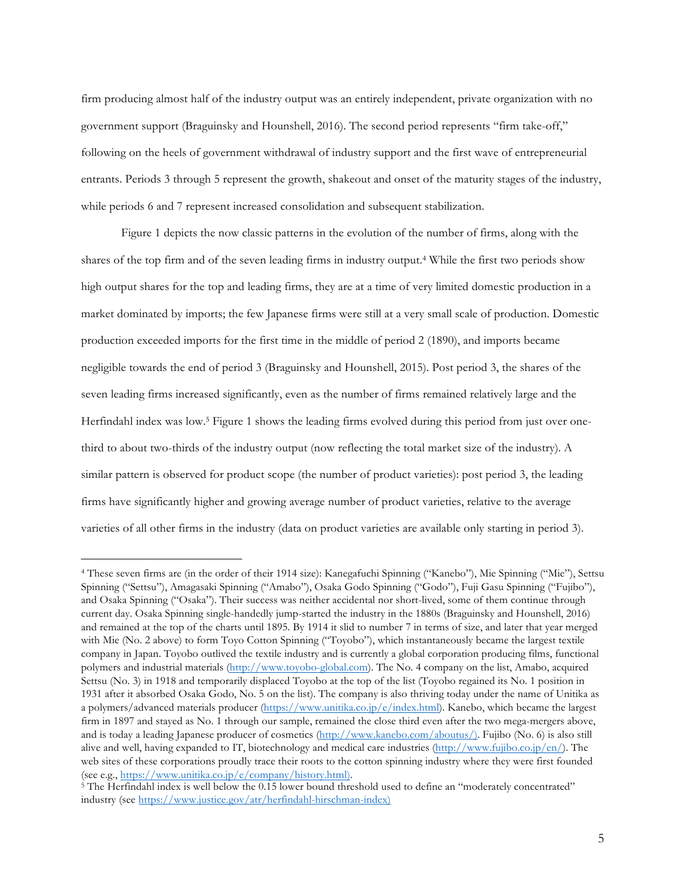firm producing almost half of the industry output was an entirely independent, private organization with no government support (Braguinsky and Hounshell, 2016). The second period represents "firm take-off," following on the heels of government withdrawal of industry support and the first wave of entrepreneurial entrants. Periods 3 through 5 represent the growth, shakeout and onset of the maturity stages of the industry, while periods 6 and 7 represent increased consolidation and subsequent stabilization.

Figure 1 depicts the now classic patterns in the evolution of the number of firms, along with the shares of the top firm and of the seven leading firms in industry output.4 While the first two periods show high output shares for the top and leading firms, they are at a time of very limited domestic production in a market dominated by imports; the few Japanese firms were still at a very small scale of production. Domestic production exceeded imports for the first time in the middle of period 2 (1890), and imports became negligible towards the end of period 3 (Braguinsky and Hounshell, 2015). Post period 3, the shares of the seven leading firms increased significantly, even as the number of firms remained relatively large and the Herfindahl index was low.5 Figure 1 shows the leading firms evolved during this period from just over onethird to about two-thirds of the industry output (now reflecting the total market size of the industry). A similar pattern is observed for product scope (the number of product varieties): post period 3, the leading firms have significantly higher and growing average number of product varieties, relative to the average varieties of all other firms in the industry (data on product varieties are available only starting in period 3).

 <sup>4</sup> These seven firms are (in the order of their 1914 size): Kanegafuchi Spinning ("Kanebo"), Mie Spinning ("Mie"), Settsu Spinning ("Settsu"), Amagasaki Spinning ("Amabo"), Osaka Godo Spinning ("Godo"), Fuji Gasu Spinning ("Fujibo"), and Osaka Spinning ("Osaka"). Their success was neither accidental nor short-lived, some of them continue through current day. Osaka Spinning single-handedly jump-started the industry in the 1880s (Braguinsky and Hounshell, 2016) and remained at the top of the charts until 1895. By 1914 it slid to number 7 in terms of size, and later that year merged with Mie (No. 2 above) to form Toyo Cotton Spinning ("Toyobo"), which instantaneously became the largest textile company in Japan. Toyobo outlived the textile industry and is currently a global corporation producing films, functional polymers and industrial materials (http://www.toyobo-global.com). The No. 4 company on the list, Amabo, acquired Settsu (No. 3) in 1918 and temporarily displaced Toyobo at the top of the list (Toyobo regained its No. 1 position in 1931 after it absorbed Osaka Godo, No. 5 on the list). The company is also thriving today under the name of Unitika as a polymers/advanced materials producer (https://www.unitika.co.jp/e/index.html). Kanebo, which became the largest firm in 1897 and stayed as No. 1 through our sample, remained the close third even after the two mega-mergers above, and is today a leading Japanese producer of cosmetics (http://www.kanebo.com/aboutus/). Fujibo (No. 6) is also still alive and well, having expanded to IT, biotechnology and medical care industries (http://www.fujibo.co.jp/en/). The web sites of these corporations proudly trace their roots to the cotton spinning industry where they were first founded (see e.g., https://www.unitika.co.jp/e/company/history.html).

<sup>&</sup>lt;sup>5</sup> The Herfindahl index is well below the 0.15 lower bound threshold used to define an "moderately concentrated" industry (see https://www.justice.gov/atr/herfindahl-hirschman-index)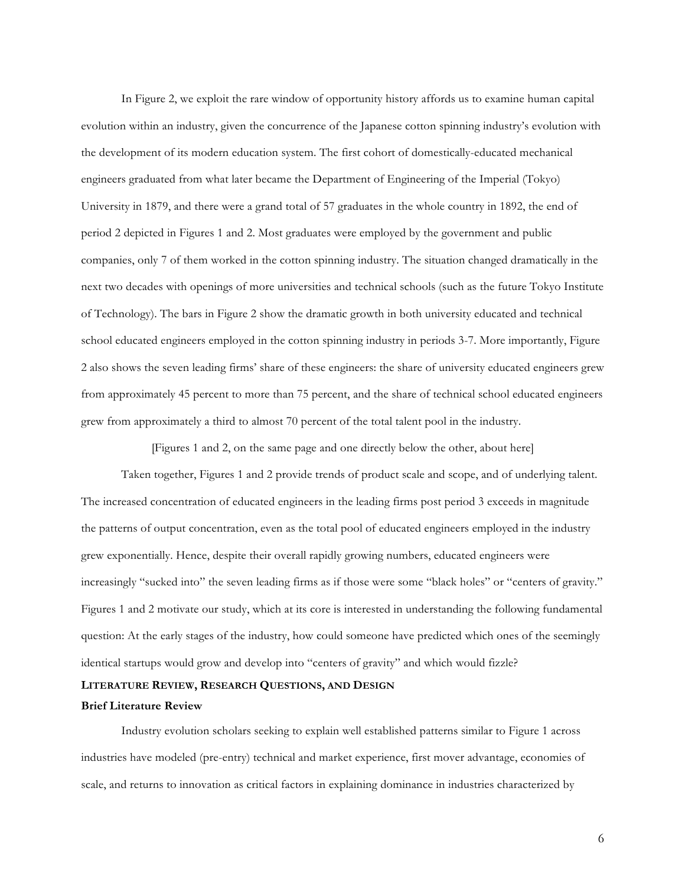In Figure 2, we exploit the rare window of opportunity history affords us to examine human capital evolution within an industry, given the concurrence of the Japanese cotton spinning industry's evolution with the development of its modern education system. The first cohort of domestically-educated mechanical engineers graduated from what later became the Department of Engineering of the Imperial (Tokyo) University in 1879, and there were a grand total of 57 graduates in the whole country in 1892, the end of period 2 depicted in Figures 1 and 2. Most graduates were employed by the government and public companies, only 7 of them worked in the cotton spinning industry. The situation changed dramatically in the next two decades with openings of more universities and technical schools (such as the future Tokyo Institute of Technology). The bars in Figure 2 show the dramatic growth in both university educated and technical school educated engineers employed in the cotton spinning industry in periods 3-7. More importantly, Figure 2 also shows the seven leading firms' share of these engineers: the share of university educated engineers grew from approximately 45 percent to more than 75 percent, and the share of technical school educated engineers grew from approximately a third to almost 70 percent of the total talent pool in the industry.

[Figures 1 and 2, on the same page and one directly below the other, about here]

Taken together, Figures 1 and 2 provide trends of product scale and scope, and of underlying talent. The increased concentration of educated engineers in the leading firms post period 3 exceeds in magnitude the patterns of output concentration, even as the total pool of educated engineers employed in the industry grew exponentially. Hence, despite their overall rapidly growing numbers, educated engineers were increasingly "sucked into" the seven leading firms as if those were some "black holes" or "centers of gravity." Figures 1 and 2 motivate our study, which at its core is interested in understanding the following fundamental question: At the early stages of the industry, how could someone have predicted which ones of the seemingly identical startups would grow and develop into "centers of gravity" and which would fizzle?

### **LITERATURE REVIEW, RESEARCH QUESTIONS, AND DESIGN**

## **Brief Literature Review**

Industry evolution scholars seeking to explain well established patterns similar to Figure 1 across industries have modeled (pre-entry) technical and market experience, first mover advantage, economies of scale, and returns to innovation as critical factors in explaining dominance in industries characterized by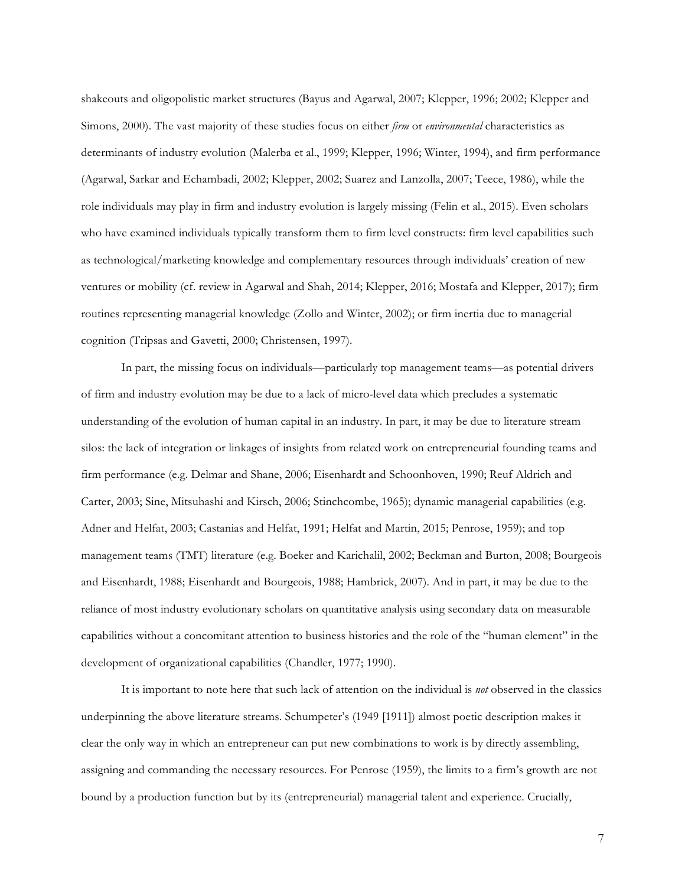shakeouts and oligopolistic market structures (Bayus and Agarwal, 2007; Klepper, 1996; 2002; Klepper and Simons, 2000). The vast majority of these studies focus on either *firm* or *environmental* characteristics as determinants of industry evolution (Malerba et al., 1999; Klepper, 1996; Winter, 1994), and firm performance (Agarwal, Sarkar and Echambadi, 2002; Klepper, 2002; Suarez and Lanzolla, 2007; Teece, 1986), while the role individuals may play in firm and industry evolution is largely missing (Felin et al., 2015). Even scholars who have examined individuals typically transform them to firm level constructs: firm level capabilities such as technological/marketing knowledge and complementary resources through individuals' creation of new ventures or mobility (cf. review in Agarwal and Shah, 2014; Klepper, 2016; Mostafa and Klepper, 2017); firm routines representing managerial knowledge (Zollo and Winter, 2002); or firm inertia due to managerial cognition (Tripsas and Gavetti, 2000; Christensen, 1997).

In part, the missing focus on individuals—particularly top management teams—as potential drivers of firm and industry evolution may be due to a lack of micro-level data which precludes a systematic understanding of the evolution of human capital in an industry. In part, it may be due to literature stream silos: the lack of integration or linkages of insights from related work on entrepreneurial founding teams and firm performance (e.g. Delmar and Shane, 2006; Eisenhardt and Schoonhoven, 1990; Reuf Aldrich and Carter, 2003; Sine, Mitsuhashi and Kirsch, 2006; Stinchcombe, 1965); dynamic managerial capabilities (e.g. Adner and Helfat, 2003; Castanias and Helfat, 1991; Helfat and Martin, 2015; Penrose, 1959); and top management teams (TMT) literature (e.g. Boeker and Karichalil, 2002; Beckman and Burton, 2008; Bourgeois and Eisenhardt, 1988; Eisenhardt and Bourgeois, 1988; Hambrick, 2007). And in part, it may be due to the reliance of most industry evolutionary scholars on quantitative analysis using secondary data on measurable capabilities without a concomitant attention to business histories and the role of the "human element" in the development of organizational capabilities (Chandler, 1977; 1990).

It is important to note here that such lack of attention on the individual is *not* observed in the classics underpinning the above literature streams. Schumpeter's (1949 [1911]) almost poetic description makes it clear the only way in which an entrepreneur can put new combinations to work is by directly assembling, assigning and commanding the necessary resources. For Penrose (1959), the limits to a firm's growth are not bound by a production function but by its (entrepreneurial) managerial talent and experience. Crucially,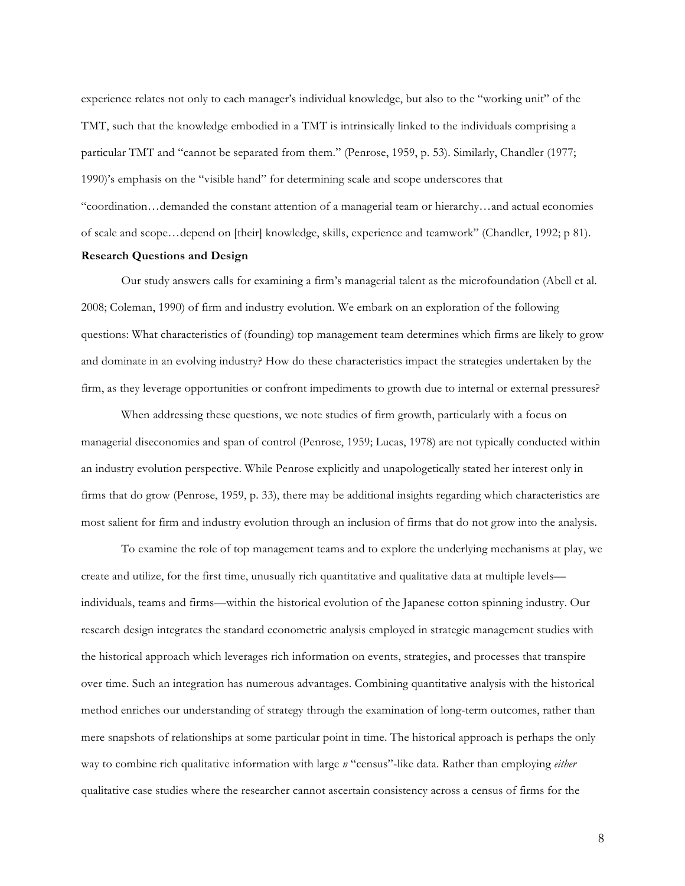experience relates not only to each manager's individual knowledge, but also to the "working unit" of the TMT, such that the knowledge embodied in a TMT is intrinsically linked to the individuals comprising a particular TMT and "cannot be separated from them." (Penrose, 1959, p. 53). Similarly, Chandler (1977; 1990)'s emphasis on the "visible hand" for determining scale and scope underscores that "coordination…demanded the constant attention of a managerial team or hierarchy…and actual economies of scale and scope…depend on [their] knowledge, skills, experience and teamwork" (Chandler, 1992; p 81). **Research Questions and Design**

Our study answers calls for examining a firm's managerial talent as the microfoundation (Abell et al. 2008; Coleman, 1990) of firm and industry evolution. We embark on an exploration of the following questions: What characteristics of (founding) top management team determines which firms are likely to grow and dominate in an evolving industry? How do these characteristics impact the strategies undertaken by the firm, as they leverage opportunities or confront impediments to growth due to internal or external pressures?

When addressing these questions, we note studies of firm growth, particularly with a focus on managerial diseconomies and span of control (Penrose, 1959; Lucas, 1978) are not typically conducted within an industry evolution perspective. While Penrose explicitly and unapologetically stated her interest only in firms that do grow (Penrose, 1959, p. 33), there may be additional insights regarding which characteristics are most salient for firm and industry evolution through an inclusion of firms that do not grow into the analysis.

To examine the role of top management teams and to explore the underlying mechanisms at play, we create and utilize, for the first time, unusually rich quantitative and qualitative data at multiple levels individuals, teams and firms—within the historical evolution of the Japanese cotton spinning industry. Our research design integrates the standard econometric analysis employed in strategic management studies with the historical approach which leverages rich information on events, strategies, and processes that transpire over time. Such an integration has numerous advantages. Combining quantitative analysis with the historical method enriches our understanding of strategy through the examination of long-term outcomes, rather than mere snapshots of relationships at some particular point in time. The historical approach is perhaps the only way to combine rich qualitative information with large *n* "census"-like data. Rather than employing *either* qualitative case studies where the researcher cannot ascertain consistency across a census of firms for the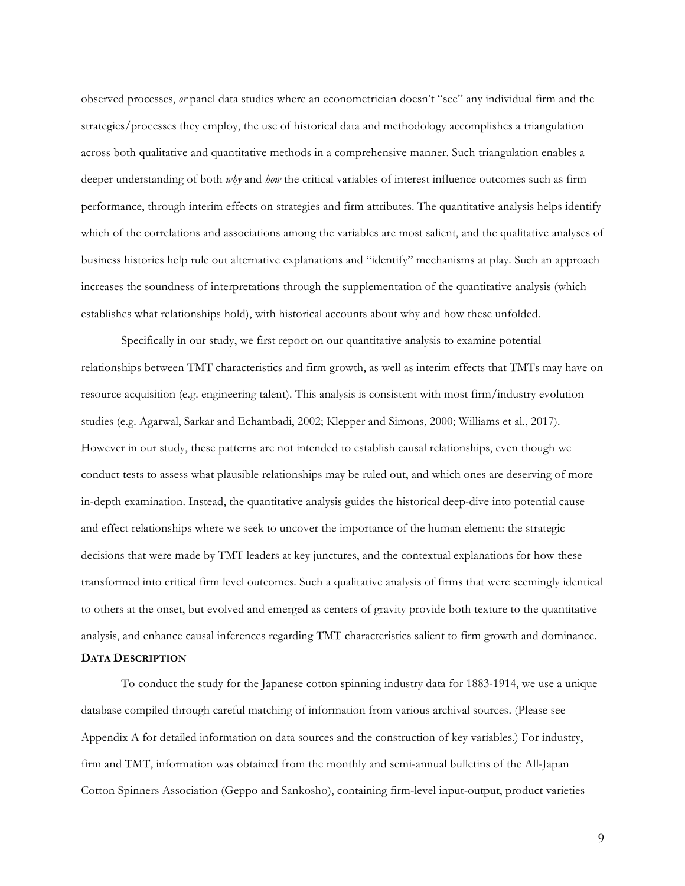observed processes, *or* panel data studies where an econometrician doesn't "see" any individual firm and the strategies/processes they employ, the use of historical data and methodology accomplishes a triangulation across both qualitative and quantitative methods in a comprehensive manner. Such triangulation enables a deeper understanding of both *why* and *how* the critical variables of interest influence outcomes such as firm performance, through interim effects on strategies and firm attributes. The quantitative analysis helps identify which of the correlations and associations among the variables are most salient, and the qualitative analyses of business histories help rule out alternative explanations and "identify" mechanisms at play. Such an approach increases the soundness of interpretations through the supplementation of the quantitative analysis (which establishes what relationships hold), with historical accounts about why and how these unfolded.

Specifically in our study, we first report on our quantitative analysis to examine potential relationships between TMT characteristics and firm growth, as well as interim effects that TMTs may have on resource acquisition (e.g. engineering talent). This analysis is consistent with most firm/industry evolution studies (e.g. Agarwal, Sarkar and Echambadi, 2002; Klepper and Simons, 2000; Williams et al., 2017). However in our study, these patterns are not intended to establish causal relationships, even though we conduct tests to assess what plausible relationships may be ruled out, and which ones are deserving of more in-depth examination. Instead, the quantitative analysis guides the historical deep-dive into potential cause and effect relationships where we seek to uncover the importance of the human element: the strategic decisions that were made by TMT leaders at key junctures, and the contextual explanations for how these transformed into critical firm level outcomes. Such a qualitative analysis of firms that were seemingly identical to others at the onset, but evolved and emerged as centers of gravity provide both texture to the quantitative analysis, and enhance causal inferences regarding TMT characteristics salient to firm growth and dominance.

### **DATA DESCRIPTION**

To conduct the study for the Japanese cotton spinning industry data for 1883-1914, we use a unique database compiled through careful matching of information from various archival sources. (Please see Appendix A for detailed information on data sources and the construction of key variables.) For industry, firm and TMT, information was obtained from the monthly and semi-annual bulletins of the All-Japan Cotton Spinners Association (Geppo and Sankosho), containing firm-level input-output, product varieties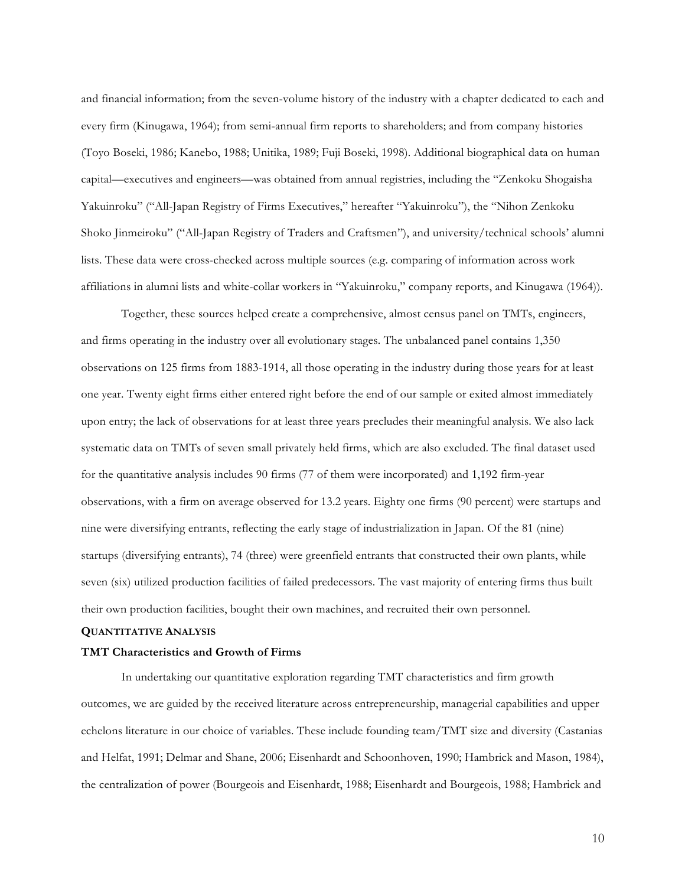and financial information; from the seven-volume history of the industry with a chapter dedicated to each and every firm (Kinugawa, 1964); from semi-annual firm reports to shareholders; and from company histories (Toyo Boseki, 1986; Kanebo, 1988; Unitika, 1989; Fuji Boseki, 1998). Additional biographical data on human capital—executives and engineers—was obtained from annual registries, including the "Zenkoku Shogaisha Yakuinroku" ("All-Japan Registry of Firms Executives," hereafter "Yakuinroku"), the "Nihon Zenkoku Shoko Jinmeiroku" ("All-Japan Registry of Traders and Craftsmen"), and university/technical schools' alumni lists. These data were cross-checked across multiple sources (e.g. comparing of information across work affiliations in alumni lists and white-collar workers in "Yakuinroku," company reports, and Kinugawa (1964)).

Together, these sources helped create a comprehensive, almost census panel on TMTs, engineers, and firms operating in the industry over all evolutionary stages. The unbalanced panel contains 1,350 observations on 125 firms from 1883-1914, all those operating in the industry during those years for at least one year. Twenty eight firms either entered right before the end of our sample or exited almost immediately upon entry; the lack of observations for at least three years precludes their meaningful analysis. We also lack systematic data on TMTs of seven small privately held firms, which are also excluded. The final dataset used for the quantitative analysis includes 90 firms (77 of them were incorporated) and 1,192 firm-year observations, with a firm on average observed for 13.2 years. Eighty one firms (90 percent) were startups and nine were diversifying entrants, reflecting the early stage of industrialization in Japan. Of the 81 (nine) startups (diversifying entrants), 74 (three) were greenfield entrants that constructed their own plants, while seven (six) utilized production facilities of failed predecessors. The vast majority of entering firms thus built their own production facilities, bought their own machines, and recruited their own personnel.

#### **QUANTITATIVE ANALYSIS**

#### **TMT Characteristics and Growth of Firms**

In undertaking our quantitative exploration regarding TMT characteristics and firm growth outcomes, we are guided by the received literature across entrepreneurship, managerial capabilities and upper echelons literature in our choice of variables. These include founding team/TMT size and diversity (Castanias and Helfat, 1991; Delmar and Shane, 2006; Eisenhardt and Schoonhoven, 1990; Hambrick and Mason, 1984), the centralization of power (Bourgeois and Eisenhardt, 1988; Eisenhardt and Bourgeois, 1988; Hambrick and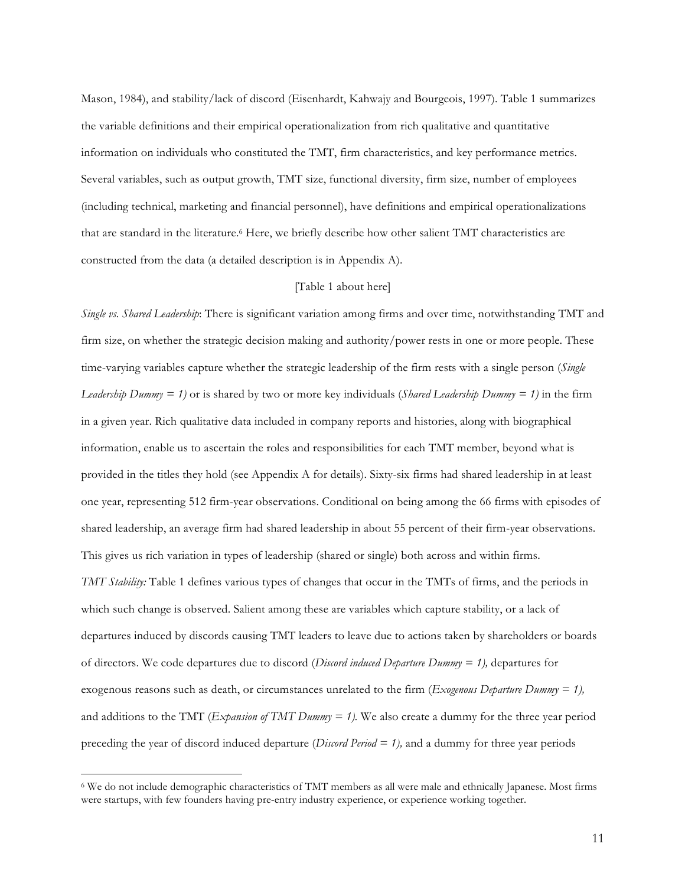Mason, 1984), and stability/lack of discord (Eisenhardt, Kahwajy and Bourgeois, 1997). Table 1 summarizes the variable definitions and their empirical operationalization from rich qualitative and quantitative information on individuals who constituted the TMT, firm characteristics, and key performance metrics. Several variables, such as output growth, TMT size, functional diversity, firm size, number of employees (including technical, marketing and financial personnel), have definitions and empirical operationalizations that are standard in the literature.6 Here, we briefly describe how other salient TMT characteristics are constructed from the data (a detailed description is in Appendix A).

### [Table 1 about here]

*Single vs. Shared Leadership*: There is significant variation among firms and over time, notwithstanding TMT and firm size, on whether the strategic decision making and authority/power rests in one or more people. These time-varying variables capture whether the strategic leadership of the firm rests with a single person (*Single Leadership Dummy = 1)* or is shared by two or more key individuals (*Shared Leadership Dummy = 1)* in the firm in a given year. Rich qualitative data included in company reports and histories, along with biographical information, enable us to ascertain the roles and responsibilities for each TMT member, beyond what is provided in the titles they hold (see Appendix A for details). Sixty-six firms had shared leadership in at least one year, representing 512 firm-year observations. Conditional on being among the 66 firms with episodes of shared leadership, an average firm had shared leadership in about 55 percent of their firm-year observations. This gives us rich variation in types of leadership (shared or single) both across and within firms. *TMT Stability:* Table 1 defines various types of changes that occur in the TMTs of firms, and the periods in which such change is observed. Salient among these are variables which capture stability, or a lack of departures induced by discords causing TMT leaders to leave due to actions taken by shareholders or boards of directors. We code departures due to discord (*Discord induced Departure Dummy = 1),* departures for exogenous reasons such as death, or circumstances unrelated to the firm (*Exogenous Departure Dummy = 1),*  and additions to the TMT (*Expansion of TMT Dummy = 1).* We also create a dummy for the three year period preceding the year of discord induced departure (*Discord Period = 1),* and a dummy for three year periods

 <sup>6</sup> We do not include demographic characteristics of TMT members as all were male and ethnically Japanese. Most firms were startups, with few founders having pre-entry industry experience, or experience working together.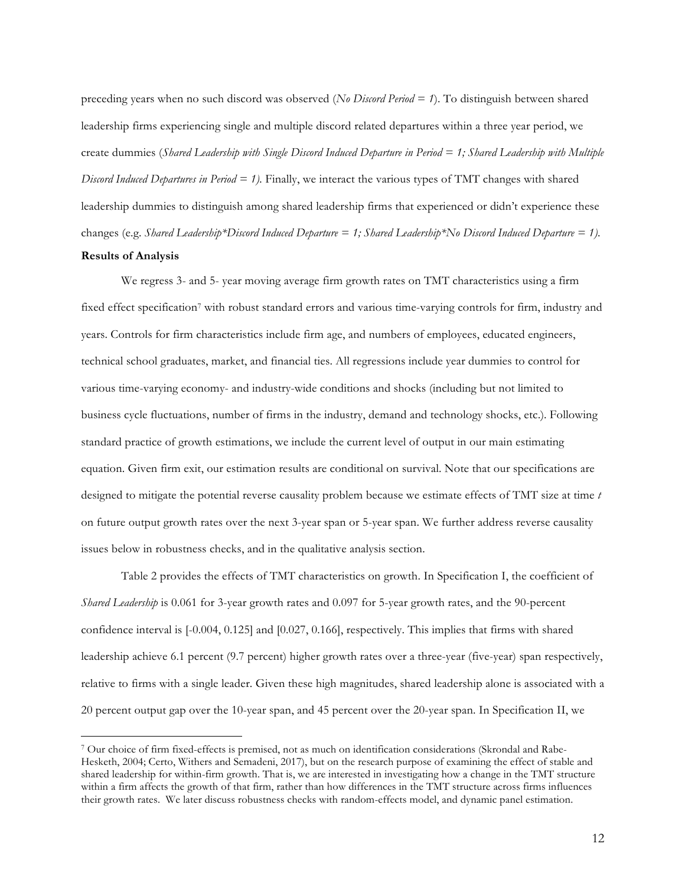preceding years when no such discord was observed (*No Discord Period = 1*). To distinguish between shared leadership firms experiencing single and multiple discord related departures within a three year period, we create dummies (*Shared Leadership with Single Discord Induced Departure in Period = 1; Shared Leadership with Multiple Discord Induced Departures in Period = 1).* Finally, we interact the various types of TMT changes with shared leadership dummies to distinguish among shared leadership firms that experienced or didn't experience these changes (e.g. *Shared Leadership\*Discord Induced Departure = 1; Shared Leadership\*No Discord Induced Departure = 1)*. **Results of Analysis**

We regress 3- and 5- year moving average firm growth rates on TMT characteristics using a firm fixed effect specification<sup>7</sup> with robust standard errors and various time-varying controls for firm, industry and years. Controls for firm characteristics include firm age, and numbers of employees, educated engineers, technical school graduates, market, and financial ties. All regressions include year dummies to control for various time-varying economy- and industry-wide conditions and shocks (including but not limited to business cycle fluctuations, number of firms in the industry, demand and technology shocks, etc.). Following standard practice of growth estimations, we include the current level of output in our main estimating equation. Given firm exit, our estimation results are conditional on survival. Note that our specifications are designed to mitigate the potential reverse causality problem because we estimate effects of TMT size at time *t* on future output growth rates over the next 3-year span or 5-year span. We further address reverse causality issues below in robustness checks, and in the qualitative analysis section.

Table 2 provides the effects of TMT characteristics on growth. In Specification I, the coefficient of *Shared Leadership* is 0.061 for 3-year growth rates and 0.097 for 5-year growth rates, and the 90-percent confidence interval is [-0.004, 0.125] and [0.027, 0.166], respectively. This implies that firms with shared leadership achieve 6.1 percent (9.7 percent) higher growth rates over a three-year (five-year) span respectively, relative to firms with a single leader. Given these high magnitudes, shared leadership alone is associated with a 20 percent output gap over the 10-year span, and 45 percent over the 20-year span. In Specification II, we

 <sup>7</sup> Our choice of firm fixed-effects is premised, not as much on identification considerations (Skrondal and Rabe-Hesketh, 2004; Certo, Withers and Semadeni, 2017), but on the research purpose of examining the effect of stable and shared leadership for within-firm growth. That is, we are interested in investigating how a change in the TMT structure within a firm affects the growth of that firm, rather than how differences in the TMT structure across firms influences their growth rates. We later discuss robustness checks with random-effects model, and dynamic panel estimation.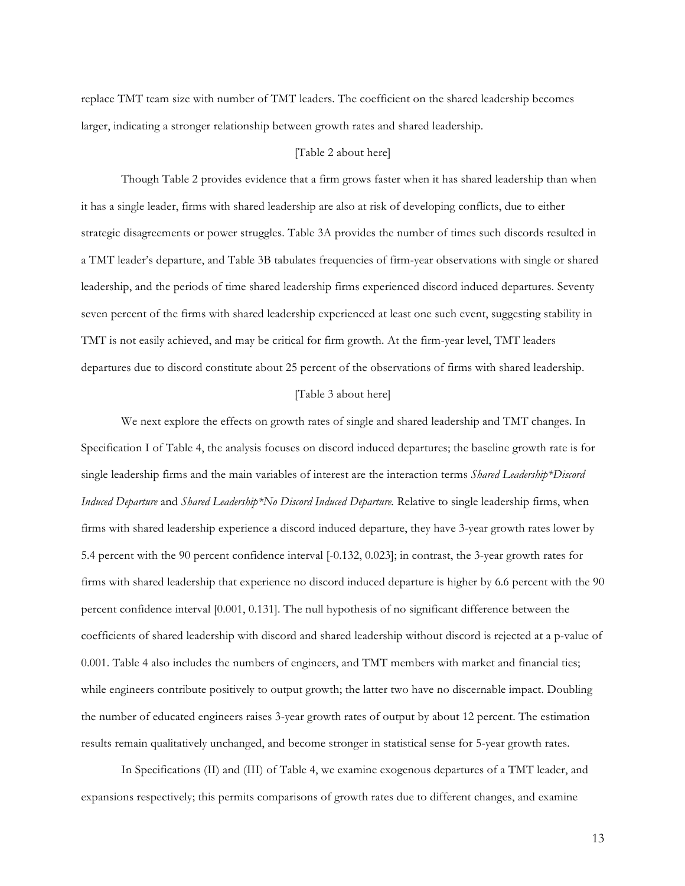replace TMT team size with number of TMT leaders. The coefficient on the shared leadership becomes larger, indicating a stronger relationship between growth rates and shared leadership.

### [Table 2 about here]

Though Table 2 provides evidence that a firm grows faster when it has shared leadership than when it has a single leader, firms with shared leadership are also at risk of developing conflicts, due to either strategic disagreements or power struggles. Table 3A provides the number of times such discords resulted in a TMT leader's departure, and Table 3B tabulates frequencies of firm-year observations with single or shared leadership, and the periods of time shared leadership firms experienced discord induced departures. Seventy seven percent of the firms with shared leadership experienced at least one such event, suggesting stability in TMT is not easily achieved, and may be critical for firm growth. At the firm-year level, TMT leaders departures due to discord constitute about 25 percent of the observations of firms with shared leadership.

## [Table 3 about here]

We next explore the effects on growth rates of single and shared leadership and TMT changes. In Specification I of Table 4, the analysis focuses on discord induced departures; the baseline growth rate is for single leadership firms and the main variables of interest are the interaction terms *Shared Leadership\*Discord Induced Departure* and *Shared Leadership\*No Discord Induced Departure.* Relative to single leadership firms, when firms with shared leadership experience a discord induced departure, they have 3-year growth rates lower by 5.4 percent with the 90 percent confidence interval [-0.132, 0.023]; in contrast, the 3-year growth rates for firms with shared leadership that experience no discord induced departure is higher by 6.6 percent with the 90 percent confidence interval [0.001, 0.131]. The null hypothesis of no significant difference between the coefficients of shared leadership with discord and shared leadership without discord is rejected at a p-value of 0.001. Table 4 also includes the numbers of engineers, and TMT members with market and financial ties; while engineers contribute positively to output growth; the latter two have no discernable impact. Doubling the number of educated engineers raises 3-year growth rates of output by about 12 percent. The estimation results remain qualitatively unchanged, and become stronger in statistical sense for 5-year growth rates.

In Specifications (II) and (III) of Table 4, we examine exogenous departures of a TMT leader, and expansions respectively; this permits comparisons of growth rates due to different changes, and examine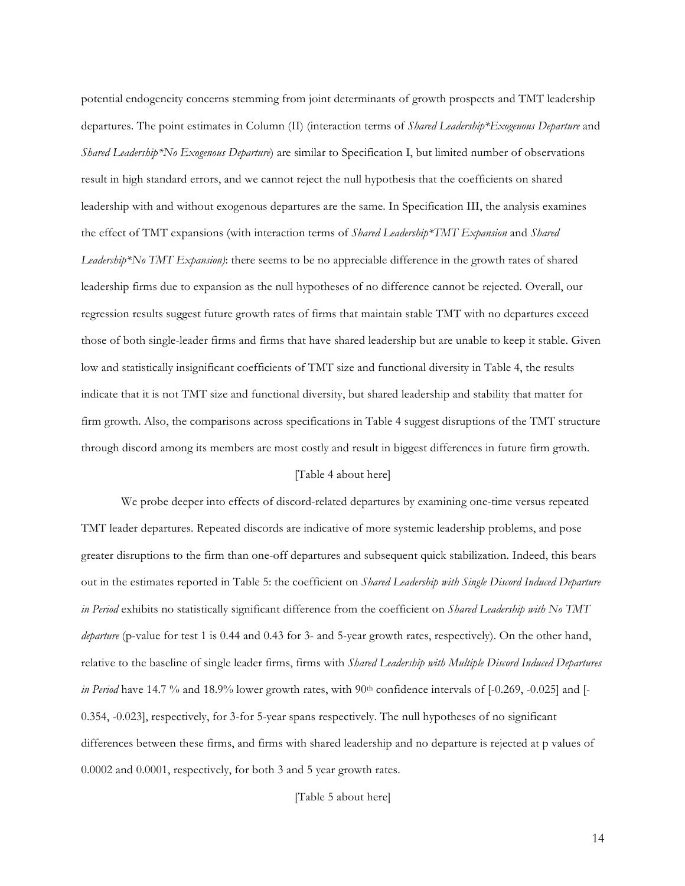potential endogeneity concerns stemming from joint determinants of growth prospects and TMT leadership departures. The point estimates in Column (II) (interaction terms of *Shared Leadership\*Exogenous Departure* and *Shared Leadership\*No Exogenous Departure*) are similar to Specification I, but limited number of observations result in high standard errors, and we cannot reject the null hypothesis that the coefficients on shared leadership with and without exogenous departures are the same. In Specification III, the analysis examines the effect of TMT expansions (with interaction terms of *Shared Leadership\*TMT Expansion* and *Shared Leadership\*No TMT Expansion)*: there seems to be no appreciable difference in the growth rates of shared leadership firms due to expansion as the null hypotheses of no difference cannot be rejected. Overall, our regression results suggest future growth rates of firms that maintain stable TMT with no departures exceed those of both single-leader firms and firms that have shared leadership but are unable to keep it stable. Given low and statistically insignificant coefficients of TMT size and functional diversity in Table 4, the results indicate that it is not TMT size and functional diversity, but shared leadership and stability that matter for firm growth. Also, the comparisons across specifications in Table 4 suggest disruptions of the TMT structure through discord among its members are most costly and result in biggest differences in future firm growth.

## [Table 4 about here]

We probe deeper into effects of discord-related departures by examining one-time versus repeated TMT leader departures. Repeated discords are indicative of more systemic leadership problems, and pose greater disruptions to the firm than one-off departures and subsequent quick stabilization. Indeed, this bears out in the estimates reported in Table 5: the coefficient on *Shared Leadership with Single Discord Induced Departure in Period* exhibits no statistically significant difference from the coefficient on *Shared Leadership with No TMT departure* (p-value for test 1 is 0.44 and 0.43 for 3- and 5-year growth rates, respectively). On the other hand, relative to the baseline of single leader firms, firms with *Shared Leadership with Multiple Discord Induced Departures in Period* have 14.7 % and 18.9% lower growth rates, with 90<sup>th</sup> confidence intervals of [-0.269, -0.025] and [-0.354, -0.023], respectively, for 3-for 5-year spans respectively. The null hypotheses of no significant differences between these firms, and firms with shared leadership and no departure is rejected at p values of 0.0002 and 0.0001, respectively, for both 3 and 5 year growth rates.

[Table 5 about here]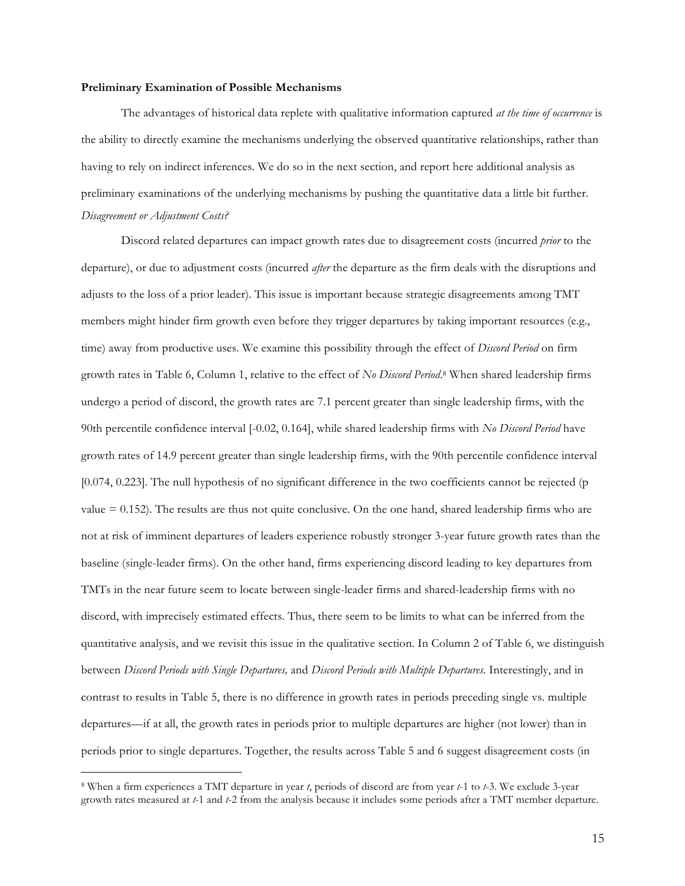#### **Preliminary Examination of Possible Mechanisms**

The advantages of historical data replete with qualitative information captured *at the time of occurrence* is the ability to directly examine the mechanisms underlying the observed quantitative relationships, rather than having to rely on indirect inferences. We do so in the next section, and report here additional analysis as preliminary examinations of the underlying mechanisms by pushing the quantitative data a little bit further. *Disagreement or Adjustment Costs?*

Discord related departures can impact growth rates due to disagreement costs (incurred *prior* to the departure), or due to adjustment costs (incurred *after* the departure as the firm deals with the disruptions and adjusts to the loss of a prior leader). This issue is important because strategic disagreements among TMT members might hinder firm growth even before they trigger departures by taking important resources (e.g., time) away from productive uses. We examine this possibility through the effect of *Discord Period* on firm growth rates in Table 6, Column 1, relative to the effect of *No Discord Period*. <sup>8</sup> When shared leadership firms undergo a period of discord, the growth rates are 7.1 percent greater than single leadership firms, with the 90th percentile confidence interval [-0.02, 0.164], while shared leadership firms with *No Discord Period* have growth rates of 14.9 percent greater than single leadership firms, with the 90th percentile confidence interval [0.074, 0.223]. The null hypothesis of no significant difference in the two coefficients cannot be rejected (p value  $= 0.152$ ). The results are thus not quite conclusive. On the one hand, shared leadership firms who are not at risk of imminent departures of leaders experience robustly stronger 3-year future growth rates than the baseline (single-leader firms). On the other hand, firms experiencing discord leading to key departures from TMTs in the near future seem to locate between single-leader firms and shared-leadership firms with no discord, with imprecisely estimated effects. Thus, there seem to be limits to what can be inferred from the quantitative analysis, and we revisit this issue in the qualitative section. In Column 2 of Table 6, we distinguish between *Discord Periods with Single Departures,* and *Discord Periods with Multiple Departures.* Interestingly, and in contrast to results in Table 5, there is no difference in growth rates in periods preceding single vs. multiple departures—if at all, the growth rates in periods prior to multiple departures are higher (not lower) than in periods prior to single departures. Together, the results across Table 5 and 6 suggest disagreement costs (in

 <sup>8</sup> When a firm experiences a TMT departure in year *t*, periods of discord are from year *t*-1 to *t*-3. We exclude 3-year growth rates measured at *t*-1 and *t*-2 from the analysis because it includes some periods after a TMT member departure.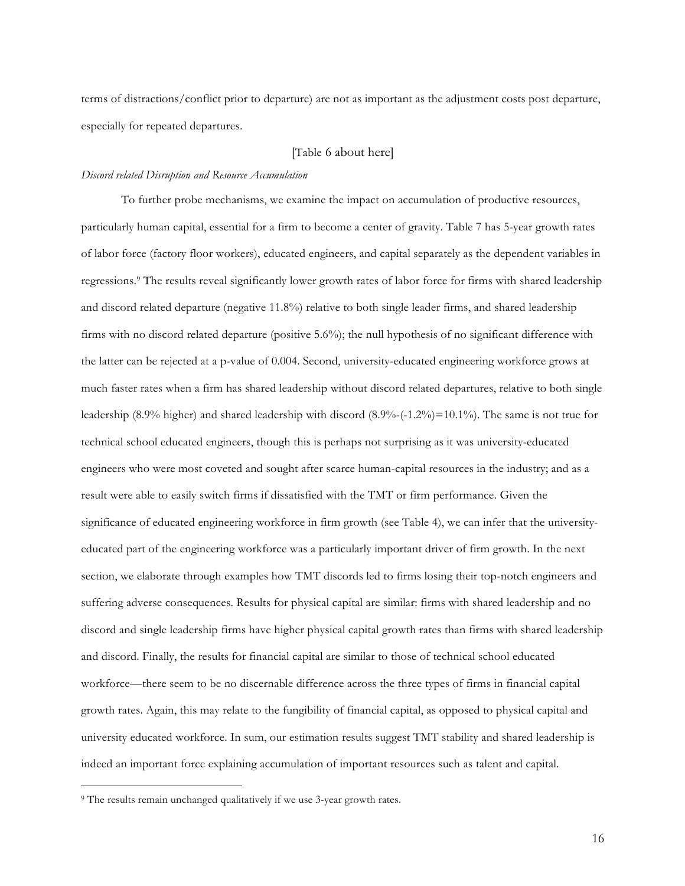terms of distractions/conflict prior to departure) are not as important as the adjustment costs post departure, especially for repeated departures.

## [Table 6 about here]

#### *Discord related Disruption and Resource Accumulation*

To further probe mechanisms, we examine the impact on accumulation of productive resources, particularly human capital, essential for a firm to become a center of gravity. Table 7 has 5-year growth rates of labor force (factory floor workers), educated engineers, and capital separately as the dependent variables in regressions.9 The results reveal significantly lower growth rates of labor force for firms with shared leadership and discord related departure (negative 11.8%) relative to both single leader firms, and shared leadership firms with no discord related departure (positive 5.6%); the null hypothesis of no significant difference with the latter can be rejected at a p-value of 0.004. Second, university-educated engineering workforce grows at much faster rates when a firm has shared leadership without discord related departures, relative to both single leadership (8.9% higher) and shared leadership with discord (8.9%-(-1.2%)=10.1%). The same is not true for technical school educated engineers, though this is perhaps not surprising as it was university-educated engineers who were most coveted and sought after scarce human-capital resources in the industry; and as a result were able to easily switch firms if dissatisfied with the TMT or firm performance. Given the significance of educated engineering workforce in firm growth (see Table 4), we can infer that the universityeducated part of the engineering workforce was a particularly important driver of firm growth. In the next section, we elaborate through examples how TMT discords led to firms losing their top-notch engineers and suffering adverse consequences. Results for physical capital are similar: firms with shared leadership and no discord and single leadership firms have higher physical capital growth rates than firms with shared leadership and discord. Finally, the results for financial capital are similar to those of technical school educated workforce—there seem to be no discernable difference across the three types of firms in financial capital growth rates. Again, this may relate to the fungibility of financial capital, as opposed to physical capital and university educated workforce. In sum, our estimation results suggest TMT stability and shared leadership is indeed an important force explaining accumulation of important resources such as talent and capital.

<sup>&</sup>lt;sup>9</sup> The results remain unchanged qualitatively if we use 3-year growth rates.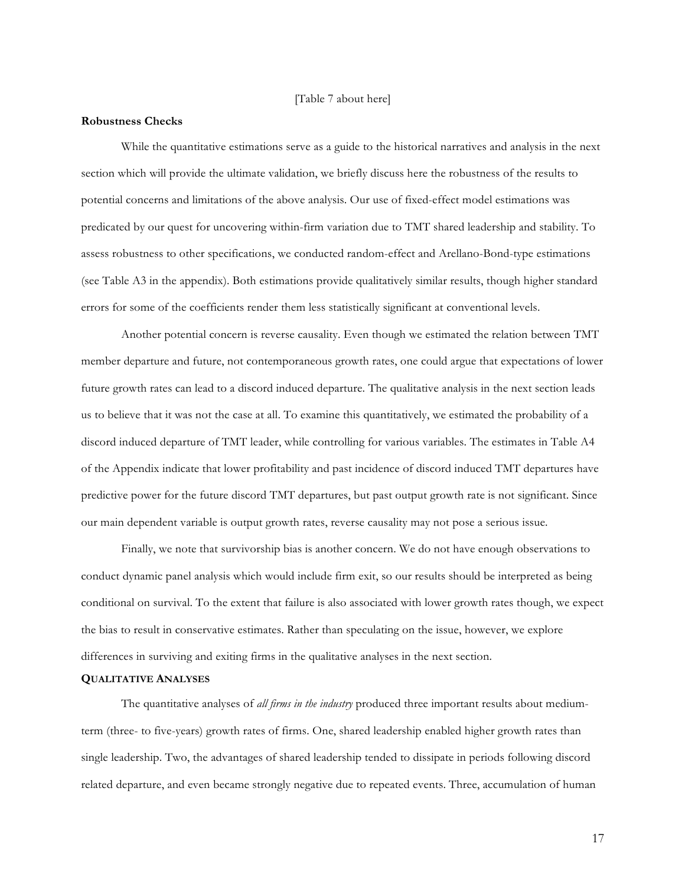## [Table 7 about here]

#### **Robustness Checks**

While the quantitative estimations serve as a guide to the historical narratives and analysis in the next section which will provide the ultimate validation, we briefly discuss here the robustness of the results to potential concerns and limitations of the above analysis. Our use of fixed-effect model estimations was predicated by our quest for uncovering within-firm variation due to TMT shared leadership and stability. To assess robustness to other specifications, we conducted random-effect and Arellano-Bond-type estimations (see Table A3 in the appendix). Both estimations provide qualitatively similar results, though higher standard errors for some of the coefficients render them less statistically significant at conventional levels.

Another potential concern is reverse causality. Even though we estimated the relation between TMT member departure and future, not contemporaneous growth rates, one could argue that expectations of lower future growth rates can lead to a discord induced departure. The qualitative analysis in the next section leads us to believe that it was not the case at all. To examine this quantitatively, we estimated the probability of a discord induced departure of TMT leader, while controlling for various variables. The estimates in Table A4 of the Appendix indicate that lower profitability and past incidence of discord induced TMT departures have predictive power for the future discord TMT departures, but past output growth rate is not significant. Since our main dependent variable is output growth rates, reverse causality may not pose a serious issue.

Finally, we note that survivorship bias is another concern. We do not have enough observations to conduct dynamic panel analysis which would include firm exit, so our results should be interpreted as being conditional on survival. To the extent that failure is also associated with lower growth rates though, we expect the bias to result in conservative estimates. Rather than speculating on the issue, however, we explore differences in surviving and exiting firms in the qualitative analyses in the next section.

#### **QUALITATIVE ANALYSES**

The quantitative analyses of *all firms in the industry* produced three important results about mediumterm (three- to five-years) growth rates of firms. One, shared leadership enabled higher growth rates than single leadership. Two, the advantages of shared leadership tended to dissipate in periods following discord related departure, and even became strongly negative due to repeated events. Three, accumulation of human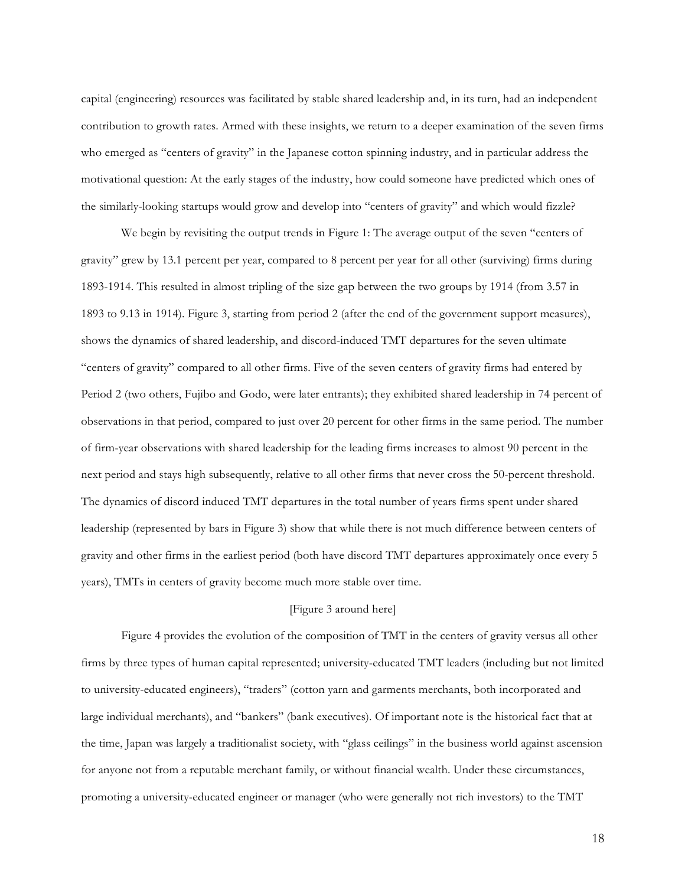capital (engineering) resources was facilitated by stable shared leadership and, in its turn, had an independent contribution to growth rates. Armed with these insights, we return to a deeper examination of the seven firms who emerged as "centers of gravity" in the Japanese cotton spinning industry, and in particular address the motivational question: At the early stages of the industry, how could someone have predicted which ones of the similarly-looking startups would grow and develop into "centers of gravity" and which would fizzle?

We begin by revisiting the output trends in Figure 1: The average output of the seven "centers of gravity" grew by 13.1 percent per year, compared to 8 percent per year for all other (surviving) firms during 1893-1914. This resulted in almost tripling of the size gap between the two groups by 1914 (from 3.57 in 1893 to 9.13 in 1914). Figure 3, starting from period 2 (after the end of the government support measures), shows the dynamics of shared leadership, and discord-induced TMT departures for the seven ultimate "centers of gravity" compared to all other firms. Five of the seven centers of gravity firms had entered by Period 2 (two others, Fujibo and Godo, were later entrants); they exhibited shared leadership in 74 percent of observations in that period, compared to just over 20 percent for other firms in the same period. The number of firm-year observations with shared leadership for the leading firms increases to almost 90 percent in the next period and stays high subsequently, relative to all other firms that never cross the 50-percent threshold. The dynamics of discord induced TMT departures in the total number of years firms spent under shared leadership (represented by bars in Figure 3) show that while there is not much difference between centers of gravity and other firms in the earliest period (both have discord TMT departures approximately once every 5 years), TMTs in centers of gravity become much more stable over time.

## [Figure 3 around here]

Figure 4 provides the evolution of the composition of TMT in the centers of gravity versus all other firms by three types of human capital represented; university-educated TMT leaders (including but not limited to university-educated engineers), "traders" (cotton yarn and garments merchants, both incorporated and large individual merchants), and "bankers" (bank executives). Of important note is the historical fact that at the time, Japan was largely a traditionalist society, with "glass ceilings" in the business world against ascension for anyone not from a reputable merchant family, or without financial wealth. Under these circumstances, promoting a university-educated engineer or manager (who were generally not rich investors) to the TMT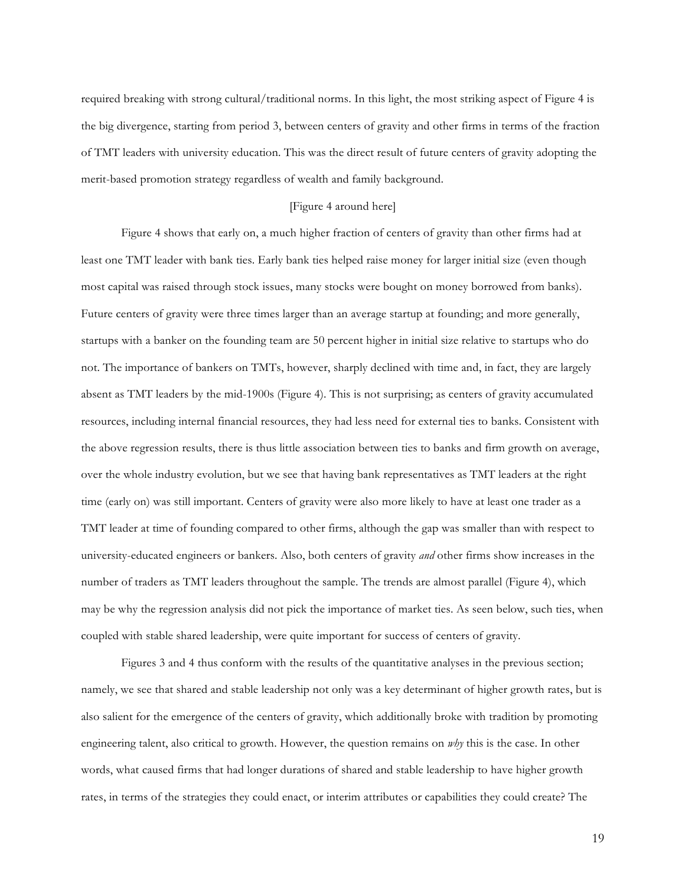required breaking with strong cultural/traditional norms. In this light, the most striking aspect of Figure 4 is the big divergence, starting from period 3, between centers of gravity and other firms in terms of the fraction of TMT leaders with university education. This was the direct result of future centers of gravity adopting the merit-based promotion strategy regardless of wealth and family background.

#### [Figure 4 around here]

Figure 4 shows that early on, a much higher fraction of centers of gravity than other firms had at least one TMT leader with bank ties. Early bank ties helped raise money for larger initial size (even though most capital was raised through stock issues, many stocks were bought on money borrowed from banks). Future centers of gravity were three times larger than an average startup at founding; and more generally, startups with a banker on the founding team are 50 percent higher in initial size relative to startups who do not. The importance of bankers on TMTs, however, sharply declined with time and, in fact, they are largely absent as TMT leaders by the mid-1900s (Figure 4). This is not surprising; as centers of gravity accumulated resources, including internal financial resources, they had less need for external ties to banks. Consistent with the above regression results, there is thus little association between ties to banks and firm growth on average, over the whole industry evolution, but we see that having bank representatives as TMT leaders at the right time (early on) was still important. Centers of gravity were also more likely to have at least one trader as a TMT leader at time of founding compared to other firms, although the gap was smaller than with respect to university-educated engineers or bankers. Also, both centers of gravity *and* other firms show increases in the number of traders as TMT leaders throughout the sample. The trends are almost parallel (Figure 4), which may be why the regression analysis did not pick the importance of market ties. As seen below, such ties, when coupled with stable shared leadership, were quite important for success of centers of gravity.

Figures 3 and 4 thus conform with the results of the quantitative analyses in the previous section; namely, we see that shared and stable leadership not only was a key determinant of higher growth rates, but is also salient for the emergence of the centers of gravity, which additionally broke with tradition by promoting engineering talent, also critical to growth. However, the question remains on *why* this is the case. In other words, what caused firms that had longer durations of shared and stable leadership to have higher growth rates, in terms of the strategies they could enact, or interim attributes or capabilities they could create? The

19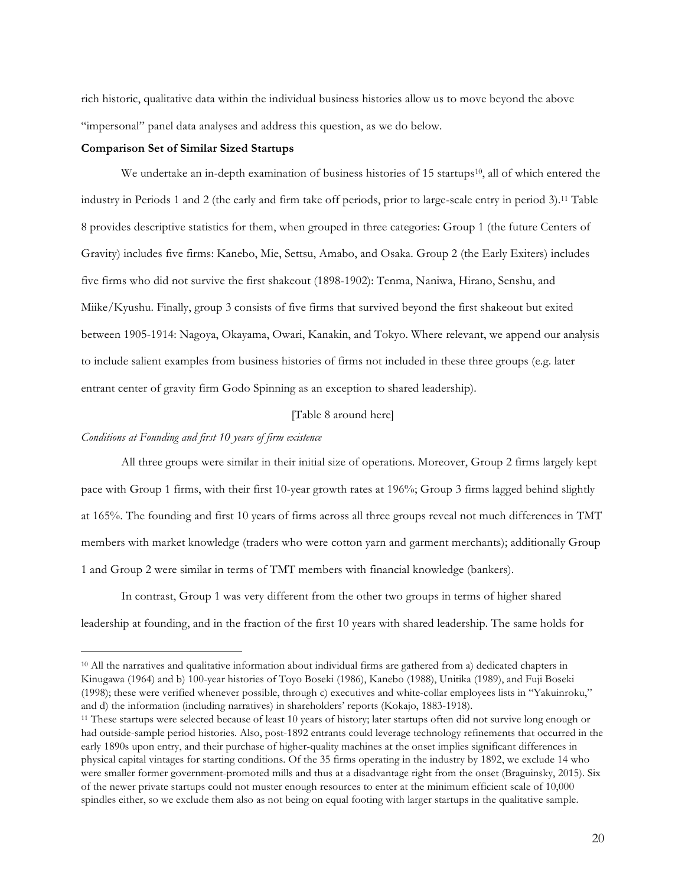rich historic, qualitative data within the individual business histories allow us to move beyond the above "impersonal" panel data analyses and address this question, as we do below.

## **Comparison Set of Similar Sized Startups**

We undertake an in-depth examination of business histories of 15 startups<sup>10</sup>, all of which entered the industry in Periods 1 and 2 (the early and firm take off periods, prior to large-scale entry in period 3).11 Table 8 provides descriptive statistics for them, when grouped in three categories: Group 1 (the future Centers of Gravity) includes five firms: Kanebo, Mie, Settsu, Amabo, and Osaka. Group 2 (the Early Exiters) includes five firms who did not survive the first shakeout (1898-1902): Tenma, Naniwa, Hirano, Senshu, and Miike/Kyushu. Finally, group 3 consists of five firms that survived beyond the first shakeout but exited between 1905-1914: Nagoya, Okayama, Owari, Kanakin, and Tokyo. Where relevant, we append our analysis to include salient examples from business histories of firms not included in these three groups (e.g. later entrant center of gravity firm Godo Spinning as an exception to shared leadership).

## [Table 8 around here]

## *Conditions at Founding and first 10 years of firm existence*

All three groups were similar in their initial size of operations. Moreover, Group 2 firms largely kept pace with Group 1 firms, with their first 10-year growth rates at 196%; Group 3 firms lagged behind slightly at 165%. The founding and first 10 years of firms across all three groups reveal not much differences in TMT members with market knowledge (traders who were cotton yarn and garment merchants); additionally Group 1 and Group 2 were similar in terms of TMT members with financial knowledge (bankers).

In contrast, Group 1 was very different from the other two groups in terms of higher shared leadership at founding, and in the fraction of the first 10 years with shared leadership. The same holds for

<sup>&</sup>lt;sup>10</sup> All the narratives and qualitative information about individual firms are gathered from a) dedicated chapters in Kinugawa (1964) and b) 100-year histories of Toyo Boseki (1986), Kanebo (1988), Unitika (1989), and Fuji Boseki (1998); these were verified whenever possible, through c) executives and white-collar employees lists in "Yakuinroku," and d) the information (including narratives) in shareholders' reports (Kokajo, 1883-1918).

<sup>11</sup> These startups were selected because of least 10 years of history; later startups often did not survive long enough or had outside-sample period histories. Also, post-1892 entrants could leverage technology refinements that occurred in the early 1890s upon entry, and their purchase of higher-quality machines at the onset implies significant differences in physical capital vintages for starting conditions. Of the 35 firms operating in the industry by 1892, we exclude 14 who were smaller former government-promoted mills and thus at a disadvantage right from the onset (Braguinsky, 2015). Six of the newer private startups could not muster enough resources to enter at the minimum efficient scale of 10,000 spindles either, so we exclude them also as not being on equal footing with larger startups in the qualitative sample.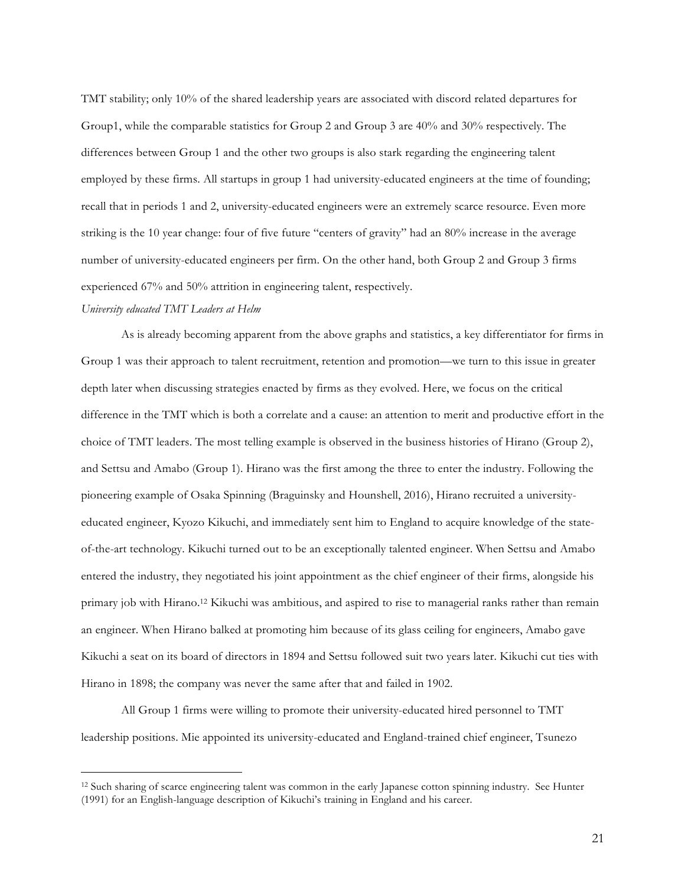TMT stability; only 10% of the shared leadership years are associated with discord related departures for Group1, while the comparable statistics for Group 2 and Group 3 are 40% and 30% respectively. The differences between Group 1 and the other two groups is also stark regarding the engineering talent employed by these firms. All startups in group 1 had university-educated engineers at the time of founding; recall that in periods 1 and 2, university-educated engineers were an extremely scarce resource. Even more striking is the 10 year change: four of five future "centers of gravity" had an 80% increase in the average number of university-educated engineers per firm. On the other hand, both Group 2 and Group 3 firms experienced 67% and 50% attrition in engineering talent, respectively.

#### *University educated TMT Leaders at Helm*

As is already becoming apparent from the above graphs and statistics, a key differentiator for firms in Group 1 was their approach to talent recruitment, retention and promotion—we turn to this issue in greater depth later when discussing strategies enacted by firms as they evolved. Here, we focus on the critical difference in the TMT which is both a correlate and a cause: an attention to merit and productive effort in the choice of TMT leaders. The most telling example is observed in the business histories of Hirano (Group 2), and Settsu and Amabo (Group 1). Hirano was the first among the three to enter the industry. Following the pioneering example of Osaka Spinning (Braguinsky and Hounshell, 2016), Hirano recruited a universityeducated engineer, Kyozo Kikuchi, and immediately sent him to England to acquire knowledge of the stateof-the-art technology. Kikuchi turned out to be an exceptionally talented engineer. When Settsu and Amabo entered the industry, they negotiated his joint appointment as the chief engineer of their firms, alongside his primary job with Hirano.12 Kikuchi was ambitious, and aspired to rise to managerial ranks rather than remain an engineer. When Hirano balked at promoting him because of its glass ceiling for engineers, Amabo gave Kikuchi a seat on its board of directors in 1894 and Settsu followed suit two years later. Kikuchi cut ties with Hirano in 1898; the company was never the same after that and failed in 1902.

All Group 1 firms were willing to promote their university-educated hired personnel to TMT leadership positions. Mie appointed its university-educated and England-trained chief engineer, Tsunezo

 <sup>12</sup> Such sharing of scarce engineering talent was common in the early Japanese cotton spinning industry. See Hunter (1991) for an English-language description of Kikuchi's training in England and his career.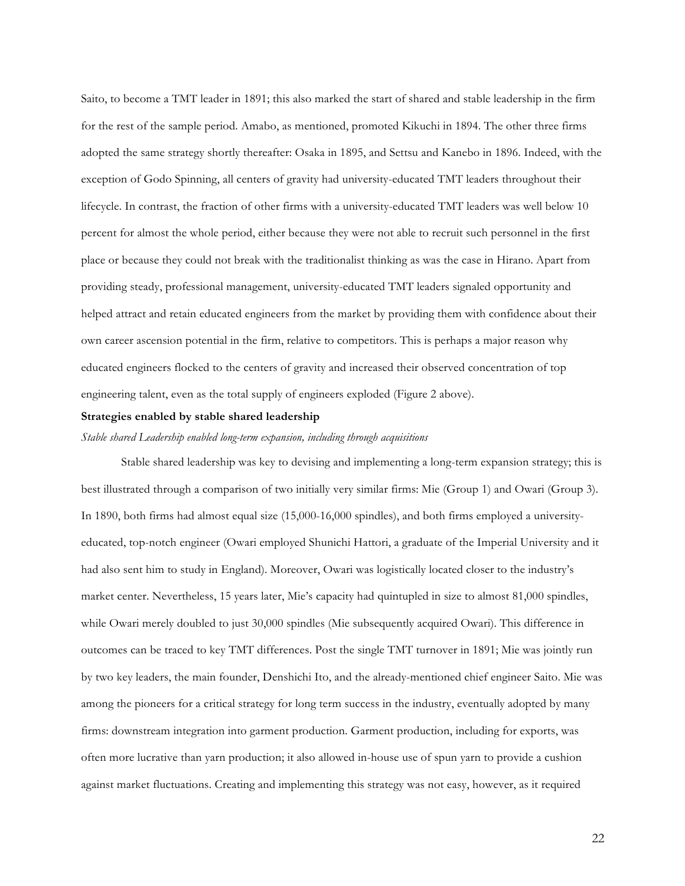Saito, to become a TMT leader in 1891; this also marked the start of shared and stable leadership in the firm for the rest of the sample period. Amabo, as mentioned, promoted Kikuchi in 1894. The other three firms adopted the same strategy shortly thereafter: Osaka in 1895, and Settsu and Kanebo in 1896. Indeed, with the exception of Godo Spinning, all centers of gravity had university-educated TMT leaders throughout their lifecycle. In contrast, the fraction of other firms with a university-educated TMT leaders was well below 10 percent for almost the whole period, either because they were not able to recruit such personnel in the first place or because they could not break with the traditionalist thinking as was the case in Hirano. Apart from providing steady, professional management, university-educated TMT leaders signaled opportunity and helped attract and retain educated engineers from the market by providing them with confidence about their own career ascension potential in the firm, relative to competitors. This is perhaps a major reason why educated engineers flocked to the centers of gravity and increased their observed concentration of top engineering talent, even as the total supply of engineers exploded (Figure 2 above).

#### **Strategies enabled by stable shared leadership**

## *Stable shared Leadership enabled long-term expansion, including through acquisitions*

Stable shared leadership was key to devising and implementing a long-term expansion strategy; this is best illustrated through a comparison of two initially very similar firms: Mie (Group 1) and Owari (Group 3). In 1890, both firms had almost equal size (15,000-16,000 spindles), and both firms employed a universityeducated, top-notch engineer (Owari employed Shunichi Hattori, a graduate of the Imperial University and it had also sent him to study in England). Moreover, Owari was logistically located closer to the industry's market center. Nevertheless, 15 years later, Mie's capacity had quintupled in size to almost 81,000 spindles, while Owari merely doubled to just 30,000 spindles (Mie subsequently acquired Owari). This difference in outcomes can be traced to key TMT differences. Post the single TMT turnover in 1891; Mie was jointly run by two key leaders, the main founder, Denshichi Ito, and the already-mentioned chief engineer Saito. Mie was among the pioneers for a critical strategy for long term success in the industry, eventually adopted by many firms: downstream integration into garment production. Garment production, including for exports, was often more lucrative than yarn production; it also allowed in-house use of spun yarn to provide a cushion against market fluctuations. Creating and implementing this strategy was not easy, however, as it required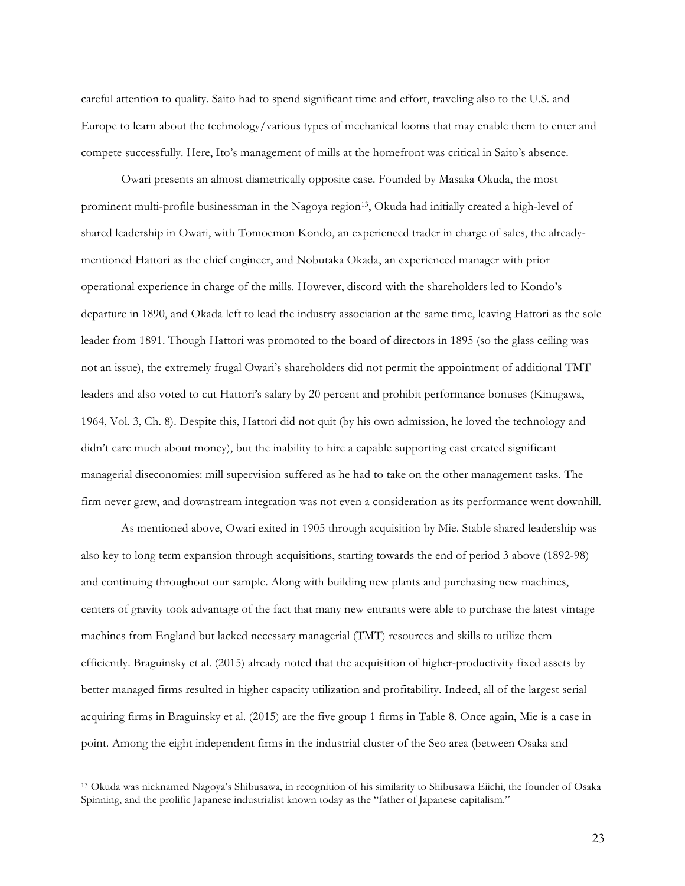careful attention to quality. Saito had to spend significant time and effort, traveling also to the U.S. and Europe to learn about the technology/various types of mechanical looms that may enable them to enter and compete successfully. Here, Ito's management of mills at the homefront was critical in Saito's absence.

Owari presents an almost diametrically opposite case. Founded by Masaka Okuda, the most prominent multi-profile businessman in the Nagoya region13, Okuda had initially created a high-level of shared leadership in Owari, with Tomoemon Kondo, an experienced trader in charge of sales, the alreadymentioned Hattori as the chief engineer, and Nobutaka Okada, an experienced manager with prior operational experience in charge of the mills. However, discord with the shareholders led to Kondo's departure in 1890, and Okada left to lead the industry association at the same time, leaving Hattori as the sole leader from 1891. Though Hattori was promoted to the board of directors in 1895 (so the glass ceiling was not an issue), the extremely frugal Owari's shareholders did not permit the appointment of additional TMT leaders and also voted to cut Hattori's salary by 20 percent and prohibit performance bonuses (Kinugawa, 1964, Vol. 3, Ch. 8). Despite this, Hattori did not quit (by his own admission, he loved the technology and didn't care much about money), but the inability to hire a capable supporting cast created significant managerial diseconomies: mill supervision suffered as he had to take on the other management tasks. The firm never grew, and downstream integration was not even a consideration as its performance went downhill.

As mentioned above, Owari exited in 1905 through acquisition by Mie. Stable shared leadership was also key to long term expansion through acquisitions, starting towards the end of period 3 above (1892-98) and continuing throughout our sample. Along with building new plants and purchasing new machines, centers of gravity took advantage of the fact that many new entrants were able to purchase the latest vintage machines from England but lacked necessary managerial (TMT) resources and skills to utilize them efficiently. Braguinsky et al. (2015) already noted that the acquisition of higher-productivity fixed assets by better managed firms resulted in higher capacity utilization and profitability. Indeed, all of the largest serial acquiring firms in Braguinsky et al. (2015) are the five group 1 firms in Table 8. Once again, Mie is a case in point. Among the eight independent firms in the industrial cluster of the Seo area (between Osaka and

 <sup>13</sup> Okuda was nicknamed Nagoya's Shibusawa, in recognition of his similarity to Shibusawa Eiichi, the founder of Osaka Spinning, and the prolific Japanese industrialist known today as the "father of Japanese capitalism."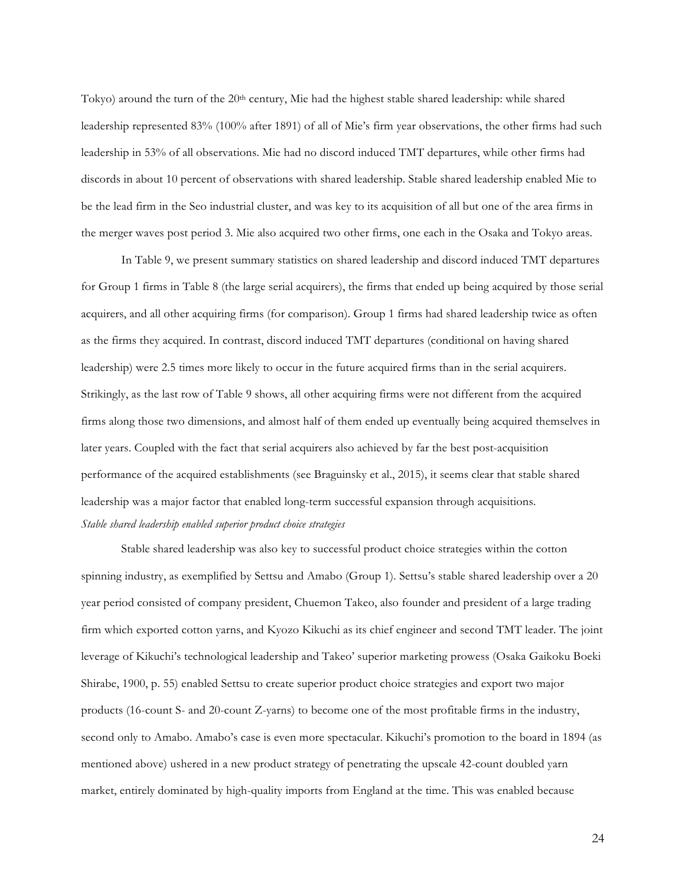Tokyo) around the turn of the 20<sup>th</sup> century, Mie had the highest stable shared leadership: while shared leadership represented 83% (100% after 1891) of all of Mie's firm year observations, the other firms had such leadership in 53% of all observations. Mie had no discord induced TMT departures, while other firms had discords in about 10 percent of observations with shared leadership. Stable shared leadership enabled Mie to be the lead firm in the Seo industrial cluster, and was key to its acquisition of all but one of the area firms in the merger waves post period 3. Mie also acquired two other firms, one each in the Osaka and Tokyo areas.

In Table 9, we present summary statistics on shared leadership and discord induced TMT departures for Group 1 firms in Table 8 (the large serial acquirers), the firms that ended up being acquired by those serial acquirers, and all other acquiring firms (for comparison). Group 1 firms had shared leadership twice as often as the firms they acquired. In contrast, discord induced TMT departures (conditional on having shared leadership) were 2.5 times more likely to occur in the future acquired firms than in the serial acquirers. Strikingly, as the last row of Table 9 shows, all other acquiring firms were not different from the acquired firms along those two dimensions, and almost half of them ended up eventually being acquired themselves in later years. Coupled with the fact that serial acquirers also achieved by far the best post-acquisition performance of the acquired establishments (see Braguinsky et al., 2015), it seems clear that stable shared leadership was a major factor that enabled long-term successful expansion through acquisitions. *Stable shared leadership enabled superior product choice strategies*

Stable shared leadership was also key to successful product choice strategies within the cotton spinning industry, as exemplified by Settsu and Amabo (Group 1). Settsu's stable shared leadership over a 20 year period consisted of company president, Chuemon Takeo, also founder and president of a large trading firm which exported cotton yarns, and Kyozo Kikuchi as its chief engineer and second TMT leader. The joint leverage of Kikuchi's technological leadership and Takeo' superior marketing prowess (Osaka Gaikoku Boeki Shirabe, 1900, p. 55) enabled Settsu to create superior product choice strategies and export two major products (16-count S- and 20-count Z-yarns) to become one of the most profitable firms in the industry, second only to Amabo. Amabo's case is even more spectacular. Kikuchi's promotion to the board in 1894 (as mentioned above) ushered in a new product strategy of penetrating the upscale 42-count doubled yarn market, entirely dominated by high-quality imports from England at the time. This was enabled because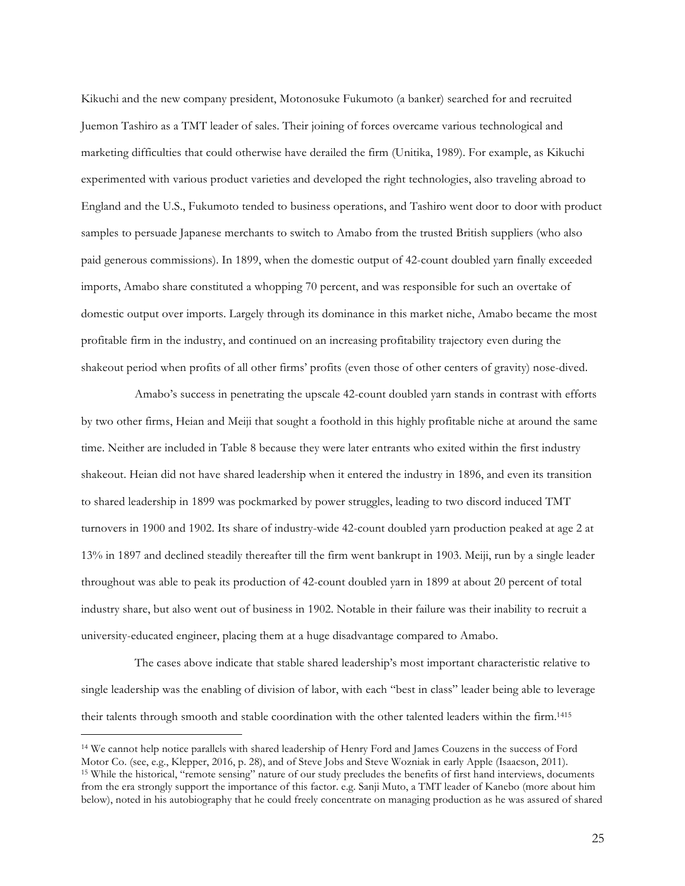Kikuchi and the new company president, Motonosuke Fukumoto (a banker) searched for and recruited Juemon Tashiro as a TMT leader of sales. Their joining of forces overcame various technological and marketing difficulties that could otherwise have derailed the firm (Unitika, 1989). For example, as Kikuchi experimented with various product varieties and developed the right technologies, also traveling abroad to England and the U.S., Fukumoto tended to business operations, and Tashiro went door to door with product samples to persuade Japanese merchants to switch to Amabo from the trusted British suppliers (who also paid generous commissions). In 1899, when the domestic output of 42-count doubled yarn finally exceeded imports, Amabo share constituted a whopping 70 percent, and was responsible for such an overtake of domestic output over imports. Largely through its dominance in this market niche, Amabo became the most profitable firm in the industry, and continued on an increasing profitability trajectory even during the shakeout period when profits of all other firms' profits (even those of other centers of gravity) nose-dived.

Amabo's success in penetrating the upscale 42-count doubled yarn stands in contrast with efforts by two other firms, Heian and Meiji that sought a foothold in this highly profitable niche at around the same time. Neither are included in Table 8 because they were later entrants who exited within the first industry shakeout. Heian did not have shared leadership when it entered the industry in 1896, and even its transition to shared leadership in 1899 was pockmarked by power struggles, leading to two discord induced TMT turnovers in 1900 and 1902. Its share of industry-wide 42-count doubled yarn production peaked at age 2 at 13% in 1897 and declined steadily thereafter till the firm went bankrupt in 1903. Meiji, run by a single leader throughout was able to peak its production of 42-count doubled yarn in 1899 at about 20 percent of total industry share, but also went out of business in 1902. Notable in their failure was their inability to recruit a university-educated engineer, placing them at a huge disadvantage compared to Amabo.

The cases above indicate that stable shared leadership's most important characteristic relative to single leadership was the enabling of division of labor, with each "best in class" leader being able to leverage their talents through smooth and stable coordination with the other talented leaders within the firm. 1415

 <sup>14</sup> We cannot help notice parallels with shared leadership of Henry Ford and James Couzens in the success of Ford Motor Co. (see, e.g., Klepper, 2016, p. 28), and of Steve Jobs and Steve Wozniak in early Apple (Isaacson, 2011). <sup>15</sup> While the historical, "remote sensing" nature of our study precludes the benefits of first hand interviews, documents from the era strongly support the importance of this factor. e.g. Sanji Muto, a TMT leader of Kanebo (more about him below), noted in his autobiography that he could freely concentrate on managing production as he was assured of shared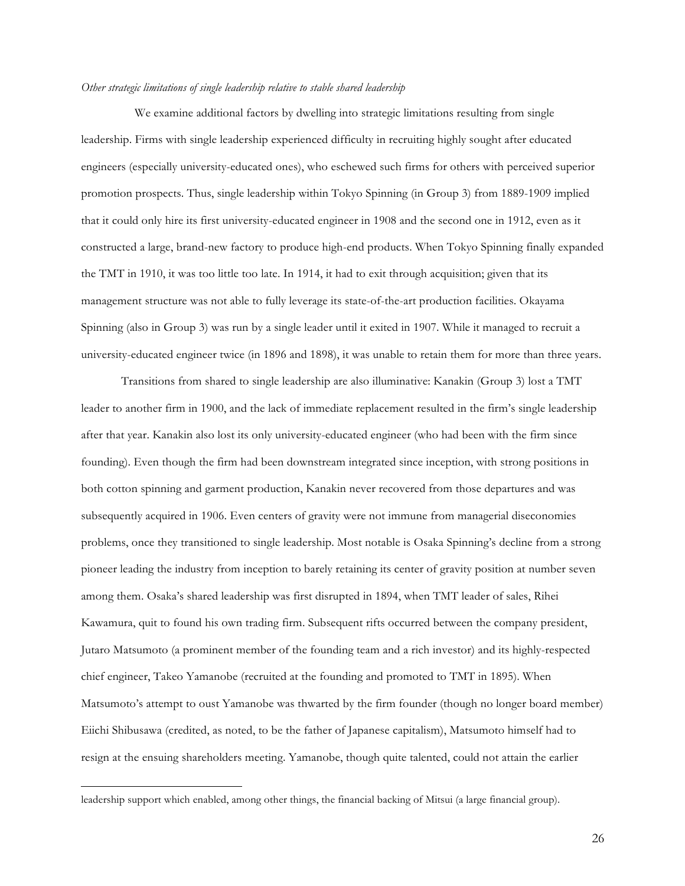## *Other strategic limitations of single leadership relative to stable shared leadership*

We examine additional factors by dwelling into strategic limitations resulting from single leadership. Firms with single leadership experienced difficulty in recruiting highly sought after educated engineers (especially university-educated ones), who eschewed such firms for others with perceived superior promotion prospects. Thus, single leadership within Tokyo Spinning (in Group 3) from 1889-1909 implied that it could only hire its first university-educated engineer in 1908 and the second one in 1912, even as it constructed a large, brand-new factory to produce high-end products. When Tokyo Spinning finally expanded the TMT in 1910, it was too little too late. In 1914, it had to exit through acquisition; given that its management structure was not able to fully leverage its state-of-the-art production facilities. Okayama Spinning (also in Group 3) was run by a single leader until it exited in 1907. While it managed to recruit a university-educated engineer twice (in 1896 and 1898), it was unable to retain them for more than three years.

Transitions from shared to single leadership are also illuminative: Kanakin (Group 3) lost a TMT leader to another firm in 1900, and the lack of immediate replacement resulted in the firm's single leadership after that year. Kanakin also lost its only university-educated engineer (who had been with the firm since founding). Even though the firm had been downstream integrated since inception, with strong positions in both cotton spinning and garment production, Kanakin never recovered from those departures and was subsequently acquired in 1906. Even centers of gravity were not immune from managerial diseconomies problems, once they transitioned to single leadership. Most notable is Osaka Spinning's decline from a strong pioneer leading the industry from inception to barely retaining its center of gravity position at number seven among them. Osaka's shared leadership was first disrupted in 1894, when TMT leader of sales, Rihei Kawamura, quit to found his own trading firm. Subsequent rifts occurred between the company president, Jutaro Matsumoto (a prominent member of the founding team and a rich investor) and its highly-respected chief engineer, Takeo Yamanobe (recruited at the founding and promoted to TMT in 1895). When Matsumoto's attempt to oust Yamanobe was thwarted by the firm founder (though no longer board member) Eiichi Shibusawa (credited, as noted, to be the father of Japanese capitalism), Matsumoto himself had to resign at the ensuing shareholders meeting. Yamanobe, though quite talented, could not attain the earlier

leadership support which enabled, among other things, the financial backing of Mitsui (a large financial group).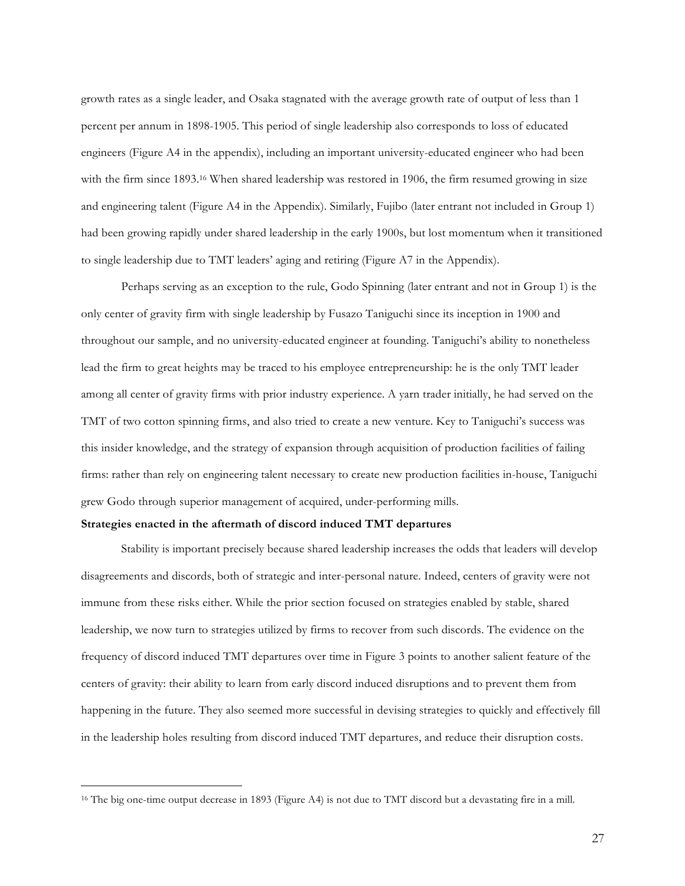growth rates as a single leader, and Osaka stagnated with the average growth rate of output of less than 1 percent per annum in 1898-1905. This period of single leadership also corresponds to loss of educated engineers (Figure A4 in the appendix), including an important university-educated engineer who had been with the firm since 1893. <sup>16</sup> When shared leadership was restored in 1906, the firm resumed growing in size and engineering talent (Figure A4 in the Appendix). Similarly, Fujibo (later entrant not included in Group 1) had been growing rapidly under shared leadership in the early 1900s, but lost momentum when it transitioned to single leadership due to TMT leaders' aging and retiring (Figure A7 in the Appendix).

Perhaps serving as an exception to the rule, Godo Spinning (later entrant and not in Group 1) is the only center of gravity firm with single leadership by Fusazo Taniguchi since its inception in 1900 and throughout our sample, and no university-educated engineer at founding. Taniguchi's ability to nonetheless lead the firm to great heights may be traced to his employee entrepreneurship: he is the only TMT leader among all center of gravity firms with prior industry experience. A yarn trader initially, he had served on the TMT of two cotton spinning firms, and also tried to create a new venture. Key to Taniguchi's success was this insider knowledge, and the strategy of expansion through acquisition of production facilities of failing firms: rather than rely on engineering talent necessary to create new production facilities in-house, Taniguchi grew Godo through superior management of acquired, under-performing mills.

#### **Strategies enacted in the aftermath of discord induced TMT departures**

Stability is important precisely because shared leadership increases the odds that leaders will develop disagreements and discords, both of strategic and inter-personal nature. Indeed, centers of gravity were not immune from these risks either. While the prior section focused on strategies enabled by stable, shared leadership, we now turn to strategies utilized by firms to recover from such discords. The evidence on the frequency of discord induced TMT departures over time in Figure 3 points to another salient feature of the centers of gravity: their ability to learn from early discord induced disruptions and to prevent them from happening in the future. They also seemed more successful in devising strategies to quickly and effectively fill in the leadership holes resulting from discord induced TMT departures, and reduce their disruption costs.

<sup>&</sup>lt;sup>16</sup> The big one-time output decrease in 1893 (Figure A4) is not due to TMT discord but a devastating fire in a mill.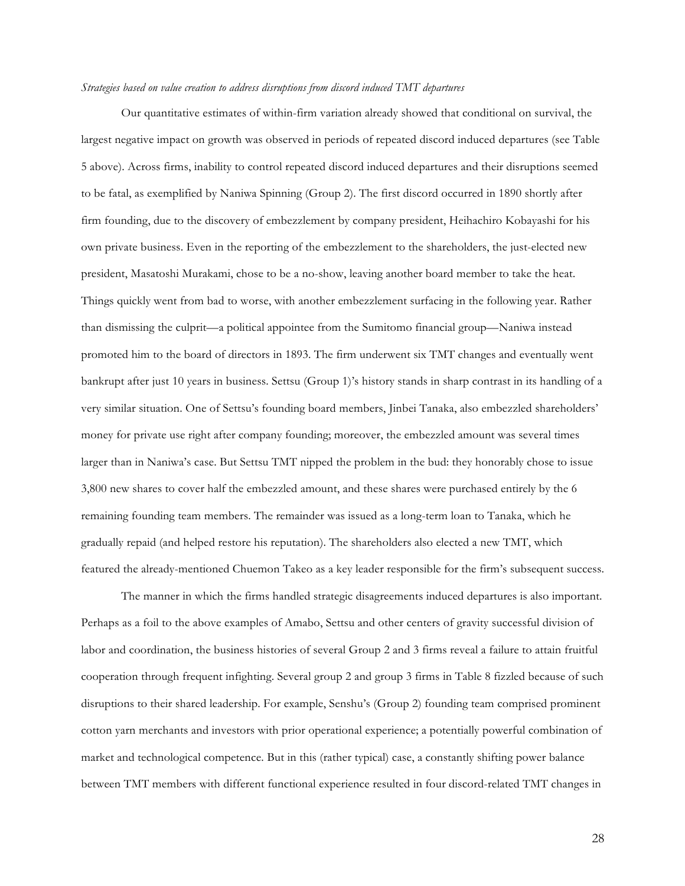## *Strategies based on value creation to address disruptions from discord induced TMT departures*

Our quantitative estimates of within-firm variation already showed that conditional on survival, the largest negative impact on growth was observed in periods of repeated discord induced departures (see Table 5 above). Across firms, inability to control repeated discord induced departures and their disruptions seemed to be fatal, as exemplified by Naniwa Spinning (Group 2). The first discord occurred in 1890 shortly after firm founding, due to the discovery of embezzlement by company president, Heihachiro Kobayashi for his own private business. Even in the reporting of the embezzlement to the shareholders, the just-elected new president, Masatoshi Murakami, chose to be a no-show, leaving another board member to take the heat. Things quickly went from bad to worse, with another embezzlement surfacing in the following year. Rather than dismissing the culprit—a political appointee from the Sumitomo financial group—Naniwa instead promoted him to the board of directors in 1893. The firm underwent six TMT changes and eventually went bankrupt after just 10 years in business. Settsu (Group 1)'s history stands in sharp contrast in its handling of a very similar situation. One of Settsu's founding board members, Jinbei Tanaka, also embezzled shareholders' money for private use right after company founding; moreover, the embezzled amount was several times larger than in Naniwa's case. But Settsu TMT nipped the problem in the bud: they honorably chose to issue 3,800 new shares to cover half the embezzled amount, and these shares were purchased entirely by the 6 remaining founding team members. The remainder was issued as a long-term loan to Tanaka, which he gradually repaid (and helped restore his reputation). The shareholders also elected a new TMT, which featured the already-mentioned Chuemon Takeo as a key leader responsible for the firm's subsequent success.

The manner in which the firms handled strategic disagreements induced departures is also important. Perhaps as a foil to the above examples of Amabo, Settsu and other centers of gravity successful division of labor and coordination, the business histories of several Group 2 and 3 firms reveal a failure to attain fruitful cooperation through frequent infighting. Several group 2 and group 3 firms in Table 8 fizzled because of such disruptions to their shared leadership. For example, Senshu's (Group 2) founding team comprised prominent cotton yarn merchants and investors with prior operational experience; a potentially powerful combination of market and technological competence. But in this (rather typical) case, a constantly shifting power balance between TMT members with different functional experience resulted in four discord-related TMT changes in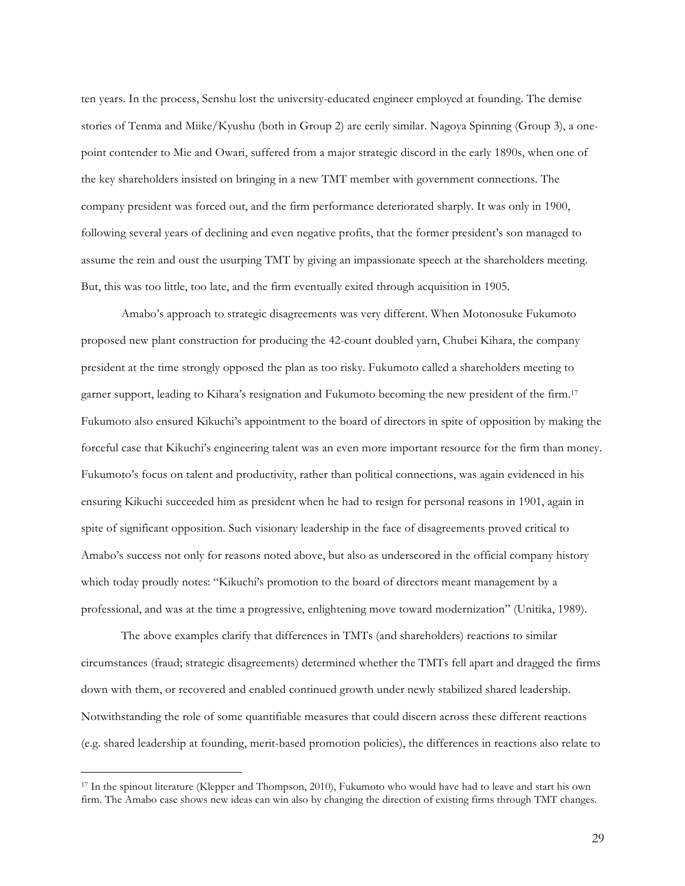ten years. In the process, Senshu lost the university-educated engineer employed at founding. The demise stories of Tenma and Miike/Kyushu (both in Group 2) are eerily similar. Nagoya Spinning (Group 3), a onepoint contender to Mie and Owari, suffered from a major strategic discord in the early 1890s, when one of the key shareholders insisted on bringing in a new TMT member with government connections. The company president was forced out, and the firm performance deteriorated sharply. It was only in 1900, following several years of declining and even negative profits, that the former president's son managed to assume the rein and oust the usurping TMT by giving an impassionate speech at the shareholders meeting. But, this was too little, too late, and the firm eventually exited through acquisition in 1905.

Amabo's approach to strategic disagreements was very different. When Motonosuke Fukumoto proposed new plant construction for producing the 42-count doubled yarn, Chubei Kihara, the company president at the time strongly opposed the plan as too risky. Fukumoto called a shareholders meeting to garner support, leading to Kihara's resignation and Fukumoto becoming the new president of the firm. 17 Fukumoto also ensured Kikuchi's appointment to the board of directors in spite of opposition by making the forceful case that Kikuchi's engineering talent was an even more important resource for the firm than money. Fukumoto's focus on talent and productivity, rather than political connections, was again evidenced in his ensuring Kikuchi succeeded him as president when he had to resign for personal reasons in 1901, again in spite of significant opposition. Such visionary leadership in the face of disagreements proved critical to Amabo's success not only for reasons noted above, but also as underscored in the official company history which today proudly notes: "Kikuchi's promotion to the board of directors meant management by a professional, and was at the time a progressive, enlightening move toward modernization" (Unitika, 1989).

The above examples clarify that differences in TMTs (and shareholders) reactions to similar circumstances (fraud; strategic disagreements) determined whether the TMTs fell apart and dragged the firms down with them, or recovered and enabled continued growth under newly stabilized shared leadership. Notwithstanding the role of some quantifiable measures that could discern across these different reactions (e.g. shared leadership at founding, merit-based promotion policies), the differences in reactions also relate to

 <sup>17</sup> In the spinout literature (Klepper and Thompson, 2010), Fukumoto who would have had to leave and start his own firm. The Amabo case shows new ideas can win also by changing the direction of existing firms through TMT changes.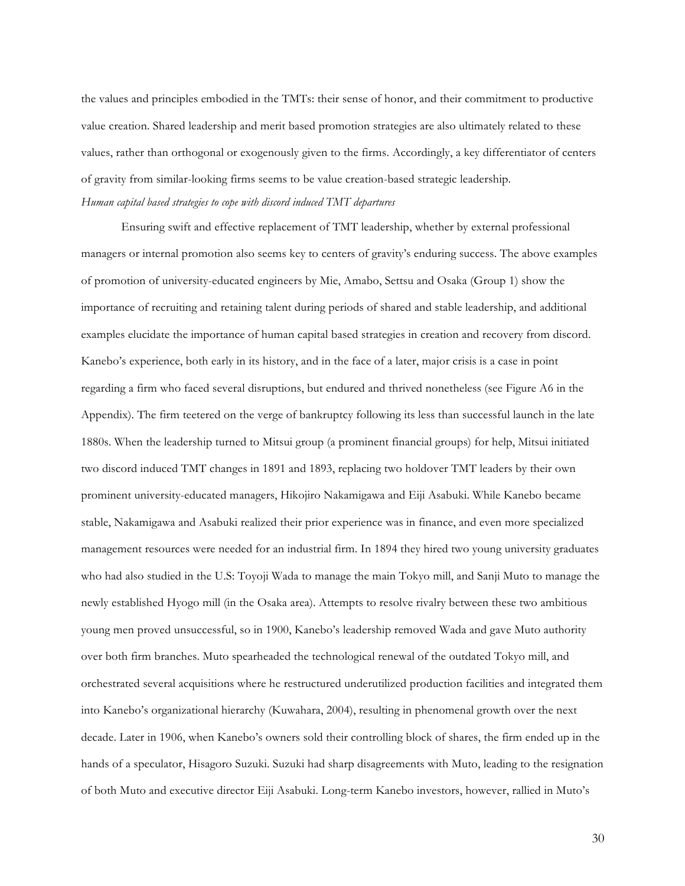the values and principles embodied in the TMTs: their sense of honor, and their commitment to productive value creation. Shared leadership and merit based promotion strategies are also ultimately related to these values, rather than orthogonal or exogenously given to the firms. Accordingly, a key differentiator of centers of gravity from similar-looking firms seems to be value creation-based strategic leadership. *Human capital based strategies to cope with discord induced TMT departures*

Ensuring swift and effective replacement of TMT leadership, whether by external professional managers or internal promotion also seems key to centers of gravity's enduring success. The above examples of promotion of university-educated engineers by Mie, Amabo, Settsu and Osaka (Group 1) show the importance of recruiting and retaining talent during periods of shared and stable leadership, and additional examples elucidate the importance of human capital based strategies in creation and recovery from discord. Kanebo's experience, both early in its history, and in the face of a later, major crisis is a case in point regarding a firm who faced several disruptions, but endured and thrived nonetheless (see Figure A6 in the Appendix). The firm teetered on the verge of bankruptcy following its less than successful launch in the late 1880s. When the leadership turned to Mitsui group (a prominent financial groups) for help, Mitsui initiated two discord induced TMT changes in 1891 and 1893, replacing two holdover TMT leaders by their own prominent university-educated managers, Hikojiro Nakamigawa and Eiji Asabuki. While Kanebo became stable, Nakamigawa and Asabuki realized their prior experience was in finance, and even more specialized management resources were needed for an industrial firm. In 1894 they hired two young university graduates who had also studied in the U.S: Toyoji Wada to manage the main Tokyo mill, and Sanji Muto to manage the newly established Hyogo mill (in the Osaka area). Attempts to resolve rivalry between these two ambitious young men proved unsuccessful, so in 1900, Kanebo's leadership removed Wada and gave Muto authority over both firm branches. Muto spearheaded the technological renewal of the outdated Tokyo mill, and orchestrated several acquisitions where he restructured underutilized production facilities and integrated them into Kanebo's organizational hierarchy (Kuwahara, 2004), resulting in phenomenal growth over the next decade. Later in 1906, when Kanebo's owners sold their controlling block of shares, the firm ended up in the hands of a speculator, Hisagoro Suzuki. Suzuki had sharp disagreements with Muto, leading to the resignation of both Muto and executive director Eiji Asabuki. Long-term Kanebo investors, however, rallied in Muto's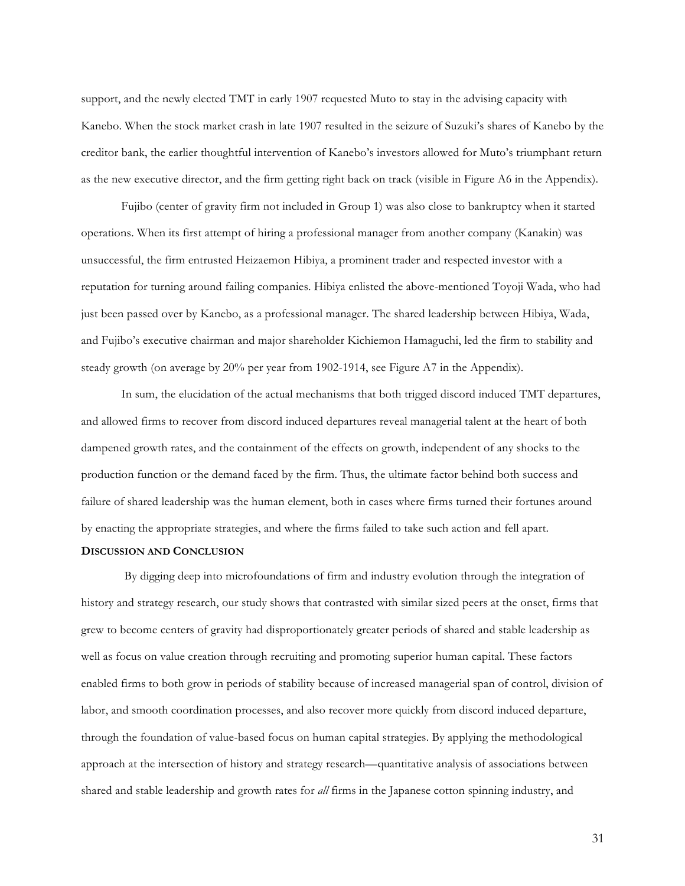support, and the newly elected TMT in early 1907 requested Muto to stay in the advising capacity with Kanebo. When the stock market crash in late 1907 resulted in the seizure of Suzuki's shares of Kanebo by the creditor bank, the earlier thoughtful intervention of Kanebo's investors allowed for Muto's triumphant return as the new executive director, and the firm getting right back on track (visible in Figure A6 in the Appendix).

Fujibo (center of gravity firm not included in Group 1) was also close to bankruptcy when it started operations. When its first attempt of hiring a professional manager from another company (Kanakin) was unsuccessful, the firm entrusted Heizaemon Hibiya, a prominent trader and respected investor with a reputation for turning around failing companies. Hibiya enlisted the above-mentioned Toyoji Wada, who had just been passed over by Kanebo, as a professional manager. The shared leadership between Hibiya, Wada, and Fujibo's executive chairman and major shareholder Kichiemon Hamaguchi, led the firm to stability and steady growth (on average by 20% per year from 1902-1914, see Figure A7 in the Appendix).

In sum, the elucidation of the actual mechanisms that both trigged discord induced TMT departures, and allowed firms to recover from discord induced departures reveal managerial talent at the heart of both dampened growth rates, and the containment of the effects on growth, independent of any shocks to the production function or the demand faced by the firm. Thus, the ultimate factor behind both success and failure of shared leadership was the human element, both in cases where firms turned their fortunes around by enacting the appropriate strategies, and where the firms failed to take such action and fell apart.

## **DISCUSSION AND CONCLUSION**

By digging deep into microfoundations of firm and industry evolution through the integration of history and strategy research, our study shows that contrasted with similar sized peers at the onset, firms that grew to become centers of gravity had disproportionately greater periods of shared and stable leadership as well as focus on value creation through recruiting and promoting superior human capital. These factors enabled firms to both grow in periods of stability because of increased managerial span of control, division of labor, and smooth coordination processes, and also recover more quickly from discord induced departure, through the foundation of value-based focus on human capital strategies. By applying the methodological approach at the intersection of history and strategy research—quantitative analysis of associations between shared and stable leadership and growth rates for *all* firms in the Japanese cotton spinning industry, and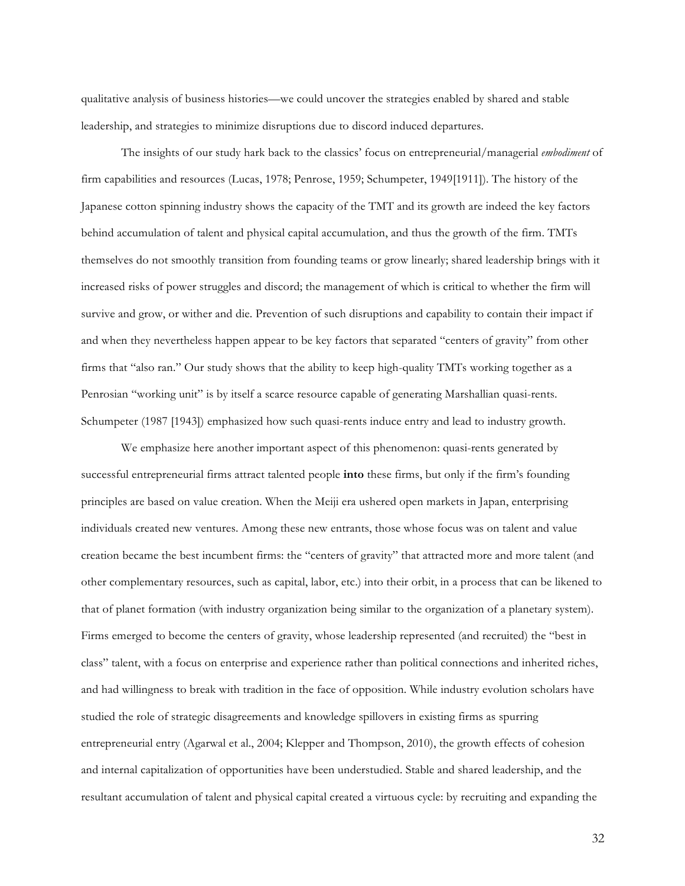qualitative analysis of business histories—we could uncover the strategies enabled by shared and stable leadership, and strategies to minimize disruptions due to discord induced departures.

The insights of our study hark back to the classics' focus on entrepreneurial/managerial *embodiment* of firm capabilities and resources (Lucas, 1978; Penrose, 1959; Schumpeter, 1949[1911]). The history of the Japanese cotton spinning industry shows the capacity of the TMT and its growth are indeed the key factors behind accumulation of talent and physical capital accumulation, and thus the growth of the firm. TMTs themselves do not smoothly transition from founding teams or grow linearly; shared leadership brings with it increased risks of power struggles and discord; the management of which is critical to whether the firm will survive and grow, or wither and die. Prevention of such disruptions and capability to contain their impact if and when they nevertheless happen appear to be key factors that separated "centers of gravity" from other firms that "also ran." Our study shows that the ability to keep high-quality TMTs working together as a Penrosian "working unit" is by itself a scarce resource capable of generating Marshallian quasi-rents. Schumpeter (1987 [1943]) emphasized how such quasi-rents induce entry and lead to industry growth.

We emphasize here another important aspect of this phenomenon: quasi-rents generated by successful entrepreneurial firms attract talented people **into** these firms, but only if the firm's founding principles are based on value creation. When the Meiji era ushered open markets in Japan, enterprising individuals created new ventures. Among these new entrants, those whose focus was on talent and value creation became the best incumbent firms: the "centers of gravity" that attracted more and more talent (and other complementary resources, such as capital, labor, etc.) into their orbit, in a process that can be likened to that of planet formation (with industry organization being similar to the organization of a planetary system). Firms emerged to become the centers of gravity, whose leadership represented (and recruited) the "best in class" talent, with a focus on enterprise and experience rather than political connections and inherited riches, and had willingness to break with tradition in the face of opposition. While industry evolution scholars have studied the role of strategic disagreements and knowledge spillovers in existing firms as spurring entrepreneurial entry (Agarwal et al., 2004; Klepper and Thompson, 2010), the growth effects of cohesion and internal capitalization of opportunities have been understudied. Stable and shared leadership, and the resultant accumulation of talent and physical capital created a virtuous cycle: by recruiting and expanding the

32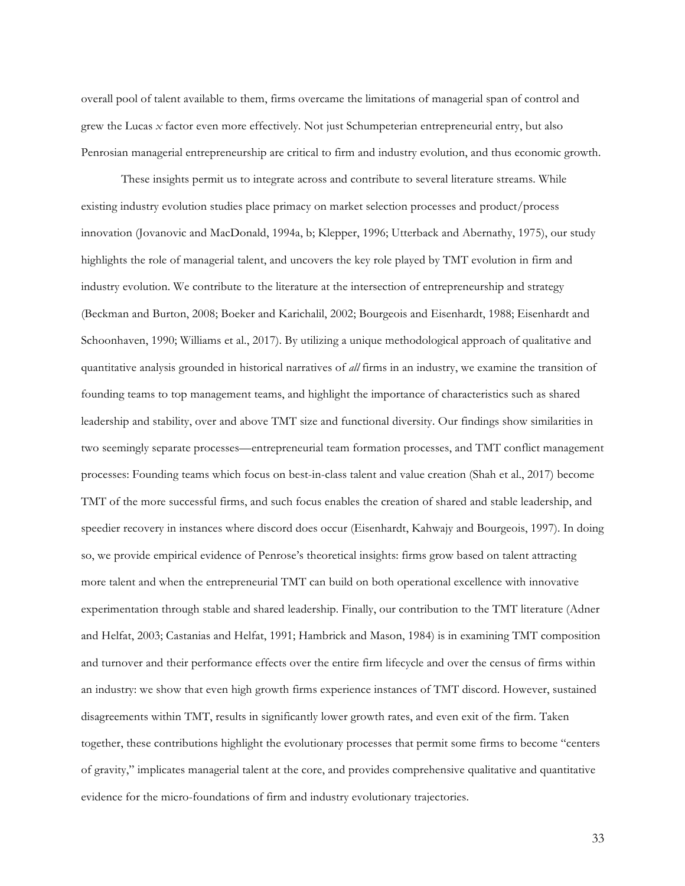overall pool of talent available to them, firms overcame the limitations of managerial span of control and grew the Lucas *x* factor even more effectively. Not just Schumpeterian entrepreneurial entry, but also Penrosian managerial entrepreneurship are critical to firm and industry evolution, and thus economic growth.

These insights permit us to integrate across and contribute to several literature streams. While existing industry evolution studies place primacy on market selection processes and product/process innovation (Jovanovic and MacDonald, 1994a, b; Klepper, 1996; Utterback and Abernathy, 1975), our study highlights the role of managerial talent, and uncovers the key role played by TMT evolution in firm and industry evolution. We contribute to the literature at the intersection of entrepreneurship and strategy (Beckman and Burton, 2008; Boeker and Karichalil, 2002; Bourgeois and Eisenhardt, 1988; Eisenhardt and Schoonhaven, 1990; Williams et al., 2017). By utilizing a unique methodological approach of qualitative and quantitative analysis grounded in historical narratives of *all* firms in an industry, we examine the transition of founding teams to top management teams, and highlight the importance of characteristics such as shared leadership and stability, over and above TMT size and functional diversity. Our findings show similarities in two seemingly separate processes—entrepreneurial team formation processes, and TMT conflict management processes: Founding teams which focus on best-in-class talent and value creation (Shah et al., 2017) become TMT of the more successful firms, and such focus enables the creation of shared and stable leadership, and speedier recovery in instances where discord does occur (Eisenhardt, Kahwajy and Bourgeois, 1997). In doing so, we provide empirical evidence of Penrose's theoretical insights: firms grow based on talent attracting more talent and when the entrepreneurial TMT can build on both operational excellence with innovative experimentation through stable and shared leadership. Finally, our contribution to the TMT literature (Adner and Helfat, 2003; Castanias and Helfat, 1991; Hambrick and Mason, 1984) is in examining TMT composition and turnover and their performance effects over the entire firm lifecycle and over the census of firms within an industry: we show that even high growth firms experience instances of TMT discord. However, sustained disagreements within TMT, results in significantly lower growth rates, and even exit of the firm. Taken together, these contributions highlight the evolutionary processes that permit some firms to become "centers of gravity," implicates managerial talent at the core, and provides comprehensive qualitative and quantitative evidence for the micro-foundations of firm and industry evolutionary trajectories.

33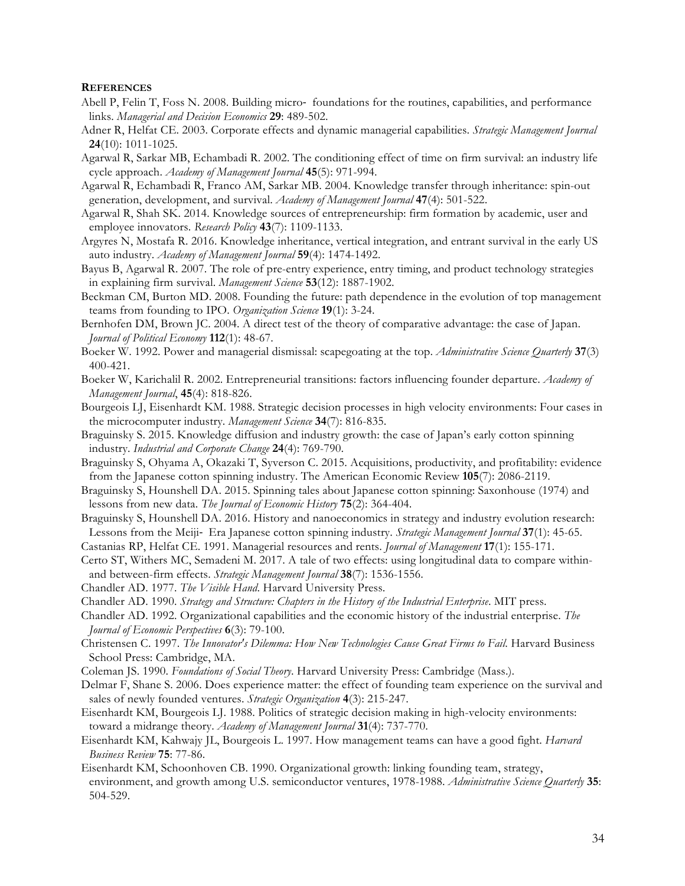#### **REFERENCES**

- Abell P, Felin T, Foss N. 2008. Building micro- foundations for the routines, capabilities, and performance links. *Managerial and Decision Economics* **29**: 489-502.
- Adner R, Helfat CE. 2003. Corporate effects and dynamic managerial capabilities. *Strategic Management Journal* **24**(10): 1011-1025.
- Agarwal R, Sarkar MB, Echambadi R. 2002. The conditioning effect of time on firm survival: an industry life cycle approach. *Academy of Management Journal* **45**(5): 971-994.
- Agarwal R, Echambadi R, Franco AM, Sarkar MB. 2004. Knowledge transfer through inheritance: spin-out generation, development, and survival. *Academy of Management Journal* **47**(4): 501-522.
- Agarwal R, Shah SK. 2014. Knowledge sources of entrepreneurship: firm formation by academic, user and employee innovators. *Research Policy* **43**(7): 1109-1133.
- Argyres N, Mostafa R. 2016. Knowledge inheritance, vertical integration, and entrant survival in the early US auto industry. *Academy of Management Journal* **59**(4): 1474-1492.
- Bayus B, Agarwal R. 2007. The role of pre-entry experience, entry timing, and product technology strategies in explaining firm survival. *Management Science* **53**(12): 1887-1902.
- Beckman CM, Burton MD. 2008. Founding the future: path dependence in the evolution of top management teams from founding to IPO. *Organization Science* **19**(1): 3-24.
- Bernhofen DM, Brown JC. 2004. A direct test of the theory of comparative advantage: the case of Japan. *Journal of Political Economy* **112**(1): 48-67.
- Boeker W. 1992. Power and managerial dismissal: scapegoating at the top. *Administrative Science Quarterly* **37**(3) 400-421.
- Boeker W, Karichalil R. 2002. Entrepreneurial transitions: factors influencing founder departure. *Academy of Management Journal*, **45**(4): 818-826.
- Bourgeois LJ, Eisenhardt KM. 1988. Strategic decision processes in high velocity environments: Four cases in the microcomputer industry. *Management Science* **34**(7): 816-835.
- Braguinsky S. 2015. Knowledge diffusion and industry growth: the case of Japan's early cotton spinning industry. *Industrial and Corporate Change* **24**(4): 769-790.
- Braguinsky S, Ohyama A, Okazaki T, Syverson C. 2015. Acquisitions, productivity, and profitability: evidence from the Japanese cotton spinning industry. The American Economic Review **105**(7): 2086-2119.
- Braguinsky S, Hounshell DA. 2015. Spinning tales about Japanese cotton spinning: Saxonhouse (1974) and lessons from new data. *The Journal of Economic History* **75**(2): 364-404.
- Braguinsky S, Hounshell DA. 2016. History and nanoeconomics in strategy and industry evolution research: Lessons from the Meiji- Era Japanese cotton spinning industry. *Strategic Management Journal* **37**(1): 45-65.
- Castanias RP, Helfat CE. 1991. Managerial resources and rents. *Journal of Management* **17**(1): 155-171.
- Certo ST, Withers MC, Semadeni M. 2017. A tale of two effects: using longitudinal data to compare withinand between-firm effects. *Strategic Management Journal* **38**(7): 1536-1556.
- Chandler AD. 1977. *The Visible Hand*. Harvard University Press.
- Chandler AD. 1990. *Strategy and Structure: Chapters in the History of the Industrial Enterprise*. MIT press.
- Chandler AD. 1992. Organizational capabilities and the economic history of the industrial enterprise. *The Journal of Economic Perspectives* **6**(3): 79-100.
- Christensen C. 1997. *The Innovator's Dilemma: How New Technologies Cause Great Firms to Fail*. Harvard Business School Press: Cambridge, MA.
- Coleman JS. 1990. *Foundations of Social Theory*. Harvard University Press: Cambridge (Mass.).
- Delmar F, Shane S. 2006. Does experience matter: the effect of founding team experience on the survival and sales of newly founded ventures. *Strategic Organization* **4**(3): 215-247.
- Eisenhardt KM, Bourgeois LJ. 1988. Politics of strategic decision making in high-velocity environments: toward a midrange theory. *Academy of Management Journal* **31**(4): 737-770.
- Eisenhardt KM, Kahwajy JL, Bourgeois L. 1997. How management teams can have a good fight. *Harvard Business Review* **75**: 77-86.
- Eisenhardt KM, Schoonhoven CB. 1990. Organizational growth: linking founding team, strategy, environment, and growth among U.S. semiconductor ventures, 1978-1988. *Administrative Science Quarterly* **35**: 504-529.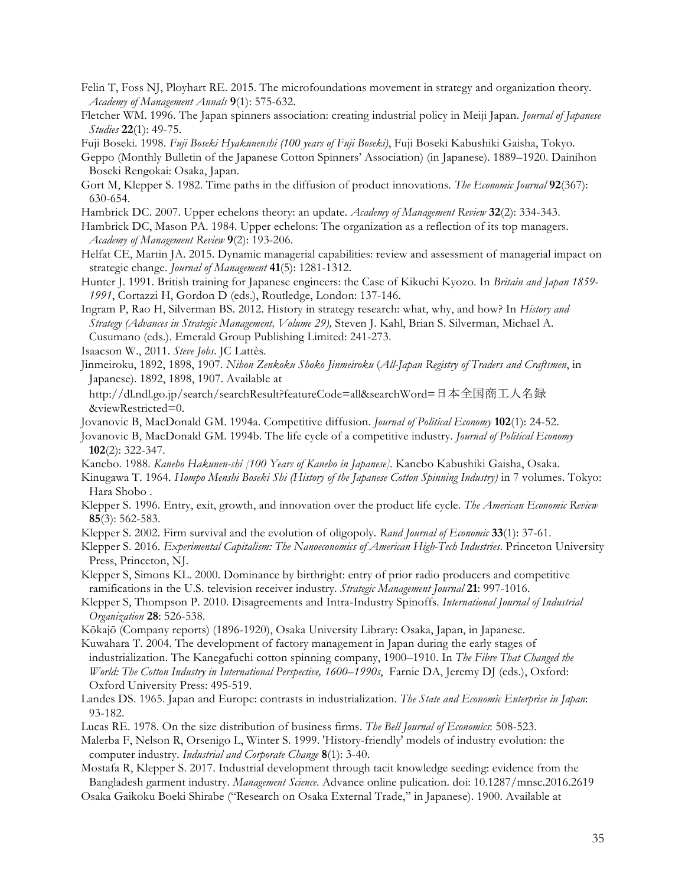- Felin T, Foss NJ, Ployhart RE. 2015. The microfoundations movement in strategy and organization theory. *Academy of Management Annals* **9**(1): 575-632.
- Fletcher WM. 1996. The Japan spinners association: creating industrial policy in Meiji Japan. *Journal of Japanese Studies* **22**(1): 49-75.
- Fuji Boseki. 1998. *Fuji Boseki Hyakunenshi (100 years of Fuji Boseki)*, Fuji Boseki Kabushiki Gaisha, Tokyo.
- Geppo (Monthly Bulletin of the Japanese Cotton Spinners' Association) (in Japanese). 1889–1920. Dainihon Boseki Rengokai: Osaka, Japan.
- Gort M, Klepper S. 1982. Time paths in the diffusion of product innovations. *The Economic Journal* **92**(367): 630-654.
- Hambrick DC. 2007. Upper echelons theory: an update. *Academy of Management Review* **32**(2): 334-343.
- Hambrick DC, Mason PA. 1984. Upper echelons: The organization as a reflection of its top managers. *Academy of Management Review* **9**(2): 193-206.
- Helfat CE, Martin JA. 2015. Dynamic managerial capabilities: review and assessment of managerial impact on strategic change. *Journal of Management* **41**(5): 1281-1312.
- Hunter J. 1991. British training for Japanese engineers: the Case of Kikuchi Kyozo. In *Britain and Japan 1859- 1991*, Cortazzi H, Gordon D (eds.), Routledge, London: 137-146.
- Ingram P, Rao H, Silverman BS. 2012. History in strategy research: what, why, and how? In *History and Strategy (Advances in Strategic Management, Volume 29),* Steven J. Kahl, Brian S. Silverman, Michael A. Cusumano (eds.). Emerald Group Publishing Limited: 241-273.
- Isaacson W., 2011. *Steve Jobs*. JC Lattès.
- Jinmeiroku, 1892, 1898, 1907. *Nihon Zenkoku Shoko Jinmeiroku* (*All-Japan Registry of Traders and Craftsmen*, in Japanese). 1892, 1898, 1907. Available at
- http://dl.ndl.go.jp/search/searchResult?featureCode=all&searchWord=日本全国商工人名録 &viewRestricted=0.
- Jovanovic B, MacDonald GM. 1994a. Competitive diffusion. *Journal of Political Economy* **102**(1): 24-52.
- Jovanovic B, MacDonald GM. 1994b. The life cycle of a competitive industry. *Journal of Political Economy* **102**(2): 322-347.
- Kanebo. 1988. *Kanebo Hakunen-shi [100 Years of Kanebo in Japanese]*. Kanebo Kabushiki Gaisha, Osaka.
- Kinugawa T. 1964. *Hompo Menshi Boseki Shi (History of the Japanese Cotton Spinning Industry)* in 7 volumes. Tokyo: Hara Shobo .
- Klepper S. 1996. Entry, exit, growth, and innovation over the product life cycle. *The American Economic Review* **85**(3): 562-583.
- Klepper S. 2002. Firm survival and the evolution of oligopoly. *Rand Journal of Economic* **33**(1): 37-61.
- Klepper S. 2016. *Experimental Capitalism: The Nanoeconomics of American High-Tech Industries*. Princeton University Press, Princeton, NJ.
- Klepper S, Simons KL. 2000. Dominance by birthright: entry of prior radio producers and competitive ramifications in the U.S. television receiver industry. *Strategic Management Journal* **21**: 997-1016.
- Klepper S, Thompson P. 2010. Disagreements and Intra-Industry Spinoffs. *International Journal of Industrial Organization* **28**: 526-538.
- Kōkajō (Company reports) (1896-1920), Osaka University Library: Osaka, Japan, in Japanese.
- Kuwahara T. 2004. The development of factory management in Japan during the early stages of industrialization. The Kanegafuchi cotton spinning company, 1900–1910. In *The Fibre That Changed the World: The Cotton Industry in International Perspective, 1600–1990s*, Farnie DA, Jeremy DJ (eds.), Oxford: Oxford University Press: 495-519.
- Landes DS. 1965. Japan and Europe: contrasts in industrialization. *The State and Economic Enterprise in Japan*: 93-182.
- Lucas RE. 1978. On the size distribution of business firms. *The Bell Journal of Economics*: 508-523.
- Malerba F, Nelson R, Orsenigo L, Winter S. 1999. 'History-friendly' models of industry evolution: the computer industry. *Industrial and Corporate Change* **8**(1): 3-40.
- Mostafa R, Klepper S. 2017. Industrial development through tacit knowledge seeding: evidence from the Bangladesh garment industry. *Management Science*. Advance online pulication. doi: 10.1287/mnsc.2016.2619
- Osaka Gaikoku Boeki Shirabe ("Research on Osaka External Trade," in Japanese). 1900. Available at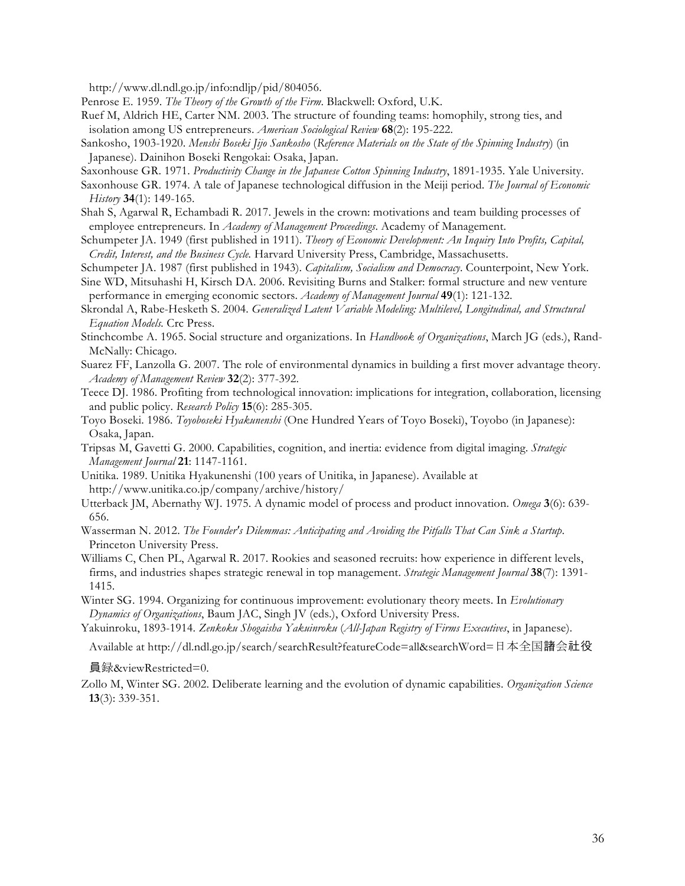http://www.dl.ndl.go.jp/info:ndljp/pid/804056.

- Penrose E. 1959. *The Theory of the Growth of the Firm*. Blackwell: Oxford, U.K.
- Ruef M, Aldrich HE, Carter NM. 2003. The structure of founding teams: homophily, strong ties, and isolation among US entrepreneurs. *American Sociological Review* **68**(2): 195-222.
- Sankosho, 1903-1920. *Menshi Boseki Jijo Sankosho* (*Reference Materials on the State of the Spinning Industry*) (in Japanese). Dainihon Boseki Rengokai: Osaka, Japan.
- Saxonhouse GR. 1971. *Productivity Change in the Japanese Cotton Spinning Industry*, 1891-1935. Yale University.
- Saxonhouse GR. 1974. A tale of Japanese technological diffusion in the Meiji period. *The Journal of Economic History* **34**(1): 149-165.
- Shah S, Agarwal R, Echambadi R. 2017. Jewels in the crown: motivations and team building processes of employee entrepreneurs. In *Academy of Management Proceedings*. Academy of Management.
- Schumpeter JA. 1949 (first published in 1911). *Theory of Economic Development: An Inquiry Into Profits, Capital, Credit, Interest, and the Business Cycle.* Harvard University Press, Cambridge, Massachusetts.
- Schumpeter JA. 1987 (first published in 1943). *Capitalism, Socialism and Democracy*. Counterpoint, New York.
- Sine WD, Mitsuhashi H, Kirsch DA. 2006. Revisiting Burns and Stalker: formal structure and new venture performance in emerging economic sectors. *Academy of Management Journal* **49**(1): 121-132.
- Skrondal A, Rabe-Hesketh S. 2004. *Generalized Latent Variable Modeling: Multilevel, Longitudinal, and Structural Equation Models.* Crc Press.
- Stinchcombe A. 1965. Social structure and organizations. In *Handbook of Organizations*, March JG (eds.), Rand-McNally: Chicago.
- Suarez FF, Lanzolla G. 2007. The role of environmental dynamics in building a first mover advantage theory. *Academy of Management Review* **32**(2): 377-392.
- Teece DJ. 1986. Profiting from technological innovation: implications for integration, collaboration, licensing and public policy. *Research Policy* **15**(6): 285-305.
- Toyo Boseki. 1986. *Toyoboseki Hyakunenshi* (One Hundred Years of Toyo Boseki), Toyobo (in Japanese): Osaka, Japan.
- Tripsas M, Gavetti G. 2000. Capabilities, cognition, and inertia: evidence from digital imaging. *Strategic Management Journal* **21**: 1147-1161.
- Unitika. 1989. Unitika Hyakunenshi (100 years of Unitika, in Japanese). Available at http://www.unitika.co.jp/company/archive/history/
- Utterback JM, Abernathy WJ. 1975. A dynamic model of process and product innovation. *Omega* **3**(6): 639- 656.
- Wasserman N. 2012. *The Founder's Dilemmas: Anticipating and Avoiding the Pitfalls That Can Sink a Startup*. Princeton University Press.
- Williams C, Chen PL, Agarwal R. 2017. Rookies and seasoned recruits: how experience in different levels, firms, and industries shapes strategic renewal in top management. *Strategic Management Journal* **38**(7): 1391- 1415.
- Winter SG. 1994. Organizing for continuous improvement: evolutionary theory meets. In *Evolutionary Dynamics of Organizations*, Baum JAC, Singh JV (eds.), Oxford University Press.
- Yakuinroku, 1893-1914. *Zenkoku Shogaisha Yakuinroku* (*All-Japan Registry of Firms Executives*, in Japanese).

Available at http://dl.ndl.go.jp/search/searchResult?featureCode=all&searchWord=日本全国諸会社役

員録&viewRestricted=0.

Zollo M, Winter SG. 2002. Deliberate learning and the evolution of dynamic capabilities. *Organization Science* **13**(3): 339-351.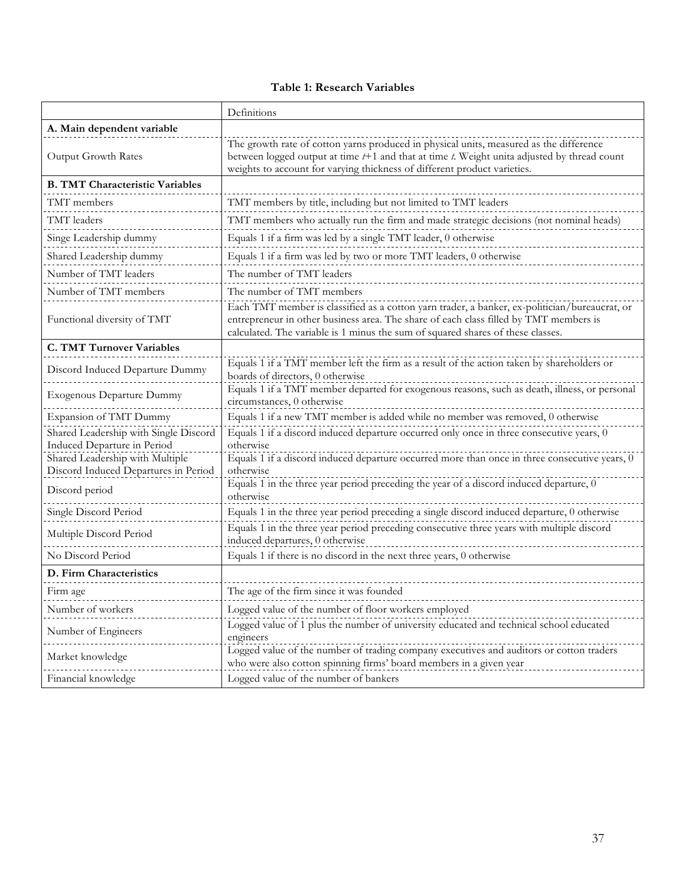## **Table 1: Research Variables**

|                                                                         | Definitions                                                                                                                                                                                                                                                               |
|-------------------------------------------------------------------------|---------------------------------------------------------------------------------------------------------------------------------------------------------------------------------------------------------------------------------------------------------------------------|
| A. Main dependent variable                                              |                                                                                                                                                                                                                                                                           |
| Output Growth Rates                                                     | The growth rate of cotton yarns produced in physical units, measured as the difference<br>between logged output at time $t+1$ and that at time $t$ . Weight unita adjusted by thread count<br>weights to account for varying thickness of different product varieties.    |
| <b>B. TMT Characteristic Variables</b>                                  |                                                                                                                                                                                                                                                                           |
| TMT members                                                             | TMT members by title, including but not limited to TMT leaders                                                                                                                                                                                                            |
| TMT leaders                                                             | TMT members who actually run the firm and made strategic decisions (not nominal heads)                                                                                                                                                                                    |
| Singe Leadership dummy                                                  | Equals 1 if a firm was led by a single TMT leader, 0 otherwise                                                                                                                                                                                                            |
| Shared Leadership dummy                                                 | Equals 1 if a firm was led by two or more TMT leaders, $0$ otherwise                                                                                                                                                                                                      |
| Number of TMT leaders                                                   | The number of TMT leaders                                                                                                                                                                                                                                                 |
| Number of TMT members                                                   | The number of TMT members                                                                                                                                                                                                                                                 |
| Functional diversity of TMT                                             | Each TMT member is classified as a cotton yarn trader, a banker, ex-politician/bureaucrat, or<br>entrepreneur in other business area. The share of each class filled by TMT members is<br>calculated. The variable is 1 minus the sum of squared shares of these classes. |
| <b>C. TMT Turnover Variables</b>                                        |                                                                                                                                                                                                                                                                           |
| Discord Induced Departure Dummy                                         | Equals 1 if a TMT member left the firm as a result of the action taken by shareholders or<br>boards of directors, 0 otherwise                                                                                                                                             |
| Exogenous Departure Dummy                                               | Equals 1 if a TMT member departed for exogenous reasons, such as death, illness, or personal<br>circumstances, 0 otherwise                                                                                                                                                |
| Expansion of TMT Dummy                                                  | Equals 1 if a new TMT member is added while no member was removed, 0 otherwise                                                                                                                                                                                            |
| Shared Leadership with Single Discord                                   | Equals 1 if a discord induced departure occurred only once in three consecutive years, 0                                                                                                                                                                                  |
| Induced Departure in Period                                             | otherwise<br>Equals 1 if a discord induced departure occurred more than once in three consecutive years, 0                                                                                                                                                                |
| Shared Leadership with Multiple<br>Discord Induced Departures in Period | otherwise                                                                                                                                                                                                                                                                 |
| Discord period                                                          | Equals 1 in the three year period preceding the year of a discord induced departure, 0<br>otherwise                                                                                                                                                                       |
| Single Discord Period                                                   | Equals 1 in the three year period preceding a single discord induced departure, 0 otherwise                                                                                                                                                                               |
| Multiple Discord Period                                                 | Equals 1 in the three year period preceding consecutive three years with multiple discord<br>induced departures, 0 otherwise                                                                                                                                              |
| No Discord Period                                                       | Equals 1 if there is no discord in the next three years, 0 otherwise                                                                                                                                                                                                      |
| D. Firm Characteristics                                                 |                                                                                                                                                                                                                                                                           |
| Firm age                                                                | The age of the firm since it was founded                                                                                                                                                                                                                                  |
| Number of workers                                                       | Logged value of the number of floor workers employed                                                                                                                                                                                                                      |
| Number of Engineers                                                     | Logged value of 1 plus the number of university educated and technical school educated<br>engineers                                                                                                                                                                       |
| Market knowledge                                                        | Logged value of the number of trading company executives and auditors or cotton traders<br>who were also cotton spinning firms' board members in a given year                                                                                                             |
| Financial knowledge                                                     | Logged value of the number of bankers                                                                                                                                                                                                                                     |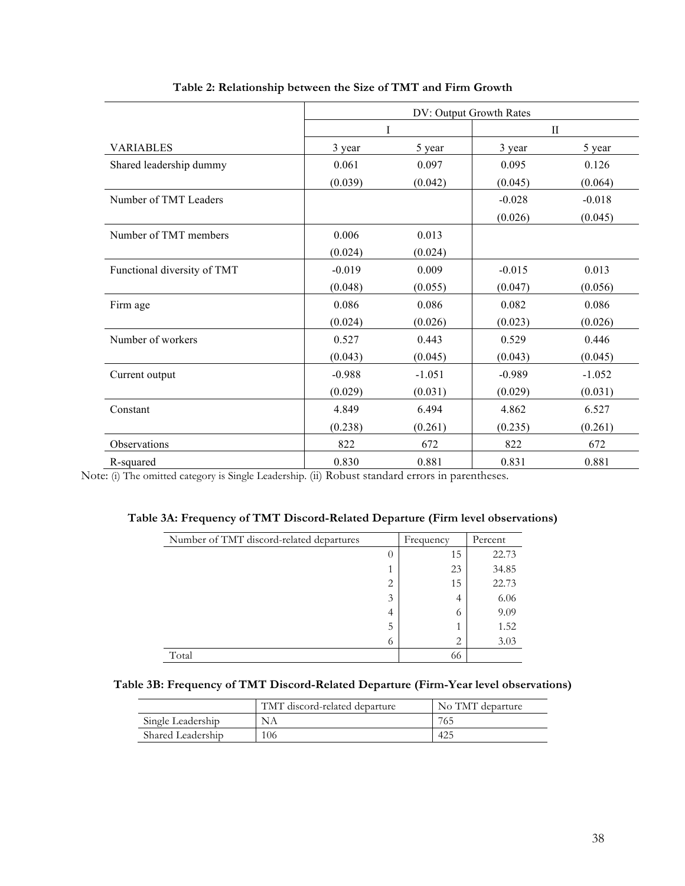|                             |          | DV: Output Growth Rates |          |              |  |  |
|-----------------------------|----------|-------------------------|----------|--------------|--|--|
|                             |          | I                       |          | $\mathbf{I}$ |  |  |
| <b>VARIABLES</b>            | 3 year   | 5 year                  | 3 year   | 5 year       |  |  |
| Shared leadership dummy     | 0.061    | 0.097                   | 0.095    | 0.126        |  |  |
|                             | (0.039)  | (0.042)                 | (0.045)  | (0.064)      |  |  |
| Number of TMT Leaders       |          |                         | $-0.028$ | $-0.018$     |  |  |
|                             |          |                         | (0.026)  | (0.045)      |  |  |
| Number of TMT members       | 0.006    | 0.013                   |          |              |  |  |
|                             | (0.024)  | (0.024)                 |          |              |  |  |
| Functional diversity of TMT | $-0.019$ | 0.009                   | $-0.015$ | 0.013        |  |  |
|                             | (0.048)  | (0.055)                 | (0.047)  | (0.056)      |  |  |
| Firm age                    | 0.086    | 0.086                   | 0.082    | 0.086        |  |  |
|                             | (0.024)  | (0.026)                 | (0.023)  | (0.026)      |  |  |
| Number of workers           | 0.527    | 0.443                   | 0.529    | 0.446        |  |  |
|                             | (0.043)  | (0.045)                 | (0.043)  | (0.045)      |  |  |
| Current output              | $-0.988$ | $-1.051$                | $-0.989$ | $-1.052$     |  |  |
|                             | (0.029)  | (0.031)                 | (0.029)  | (0.031)      |  |  |
| Constant                    | 4.849    | 6.494                   | 4.862    | 6.527        |  |  |
|                             | (0.238)  | (0.261)                 | (0.235)  | (0.261)      |  |  |
| Observations                | 822      | 672                     | 822      | 672          |  |  |
| R-squared                   | 0.830    | 0.881                   | 0.831    | 0.881        |  |  |

**Table 2: Relationship between the Size of TMT and Firm Growth**

Note: (i) The omitted category is Single Leadership. (ii) Robust standard errors in parentheses.

|  | Table 3A: Frequency of TMT Discord-Related Departure (Firm level observations) |  |  |  |
|--|--------------------------------------------------------------------------------|--|--|--|
|--|--------------------------------------------------------------------------------|--|--|--|

| Number of TMT discord-related departures |                | Frequency | Percent |
|------------------------------------------|----------------|-----------|---------|
|                                          |                | 15        | 22.73   |
|                                          |                | 23        | 34.85   |
|                                          | $\overline{2}$ | 15        | 22.73   |
|                                          | 3              | 4         | 6.06    |
|                                          | 4              | $\sigma$  | 9.09    |
|                                          | 5              |           | 1.52    |
|                                          | $^{(1)}$       | 2         | 3.03    |
| Total                                    |                | 66        |         |

| Table 3B: Frequency of TMT Discord-Related Departure (Firm-Year level observations) |  |  |  |
|-------------------------------------------------------------------------------------|--|--|--|
|                                                                                     |  |  |  |

|                   | TMT discord-related departure | No TMT departure |
|-------------------|-------------------------------|------------------|
| Single Leadership |                               | 765              |
| Shared Leadership | 106                           | 425              |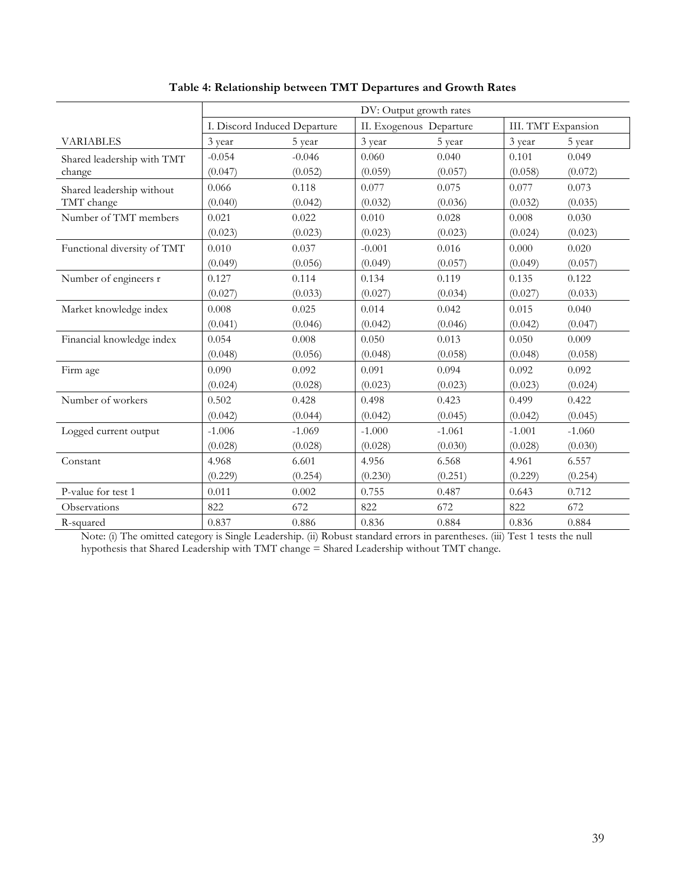|                             | DV: Output growth rates      |          |                         |          |                    |          |
|-----------------------------|------------------------------|----------|-------------------------|----------|--------------------|----------|
|                             | I. Discord Induced Departure |          | II. Exogenous Departure |          | III. TMT Expansion |          |
| <b>VARIABLES</b>            | 3 year                       | 5 year   | 3 year                  | 5 year   | 3 year             | 5 year   |
| Shared leadership with TMT  | $-0.054$                     | $-0.046$ | 0.060                   | 0.040    | 0.101              | 0.049    |
| change                      | (0.047)                      | (0.052)  | (0.059)                 | (0.057)  | (0.058)            | (0.072)  |
| Shared leadership without   | 0.066                        | 0.118    | 0.077                   | 0.075    | 0.077              | 0.073    |
| TMT change                  | (0.040)                      | (0.042)  | (0.032)                 | (0.036)  | (0.032)            | (0.035)  |
| Number of TMT members       | 0.021                        | 0.022    | 0.010                   | 0.028    | 0.008              | 0.030    |
|                             | (0.023)                      | (0.023)  | (0.023)                 | (0.023)  | (0.024)            | (0.023)  |
| Functional diversity of TMT | 0.010                        | 0.037    | $-0.001$                | 0.016    | 0.000              | 0.020    |
|                             | (0.049)                      | (0.056)  | (0.049)                 | (0.057)  | (0.049)            | (0.057)  |
| Number of engineers r       | 0.127                        | 0.114    | 0.134                   | 0.119    | 0.135              | 0.122    |
|                             | (0.027)                      | (0.033)  | (0.027)                 | (0.034)  | (0.027)            | (0.033)  |
| Market knowledge index      | 0.008                        | 0.025    | 0.014                   | 0.042    | 0.015              | 0.040    |
|                             | (0.041)                      | (0.046)  | (0.042)                 | (0.046)  | (0.042)            | (0.047)  |
| Financial knowledge index   | 0.054                        | 0.008    | 0.050                   | 0.013    | 0.050              | 0.009    |
|                             | (0.048)                      | (0.056)  | (0.048)                 | (0.058)  | (0.048)            | (0.058)  |
| Firm age                    | 0.090                        | 0.092    | 0.091                   | 0.094    | 0.092              | 0.092    |
|                             | (0.024)                      | (0.028)  | (0.023)                 | (0.023)  | (0.023)            | (0.024)  |
| Number of workers           | 0.502                        | 0.428    | 0.498                   | 0.423    | 0.499              | 0.422    |
|                             | (0.042)                      | (0.044)  | (0.042)                 | (0.045)  | (0.042)            | (0.045)  |
| Logged current output       | $-1.006$                     | $-1.069$ | $-1.000$                | $-1.061$ | $-1.001$           | $-1.060$ |
|                             | (0.028)                      | (0.028)  | (0.028)                 | (0.030)  | (0.028)            | (0.030)  |
| Constant                    | 4.968                        | 6.601    | 4.956                   | 6.568    | 4.961              | 6.557    |
|                             | (0.229)                      | (0.254)  | (0.230)                 | (0.251)  | (0.229)            | (0.254)  |
| P-value for test 1          | 0.011                        | 0.002    | 0.755                   | 0.487    | 0.643              | 0.712    |
| Observations                | 822                          | 672      | 822                     | 672      | 822                | 672      |
| R-squared                   | 0.837                        | 0.886    | 0.836                   | 0.884    | 0.836              | 0.884    |

# **Table 4: Relationship between TMT Departures and Growth Rates**

Note: (i) The omitted category is Single Leadership. (ii) Robust standard errors in parentheses. (iii) Test 1 tests the null hypothesis that Shared Leadership with TMT change = Shared Leadership without TMT change.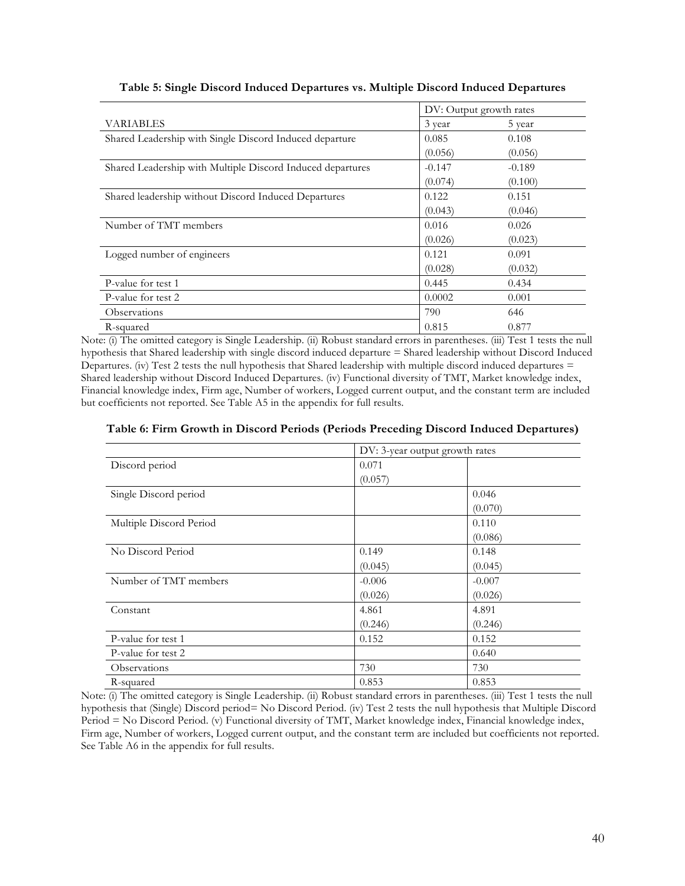|                                                            | DV: Output growth rates |          |
|------------------------------------------------------------|-------------------------|----------|
| <b>VARIABLES</b>                                           | 3 year                  | 5 year   |
| Shared Leadership with Single Discord Induced departure    | 0.085                   | 0.108    |
|                                                            | (0.056)                 | (0.056)  |
| Shared Leadership with Multiple Discord Induced departures | $-0.147$                | $-0.189$ |
|                                                            | (0.074)                 | (0.100)  |
| Shared leadership without Discord Induced Departures       | 0.122                   | 0.151    |
|                                                            | (0.043)                 | (0.046)  |
| Number of TMT members                                      | 0.016                   | 0.026    |
|                                                            | (0.026)                 | (0.023)  |
| Logged number of engineers                                 | 0.121                   | 0.091    |
|                                                            | (0.028)                 | (0.032)  |
| P-value for test 1                                         | 0.445                   | 0.434    |
| P-value for test 2                                         | 0.0002                  | 0.001    |
| Observations                                               | 790                     | 646      |
| R-squared                                                  | 0.815                   | 0.877    |

**Table 5: Single Discord Induced Departures vs. Multiple Discord Induced Departures**

Note: (i) The omitted category is Single Leadership. (ii) Robust standard errors in parentheses. (iii) Test 1 tests the null hypothesis that Shared leadership with single discord induced departure = Shared leadership without Discord Induced Departures. (iv) Test 2 tests the null hypothesis that Shared leadership with multiple discord induced departures = Shared leadership without Discord Induced Departures. (iv) Functional diversity of TMT, Market knowledge index, Financial knowledge index, Firm age, Number of workers, Logged current output, and the constant term are included but coefficients not reported. See Table A5 in the appendix for full results.

|                         | DV: 3-year output growth rates |          |  |
|-------------------------|--------------------------------|----------|--|
| Discord period          | 0.071                          |          |  |
|                         | (0.057)                        |          |  |
| Single Discord period   |                                | 0.046    |  |
|                         |                                | (0.070)  |  |
| Multiple Discord Period |                                | 0.110    |  |
|                         |                                | (0.086)  |  |
| No Discord Period       | 0.149                          | 0.148    |  |
|                         | (0.045)                        | (0.045)  |  |
| Number of TMT members   | $-0.006$                       | $-0.007$ |  |
|                         | (0.026)                        | (0.026)  |  |
| Constant                | 4.861                          | 4.891    |  |
|                         | (0.246)                        | (0.246)  |  |
| P-value for test 1      | 0.152                          | 0.152    |  |
| P-value for test 2      |                                | 0.640    |  |
| Observations            | 730                            | 730      |  |
| R-squared               | 0.853                          | 0.853    |  |

### **Table 6: Firm Growth in Discord Periods (Periods Preceding Discord Induced Departures)**

Note: (i) The omitted category is Single Leadership. (ii) Robust standard errors in parentheses. (iii) Test 1 tests the null hypothesis that (Single) Discord period= No Discord Period. (iv) Test 2 tests the null hypothesis that Multiple Discord Period = No Discord Period. (v) Functional diversity of TMT, Market knowledge index, Financial knowledge index, Firm age, Number of workers, Logged current output, and the constant term are included but coefficients not reported. See Table A6 in the appendix for full results.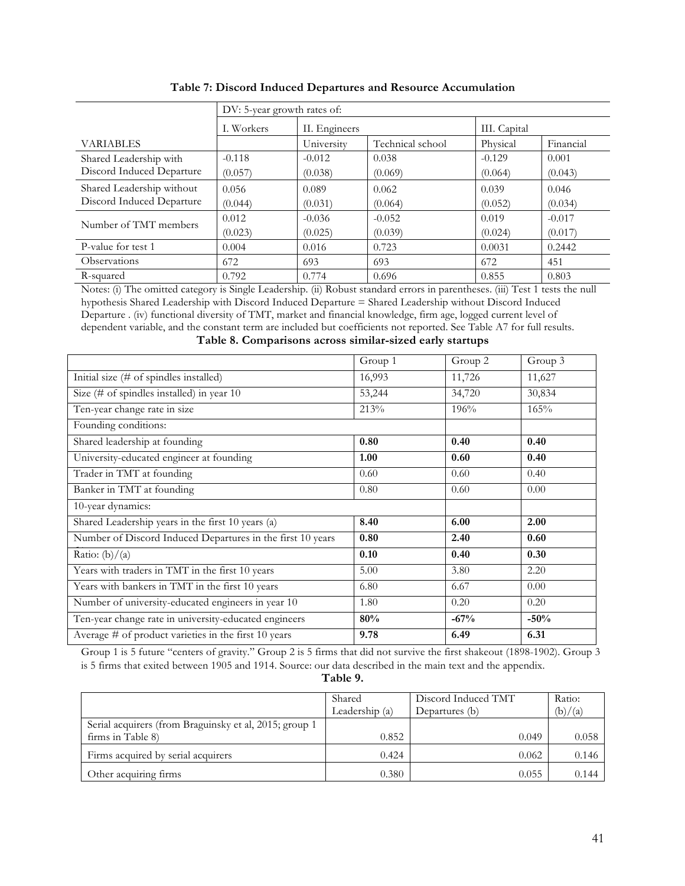|                           | DV: 5-year growth rates of: |            |                  |          |           |  |
|---------------------------|-----------------------------|------------|------------------|----------|-----------|--|
|                           | I. Workers                  |            | II. Engineers    |          |           |  |
| <b>VARIABLES</b>          |                             | University | Technical school | Physical | Financial |  |
| Shared Leadership with    | $-0.118$                    | $-0.012$   | 0.038            | $-0.129$ | 0.001     |  |
| Discord Induced Departure | (0.057)                     | (0.038)    | (0.069)          | (0.064)  | (0.043)   |  |
| Shared Leadership without | 0.056                       | 0.089      | 0.062            | 0.039    | 0.046     |  |
| Discord Induced Departure | (0.044)                     | (0.031)    | (0.064)          | (0.052)  | (0.034)   |  |
| Number of TMT members     | 0.012                       | $-0.036$   | $-0.052$         | 0.019    | $-0.017$  |  |
|                           | (0.023)                     | (0.025)    | (0.039)          | (0.024)  | (0.017)   |  |
| P-value for test 1        | 0.004                       | 0.016      | 0.723            | 0.0031   | 0.2442    |  |
| Observations              | 672                         | 693        | 693              | 672      | 451       |  |
| R-squared                 | 0.792                       | 0.774      | 0.696            | 0.855    | 0.803     |  |

| Table 7: Discord Induced Departures and Resource Accumulation |  |
|---------------------------------------------------------------|--|
|---------------------------------------------------------------|--|

Notes: (i) The omitted category is Single Leadership. (ii) Robust standard errors in parentheses. (iii) Test 1 tests the null hypothesis Shared Leadership with Discord Induced Departure = Shared Leadership without Discord Induced Departure . (iv) functional diversity of TMT, market and financial knowledge, firm age, logged current level of dependent variable, and the constant term are included but coefficients not reported. See Table A7 for full results. **Table 8. Comparisons across similar-sized early startups**

|                                                            | Group 1 | Group 2 | Group 3 |
|------------------------------------------------------------|---------|---------|---------|
| Initial size (# of spindles installed)                     | 16,993  | 11,726  | 11,627  |
| Size (# of spindles installed) in year $10$                | 53,244  | 34,720  | 30,834  |
| Ten-year change rate in size                               | 213%    | 196%    | 165%    |
| Founding conditions:                                       |         |         |         |
| Shared leadership at founding                              | 0.80    | 0.40    | 0.40    |
| University-educated engineer at founding                   | 1.00    | 0.60    | 0.40    |
| Trader in TMT at founding                                  | 0.60    | 0.60    | 0.40    |
| Banker in TMT at founding                                  | 0.80    | 0.60    | 0.00    |
| 10-year dynamics:                                          |         |         |         |
| Shared Leadership years in the first 10 years (a)          | 8.40    | 6.00    | 2.00    |
| Number of Discord Induced Departures in the first 10 years | 0.80    | 2.40    | 0.60    |
| Ratio: $(b)/(a)$                                           | 0.10    | 0.40    | 0.30    |
| Years with traders in TMT in the first 10 years            | 5.00    | 3.80    | 2.20    |
| Years with bankers in TMT in the first 10 years            | 6.80    | 6.67    | 0.00    |
| Number of university-educated engineers in year 10         | 1.80    | 0.20    | 0.20    |
| Ten-year change rate in university-educated engineers      | 80%     | $-67%$  | $-50%$  |
| Average # of product varieties in the first 10 years       | 9.78    | 6.49    | 6.31    |

Group 1 is 5 future "centers of gravity." Group 2 is 5 firms that did not survive the first shakeout (1898-1902). Group 3 is 5 firms that exited between 1905 and 1914. Source: our data described in the main text and the appendix.

**Table 9.**

|                                                        | Shared         | Discord Induced TMT | Ratio:  |
|--------------------------------------------------------|----------------|---------------------|---------|
|                                                        | Leadership (a) | Departures (b)      | (b)/(a) |
| Serial acquirers (from Braguinsky et al, 2015; group 1 |                |                     |         |
| firms in Table 8)                                      | 0.852          | 0.049               | 0.058   |
| Firms acquired by serial acquirers                     | 0.424          | 0.062               | 0.146   |
| Other acquiring firms                                  | 0.380          | 0.055               | 0.144   |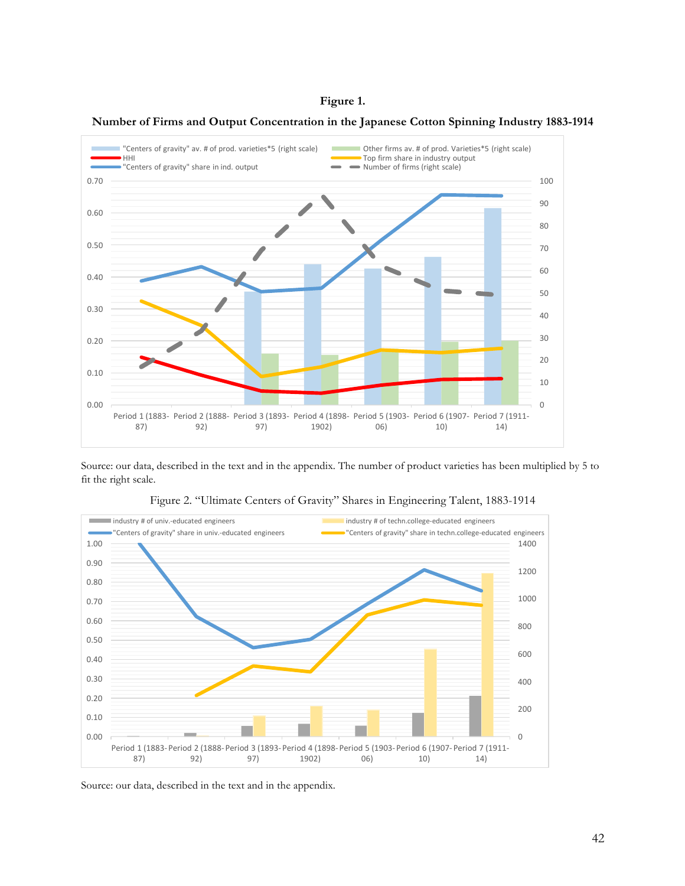

**Number of Firms and Output Concentration in the Japanese Cotton Spinning Industry 1883-1914**



Source: our data, described in the text and in the appendix. The number of product varieties has been multiplied by 5 to fit the right scale.



Figure 2. "Ultimate Centers of Gravity" Shares in Engineering Talent, 1883-1914

Source: our data, described in the text and in the appendix.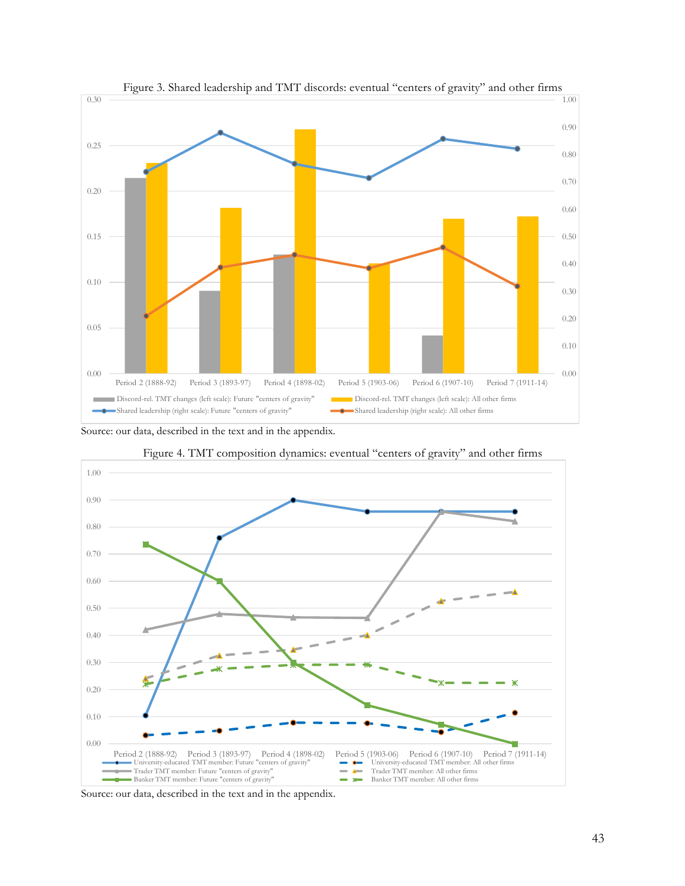

Figure 3. Shared leadership and TMT discords: eventual "centers of gravity" and other firms

Source: our data, described in the text and in the appendix.



Figure 4. TMT composition dynamics: eventual "centers of gravity" and other firms

Source: our data, described in the text and in the appendix.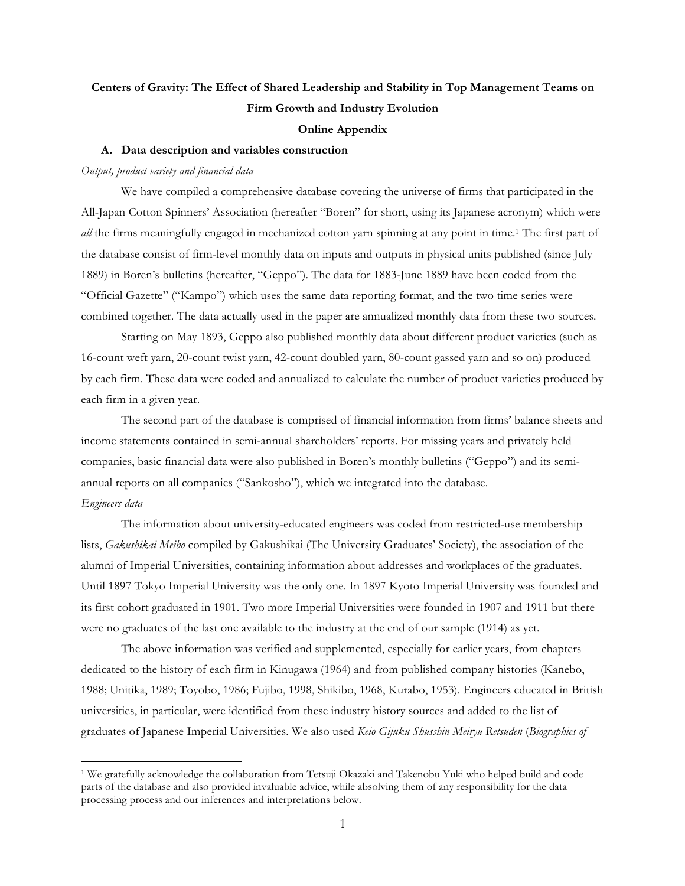# **Centers of Gravity: The Effect of Shared Leadership and Stability in Top Management Teams on Firm Growth and Industry Evolution**

### **Online Appendix**

#### **A. Data description and variables construction**

#### *Output, product variety and financial data*

We have compiled a comprehensive database covering the universe of firms that participated in the All-Japan Cotton Spinners' Association (hereafter "Boren" for short, using its Japanese acronym) which were all the firms meaningfully engaged in mechanized cotton yarn spinning at any point in time.<sup>1</sup> The first part of the database consist of firm-level monthly data on inputs and outputs in physical units published (since July 1889) in Boren's bulletins (hereafter, "Geppo"). The data for 1883-June 1889 have been coded from the "Official Gazette" ("Kampo") which uses the same data reporting format, and the two time series were combined together. The data actually used in the paper are annualized monthly data from these two sources.

Starting on May 1893, Geppo also published monthly data about different product varieties (such as 16-count weft yarn, 20-count twist yarn, 42-count doubled yarn, 80-count gassed yarn and so on) produced by each firm. These data were coded and annualized to calculate the number of product varieties produced by each firm in a given year.

The second part of the database is comprised of financial information from firms' balance sheets and income statements contained in semi-annual shareholders' reports. For missing years and privately held companies, basic financial data were also published in Boren's monthly bulletins ("Geppo") and its semiannual reports on all companies ("Sankosho"), which we integrated into the database. *Engineers data*

The information about university-educated engineers was coded from restricted-use membership lists, *Gakushikai Meibo* compiled by Gakushikai (The University Graduates' Society), the association of the alumni of Imperial Universities, containing information about addresses and workplaces of the graduates. Until 1897 Tokyo Imperial University was the only one. In 1897 Kyoto Imperial University was founded and its first cohort graduated in 1901. Two more Imperial Universities were founded in 1907 and 1911 but there were no graduates of the last one available to the industry at the end of our sample (1914) as yet.

The above information was verified and supplemented, especially for earlier years, from chapters dedicated to the history of each firm in Kinugawa (1964) and from published company histories (Kanebo, 1988; Unitika, 1989; Toyobo, 1986; Fujibo, 1998, Shikibo, 1968, Kurabo, 1953). Engineers educated in British universities, in particular, were identified from these industry history sources and added to the list of graduates of Japanese Imperial Universities. We also used *Keio Gijuku Shusshin Meiryu Retsuden* (*Biographies of* 

 <sup>1</sup> We gratefully acknowledge the collaboration from Tetsuji Okazaki and Takenobu Yuki who helped build and code parts of the database and also provided invaluable advice, while absolving them of any responsibility for the data processing process and our inferences and interpretations below.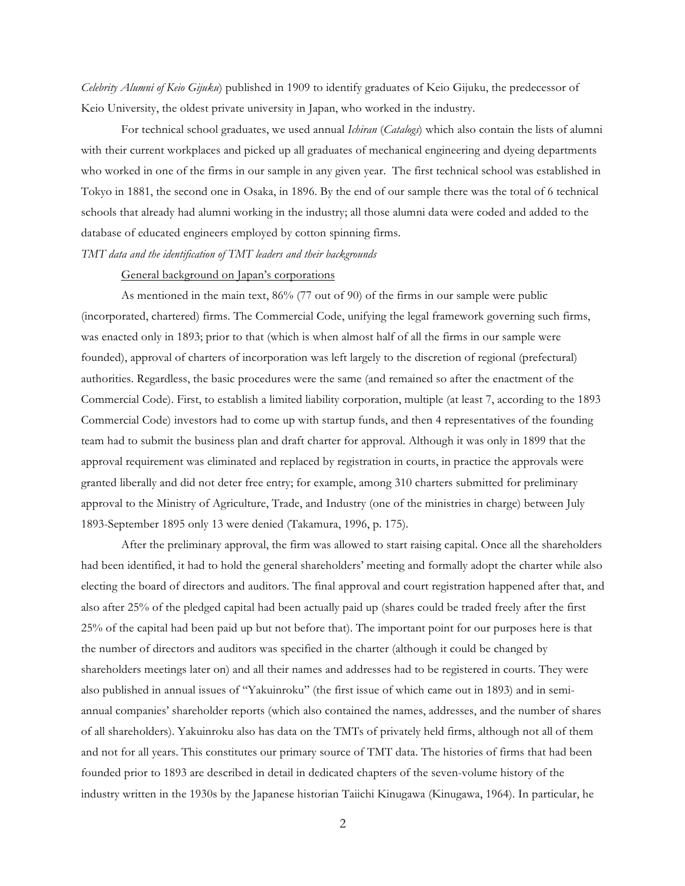*Celebrity Alumni of Keio Gijuku*) published in 1909 to identify graduates of Keio Gijuku, the predecessor of Keio University, the oldest private university in Japan, who worked in the industry.

For technical school graduates, we used annual *Ichiran* (*Catalogs*) which also contain the lists of alumni with their current workplaces and picked up all graduates of mechanical engineering and dyeing departments who worked in one of the firms in our sample in any given year. The first technical school was established in Tokyo in 1881, the second one in Osaka, in 1896. By the end of our sample there was the total of 6 technical schools that already had alumni working in the industry; all those alumni data were coded and added to the database of educated engineers employed by cotton spinning firms.

*TMT data and the identification of TMT leaders and their backgrounds*

### General background on Japan's corporations

As mentioned in the main text, 86% (77 out of 90) of the firms in our sample were public (incorporated, chartered) firms. The Commercial Code, unifying the legal framework governing such firms, was enacted only in 1893; prior to that (which is when almost half of all the firms in our sample were founded), approval of charters of incorporation was left largely to the discretion of regional (prefectural) authorities. Regardless, the basic procedures were the same (and remained so after the enactment of the Commercial Code). First, to establish a limited liability corporation, multiple (at least 7, according to the 1893 Commercial Code) investors had to come up with startup funds, and then 4 representatives of the founding team had to submit the business plan and draft charter for approval. Although it was only in 1899 that the approval requirement was eliminated and replaced by registration in courts, in practice the approvals were granted liberally and did not deter free entry; for example, among 310 charters submitted for preliminary approval to the Ministry of Agriculture, Trade, and Industry (one of the ministries in charge) between July 1893-September 1895 only 13 were denied (Takamura, 1996, p. 175).

After the preliminary approval, the firm was allowed to start raising capital. Once all the shareholders had been identified, it had to hold the general shareholders' meeting and formally adopt the charter while also electing the board of directors and auditors. The final approval and court registration happened after that, and also after 25% of the pledged capital had been actually paid up (shares could be traded freely after the first 25% of the capital had been paid up but not before that). The important point for our purposes here is that the number of directors and auditors was specified in the charter (although it could be changed by shareholders meetings later on) and all their names and addresses had to be registered in courts. They were also published in annual issues of "Yakuinroku" (the first issue of which came out in 1893) and in semiannual companies' shareholder reports (which also contained the names, addresses, and the number of shares of all shareholders). Yakuinroku also has data on the TMTs of privately held firms, although not all of them and not for all years. This constitutes our primary source of TMT data. The histories of firms that had been founded prior to 1893 are described in detail in dedicated chapters of the seven-volume history of the industry written in the 1930s by the Japanese historian Taiichi Kinugawa (Kinugawa, 1964). In particular, he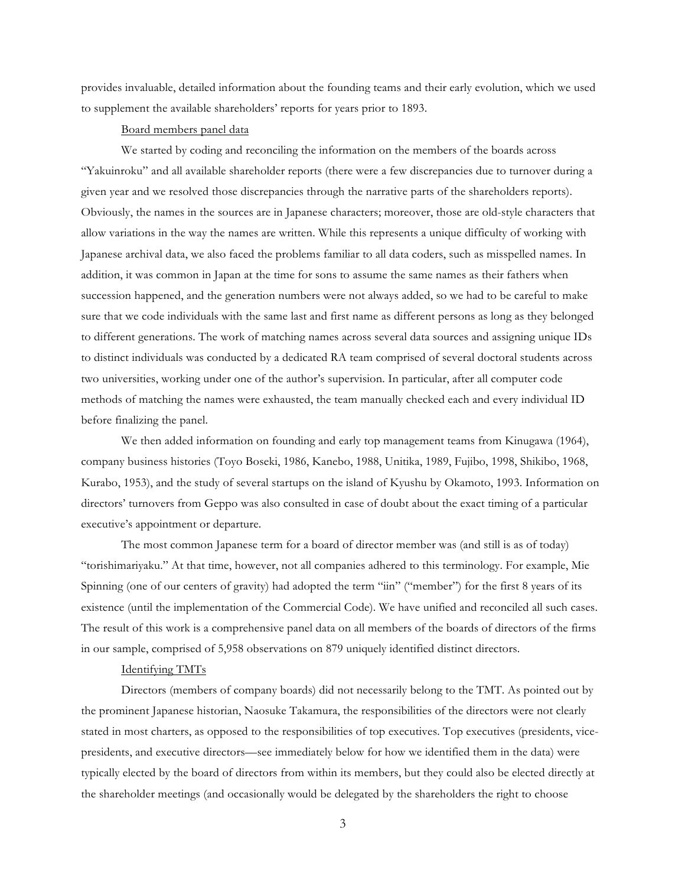provides invaluable, detailed information about the founding teams and their early evolution, which we used to supplement the available shareholders' reports for years prior to 1893.

## Board members panel data

We started by coding and reconciling the information on the members of the boards across "Yakuinroku" and all available shareholder reports (there were a few discrepancies due to turnover during a given year and we resolved those discrepancies through the narrative parts of the shareholders reports). Obviously, the names in the sources are in Japanese characters; moreover, those are old-style characters that allow variations in the way the names are written. While this represents a unique difficulty of working with Japanese archival data, we also faced the problems familiar to all data coders, such as misspelled names. In addition, it was common in Japan at the time for sons to assume the same names as their fathers when succession happened, and the generation numbers were not always added, so we had to be careful to make sure that we code individuals with the same last and first name as different persons as long as they belonged to different generations. The work of matching names across several data sources and assigning unique IDs to distinct individuals was conducted by a dedicated RA team comprised of several doctoral students across two universities, working under one of the author's supervision. In particular, after all computer code methods of matching the names were exhausted, the team manually checked each and every individual ID before finalizing the panel.

We then added information on founding and early top management teams from Kinugawa (1964), company business histories (Toyo Boseki, 1986, Kanebo, 1988, Unitika, 1989, Fujibo, 1998, Shikibo, 1968, Kurabo, 1953), and the study of several startups on the island of Kyushu by Okamoto, 1993. Information on directors' turnovers from Geppo was also consulted in case of doubt about the exact timing of a particular executive's appointment or departure.

The most common Japanese term for a board of director member was (and still is as of today) "torishimariyaku." At that time, however, not all companies adhered to this terminology. For example, Mie Spinning (one of our centers of gravity) had adopted the term "iin" ("member") for the first 8 years of its existence (until the implementation of the Commercial Code). We have unified and reconciled all such cases. The result of this work is a comprehensive panel data on all members of the boards of directors of the firms in our sample, comprised of 5,958 observations on 879 uniquely identified distinct directors.

## Identifying TMTs

Directors (members of company boards) did not necessarily belong to the TMT. As pointed out by the prominent Japanese historian, Naosuke Takamura, the responsibilities of the directors were not clearly stated in most charters, as opposed to the responsibilities of top executives. Top executives (presidents, vicepresidents, and executive directors––see immediately below for how we identified them in the data) were typically elected by the board of directors from within its members, but they could also be elected directly at the shareholder meetings (and occasionally would be delegated by the shareholders the right to choose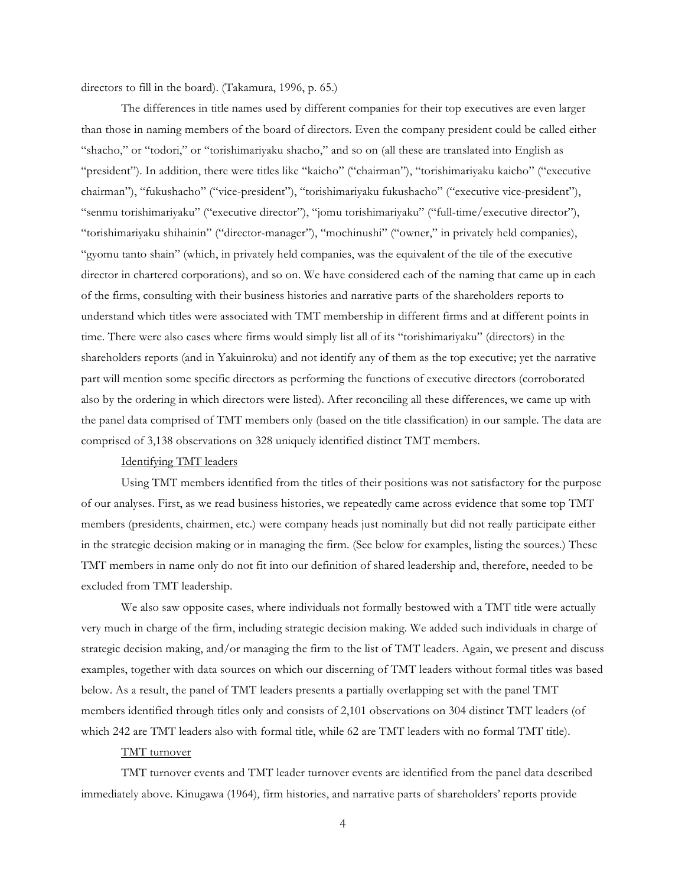directors to fill in the board). (Takamura, 1996, p. 65.)

The differences in title names used by different companies for their top executives are even larger than those in naming members of the board of directors. Even the company president could be called either "shacho," or "todori," or "torishimariyaku shacho," and so on (all these are translated into English as "president"). In addition, there were titles like "kaicho" ("chairman"), "torishimariyaku kaicho" ("executive chairman"), "fukushacho" ("vice-president"), "torishimariyaku fukushacho" ("executive vice-president"), "senmu torishimariyaku" ("executive director"), "jomu torishimariyaku" ("full-time/executive director"), "torishimariyaku shihainin" ("director-manager"), "mochinushi" ("owner," in privately held companies), "gyomu tanto shain" (which, in privately held companies, was the equivalent of the tile of the executive director in chartered corporations), and so on. We have considered each of the naming that came up in each of the firms, consulting with their business histories and narrative parts of the shareholders reports to understand which titles were associated with TMT membership in different firms and at different points in time. There were also cases where firms would simply list all of its "torishimariyaku" (directors) in the shareholders reports (and in Yakuinroku) and not identify any of them as the top executive; yet the narrative part will mention some specific directors as performing the functions of executive directors (corroborated also by the ordering in which directors were listed). After reconciling all these differences, we came up with the panel data comprised of TMT members only (based on the title classification) in our sample. The data are comprised of 3,138 observations on 328 uniquely identified distinct TMT members.

## Identifying TMT leaders

Using TMT members identified from the titles of their positions was not satisfactory for the purpose of our analyses. First, as we read business histories, we repeatedly came across evidence that some top TMT members (presidents, chairmen, etc.) were company heads just nominally but did not really participate either in the strategic decision making or in managing the firm. (See below for examples, listing the sources.) These TMT members in name only do not fit into our definition of shared leadership and, therefore, needed to be excluded from TMT leadership.

We also saw opposite cases, where individuals not formally bestowed with a TMT title were actually very much in charge of the firm, including strategic decision making. We added such individuals in charge of strategic decision making, and/or managing the firm to the list of TMT leaders. Again, we present and discuss examples, together with data sources on which our discerning of TMT leaders without formal titles was based below. As a result, the panel of TMT leaders presents a partially overlapping set with the panel TMT members identified through titles only and consists of 2,101 observations on 304 distinct TMT leaders (of which 242 are TMT leaders also with formal title, while 62 are TMT leaders with no formal TMT title).

#### TMT turnover

TMT turnover events and TMT leader turnover events are identified from the panel data described immediately above. Kinugawa (1964), firm histories, and narrative parts of shareholders' reports provide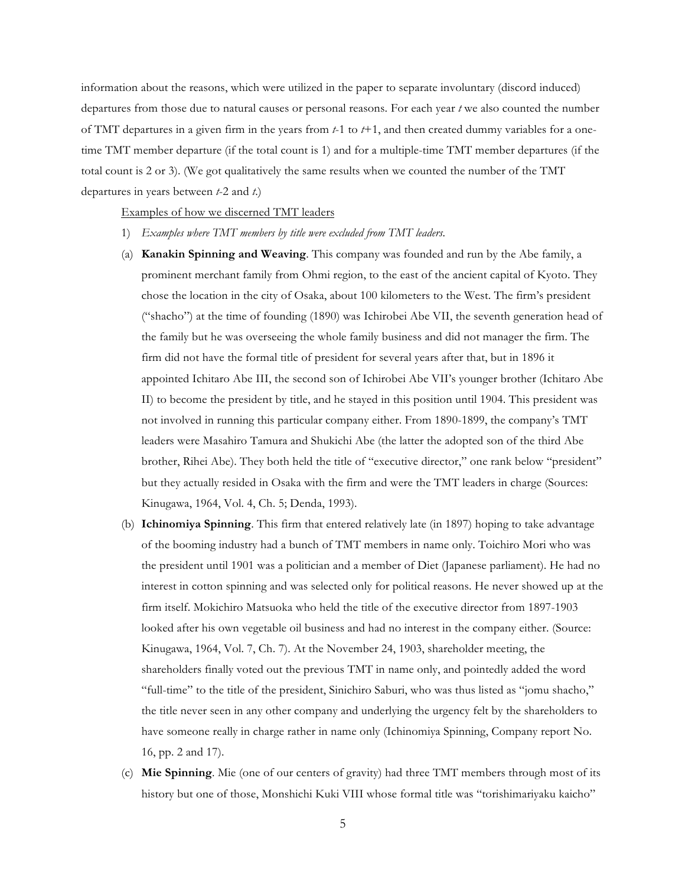information about the reasons, which were utilized in the paper to separate involuntary (discord induced) departures from those due to natural causes or personal reasons. For each year *t* we also counted the number of TMT departures in a given firm in the years from *t*-1 to *t*+1, and then created dummy variables for a onetime TMT member departure (if the total count is 1) and for a multiple-time TMT member departures (if the total count is 2 or 3). (We got qualitatively the same results when we counted the number of the TMT departures in years between *t*-2 and *t*.)

#### Examples of how we discerned TMT leaders

- 1) *Examples where TMT members by title were excluded from TMT leaders.*
- (a) **Kanakin Spinning and Weaving**. This company was founded and run by the Abe family, a prominent merchant family from Ohmi region, to the east of the ancient capital of Kyoto. They chose the location in the city of Osaka, about 100 kilometers to the West. The firm's president ("shacho") at the time of founding (1890) was Ichirobei Abe VII, the seventh generation head of the family but he was overseeing the whole family business and did not manager the firm. The firm did not have the formal title of president for several years after that, but in 1896 it appointed Ichitaro Abe III, the second son of Ichirobei Abe VII's younger brother (Ichitaro Abe II) to become the president by title, and he stayed in this position until 1904. This president was not involved in running this particular company either. From 1890-1899, the company's TMT leaders were Masahiro Tamura and Shukichi Abe (the latter the adopted son of the third Abe brother, Rihei Abe). They both held the title of "executive director," one rank below "president" but they actually resided in Osaka with the firm and were the TMT leaders in charge (Sources: Kinugawa, 1964, Vol. 4, Ch. 5; Denda, 1993).
- (b) **Ichinomiya Spinning**. This firm that entered relatively late (in 1897) hoping to take advantage of the booming industry had a bunch of TMT members in name only. Toichiro Mori who was the president until 1901 was a politician and a member of Diet (Japanese parliament). He had no interest in cotton spinning and was selected only for political reasons. He never showed up at the firm itself. Mokichiro Matsuoka who held the title of the executive director from 1897-1903 looked after his own vegetable oil business and had no interest in the company either. (Source: Kinugawa, 1964, Vol. 7, Ch. 7). At the November 24, 1903, shareholder meeting, the shareholders finally voted out the previous TMT in name only, and pointedly added the word "full-time" to the title of the president, Sinichiro Saburi, who was thus listed as "jomu shacho," the title never seen in any other company and underlying the urgency felt by the shareholders to have someone really in charge rather in name only (Ichinomiya Spinning, Company report No. 16, pp. 2 and 17).
- (c) **Mie Spinning**. Mie (one of our centers of gravity) had three TMT members through most of its history but one of those, Monshichi Kuki VIII whose formal title was "torishimariyaku kaicho"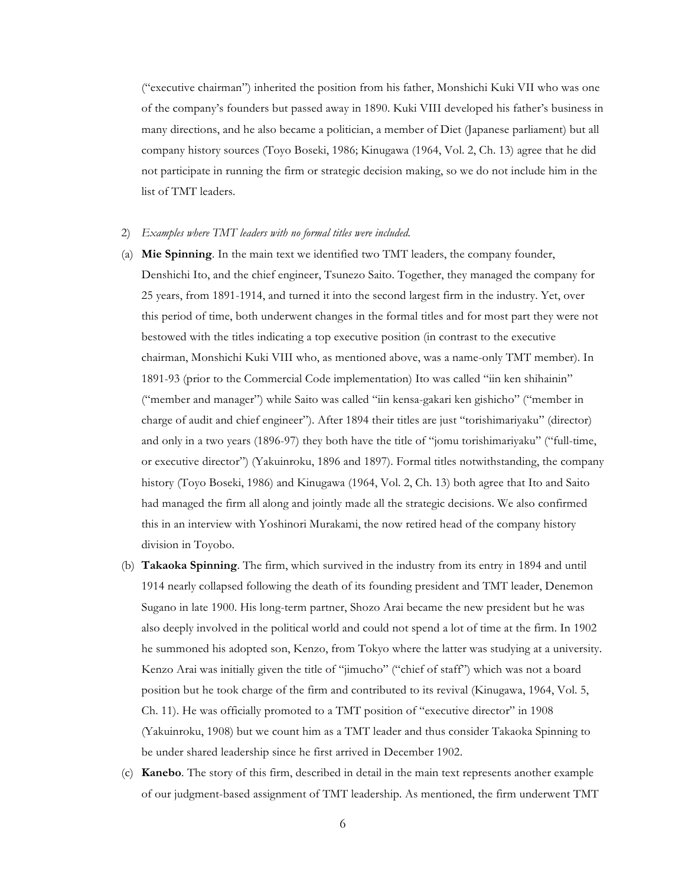("executive chairman") inherited the position from his father, Monshichi Kuki VII who was one of the company's founders but passed away in 1890. Kuki VIII developed his father's business in many directions, and he also became a politician, a member of Diet (Japanese parliament) but all company history sources (Toyo Boseki, 1986; Kinugawa (1964, Vol. 2, Ch. 13) agree that he did not participate in running the firm or strategic decision making, so we do not include him in the list of TMT leaders.

#### 2) *Examples where TMT leaders with no formal titles were included.*

- (a) **Mie Spinning**. In the main text we identified two TMT leaders, the company founder, Denshichi Ito, and the chief engineer, Tsunezo Saito. Together, they managed the company for 25 years, from 1891-1914, and turned it into the second largest firm in the industry. Yet, over this period of time, both underwent changes in the formal titles and for most part they were not bestowed with the titles indicating a top executive position (in contrast to the executive chairman, Monshichi Kuki VIII who, as mentioned above, was a name-only TMT member). In 1891-93 (prior to the Commercial Code implementation) Ito was called "iin ken shihainin" ("member and manager") while Saito was called "iin kensa-gakari ken gishicho" ("member in charge of audit and chief engineer"). After 1894 their titles are just "torishimariyaku" (director) and only in a two years (1896-97) they both have the title of "jomu torishimariyaku" ("full-time, or executive director") (Yakuinroku, 1896 and 1897). Formal titles notwithstanding, the company history (Toyo Boseki, 1986) and Kinugawa (1964, Vol. 2, Ch. 13) both agree that Ito and Saito had managed the firm all along and jointly made all the strategic decisions. We also confirmed this in an interview with Yoshinori Murakami, the now retired head of the company history division in Toyobo.
- (b) **Takaoka Spinning**. The firm, which survived in the industry from its entry in 1894 and until 1914 nearly collapsed following the death of its founding president and TMT leader, Denemon Sugano in late 1900. His long-term partner, Shozo Arai became the new president but he was also deeply involved in the political world and could not spend a lot of time at the firm. In 1902 he summoned his adopted son, Kenzo, from Tokyo where the latter was studying at a university. Kenzo Arai was initially given the title of "jimucho" ("chief of staff") which was not a board position but he took charge of the firm and contributed to its revival (Kinugawa, 1964, Vol. 5, Ch. 11). He was officially promoted to a TMT position of "executive director" in 1908 (Yakuinroku, 1908) but we count him as a TMT leader and thus consider Takaoka Spinning to be under shared leadership since he first arrived in December 1902.
- (c) **Kanebo**. The story of this firm, described in detail in the main text represents another example of our judgment-based assignment of TMT leadership. As mentioned, the firm underwent TMT

6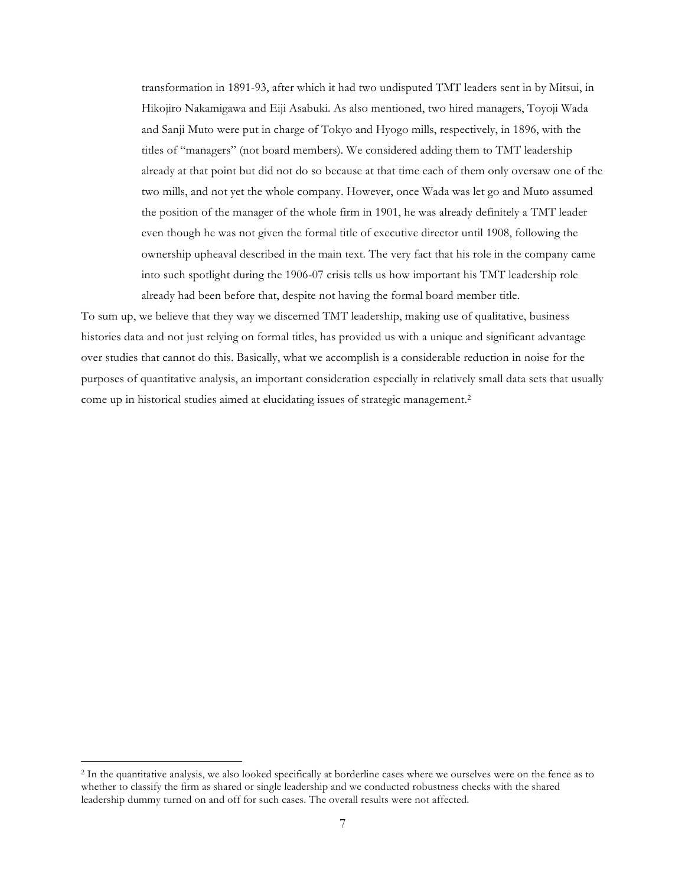transformation in 1891-93, after which it had two undisputed TMT leaders sent in by Mitsui, in Hikojiro Nakamigawa and Eiji Asabuki. As also mentioned, two hired managers, Toyoji Wada and Sanji Muto were put in charge of Tokyo and Hyogo mills, respectively, in 1896, with the titles of "managers" (not board members). We considered adding them to TMT leadership already at that point but did not do so because at that time each of them only oversaw one of the two mills, and not yet the whole company. However, once Wada was let go and Muto assumed the position of the manager of the whole firm in 1901, he was already definitely a TMT leader even though he was not given the formal title of executive director until 1908, following the ownership upheaval described in the main text. The very fact that his role in the company came into such spotlight during the 1906-07 crisis tells us how important his TMT leadership role already had been before that, despite not having the formal board member title.

To sum up, we believe that they way we discerned TMT leadership, making use of qualitative, business histories data and not just relying on formal titles, has provided us with a unique and significant advantage over studies that cannot do this. Basically, what we accomplish is a considerable reduction in noise for the purposes of quantitative analysis, an important consideration especially in relatively small data sets that usually come up in historical studies aimed at elucidating issues of strategic management.2

 <sup>2</sup> In the quantitative analysis, we also looked specifically at borderline cases where we ourselves were on the fence as to whether to classify the firm as shared or single leadership and we conducted robustness checks with the shared leadership dummy turned on and off for such cases. The overall results were not affected.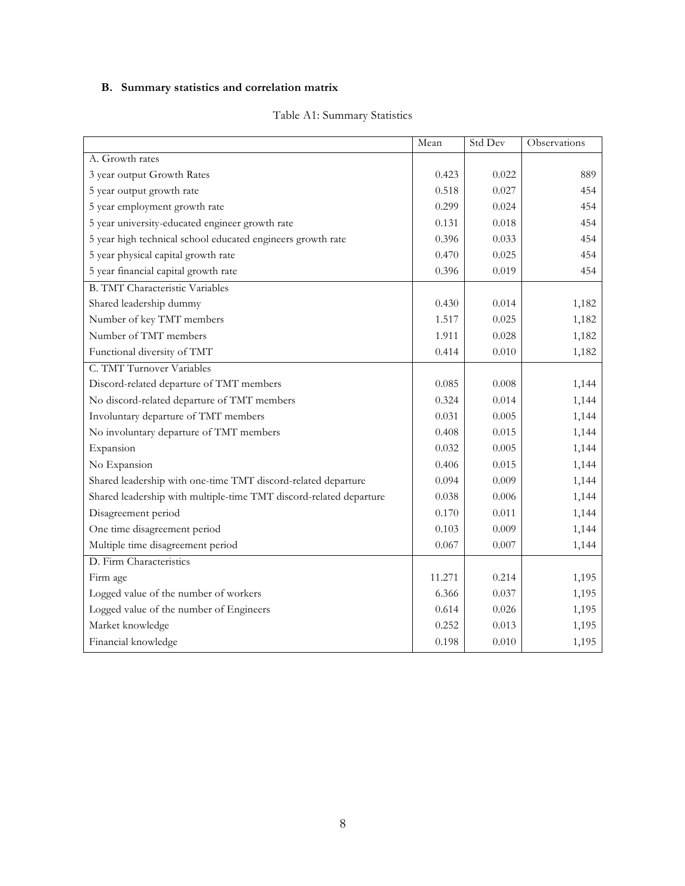# **B. Summary statistics and correlation matrix**

|                                                                    | Mean   | Std Dev | Observations |
|--------------------------------------------------------------------|--------|---------|--------------|
| A. Growth rates                                                    |        |         |              |
| 3 year output Growth Rates                                         | 0.423  | 0.022   | 889          |
| 5 year output growth rate                                          | 0.518  | 0.027   | 454          |
| 5 year employment growth rate                                      | 0.299  | 0.024   | 454          |
| 5 year university-educated engineer growth rate                    | 0.131  | 0.018   | 454          |
| 5 year high technical school educated engineers growth rate        | 0.396  | 0.033   | 454          |
| 5 year physical capital growth rate                                | 0.470  | 0.025   | 454          |
| 5 year financial capital growth rate                               | 0.396  | 0.019   | 454          |
| <b>B. TMT Characteristic Variables</b>                             |        |         |              |
| Shared leadership dummy                                            | 0.430  | 0.014   | 1,182        |
| Number of key TMT members                                          | 1.517  | 0.025   | 1,182        |
| Number of TMT members                                              | 1.911  | 0.028   | 1,182        |
| Functional diversity of TMT                                        | 0.414  | 0.010   | 1,182        |
| C. TMT Turnover Variables                                          |        |         |              |
| Discord-related departure of TMT members                           | 0.085  | 0.008   | 1,144        |
| No discord-related departure of TMT members                        | 0.324  | 0.014   | 1,144        |
| Involuntary departure of TMT members                               | 0.031  | 0.005   | 1,144        |
| No involuntary departure of TMT members                            | 0.408  | 0.015   | 1,144        |
| Expansion                                                          | 0.032  | 0.005   | 1,144        |
| No Expansion                                                       | 0.406  | 0.015   | 1,144        |
| Shared leadership with one-time TMT discord-related departure      | 0.094  | 0.009   | 1,144        |
| Shared leadership with multiple-time TMT discord-related departure | 0.038  | 0.006   | 1,144        |
| Disagreement period                                                | 0.170  | 0.011   | 1,144        |
| One time disagreement period                                       | 0.103  | 0.009   | 1,144        |
| Multiple time disagreement period                                  | 0.067  | 0.007   | 1,144        |
| D. Firm Characteristics                                            |        |         |              |
| Firm age                                                           | 11.271 | 0.214   | 1,195        |
| Logged value of the number of workers                              | 6.366  | 0.037   | 1,195        |
| Logged value of the number of Engineers                            | 0.614  | 0.026   | 1,195        |
| Market knowledge                                                   | 0.252  | 0.013   | 1,195        |
| Financial knowledge                                                | 0.198  | 0.010   | 1,195        |

## Table A1: Summary Statistics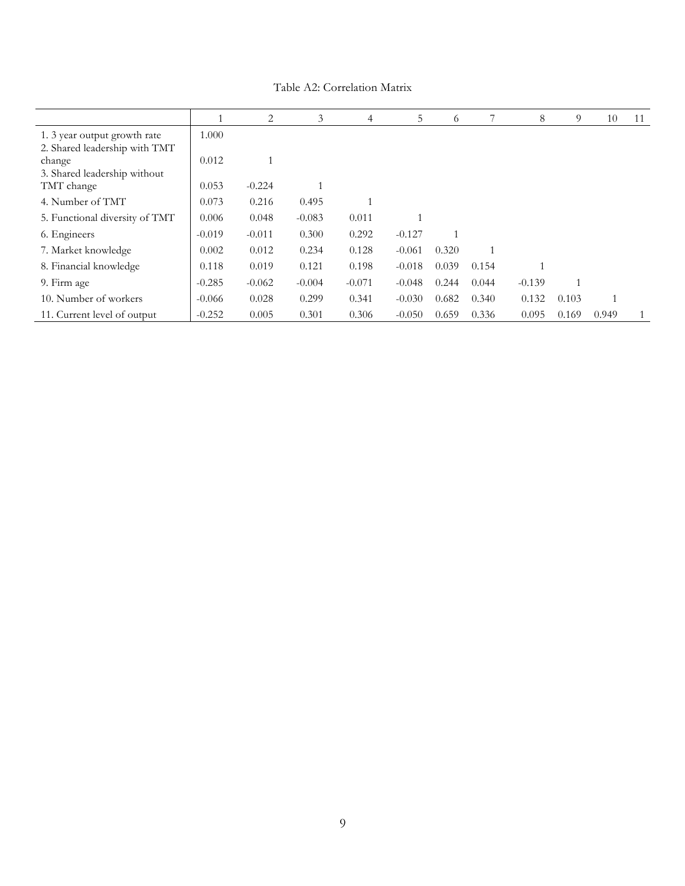|                                                               |          | 2        | 3        | 4        | 5        | 6     |       | 8        | 9     | 10    | 11 |
|---------------------------------------------------------------|----------|----------|----------|----------|----------|-------|-------|----------|-------|-------|----|
| 1. 3 year output growth rate<br>2. Shared leadership with TMT | 1.000    |          |          |          |          |       |       |          |       |       |    |
| change<br>3. Shared leadership without                        | 0.012    |          |          |          |          |       |       |          |       |       |    |
| TMT change                                                    | 0.053    | $-0.224$ |          |          |          |       |       |          |       |       |    |
| 4. Number of TMT                                              | 0.073    | 0.216    | 0.495    |          |          |       |       |          |       |       |    |
| 5. Functional diversity of TMT                                | 0.006    | 0.048    | $-0.083$ | 0.011    |          |       |       |          |       |       |    |
| 6. Engineers                                                  | $-0.019$ | $-0.011$ | 0.300    | 0.292    | $-0.127$ |       |       |          |       |       |    |
| 7. Market knowledge                                           | 0.002    | 0.012    | 0.234    | 0.128    | $-0.061$ | 0.320 |       |          |       |       |    |
| 8. Financial knowledge                                        | 0.118    | 0.019    | 0.121    | 0.198    | $-0.018$ | 0.039 | 0.154 |          |       |       |    |
| 9. Firm age                                                   | $-0.285$ | $-0.062$ | $-0.004$ | $-0.071$ | $-0.048$ | 0.244 | 0.044 | $-0.139$ |       |       |    |
| 10. Number of workers                                         | $-0.066$ | 0.028    | 0.299    | 0.341    | $-0.030$ | 0.682 | 0.340 | 0.132    | 0.103 |       |    |
| 11. Current level of output                                   | $-0.252$ | 0.005    | 0.301    | 0.306    | $-0.050$ | 0.659 | 0.336 | 0.095    | 0.169 | 0.949 |    |

Table A2: Correlation Matrix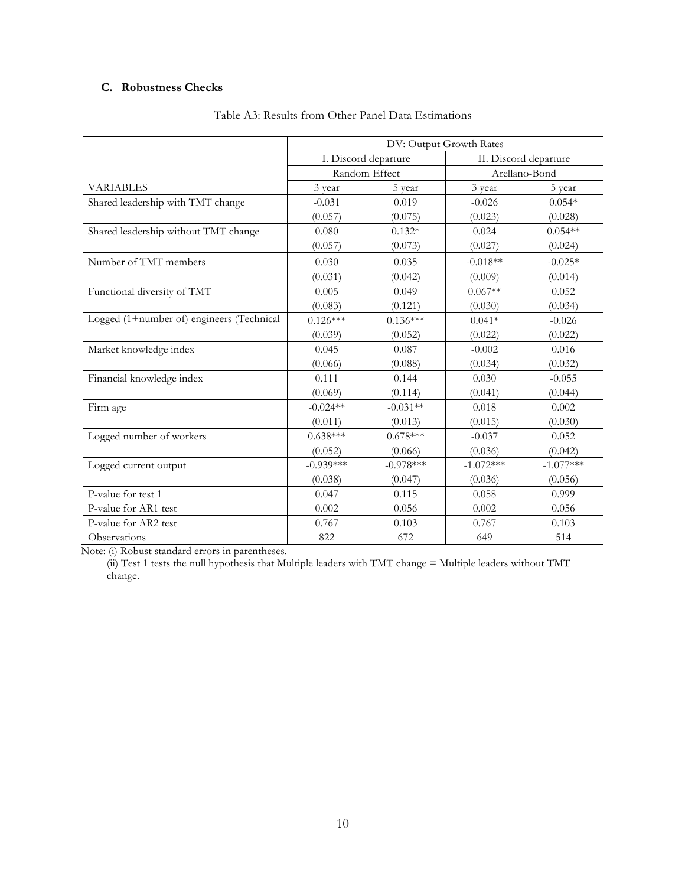## **C. Robustness Checks**

|                                           | DV: Output Growth Rates |                      |             |                       |  |  |
|-------------------------------------------|-------------------------|----------------------|-------------|-----------------------|--|--|
|                                           |                         | I. Discord departure |             | II. Discord departure |  |  |
|                                           | Random Effect           |                      |             | Arellano-Bond         |  |  |
| <b>VARIABLES</b>                          | 3 year                  | 5 year               | 3 year      | 5 year                |  |  |
| Shared leadership with TMT change         | $-0.031$                | 0.019                | $-0.026$    | $0.054*$              |  |  |
|                                           | (0.057)                 | (0.075)              | (0.023)     | (0.028)               |  |  |
| Shared leadership without TMT change      | 0.080                   | $0.132*$             | 0.024       | $0.054**$             |  |  |
|                                           | (0.057)                 | (0.073)              | (0.027)     | (0.024)               |  |  |
| Number of TMT members                     | 0.030                   | 0.035                | $-0.018**$  | $-0.025*$             |  |  |
|                                           | (0.031)                 | (0.042)              | (0.009)     | (0.014)               |  |  |
| Functional diversity of TMT               | 0.005                   | 0.049                | $0.067**$   | 0.052                 |  |  |
|                                           | (0.083)                 | (0.121)              | (0.030)     | (0.034)               |  |  |
| Logged (1+number of) engineers (Technical | $0.126***$              | $0.136***$           | $0.041*$    | $-0.026$              |  |  |
|                                           | (0.039)                 | (0.052)              | (0.022)     | (0.022)               |  |  |
| Market knowledge index                    | 0.045                   | 0.087                | $-0.002$    | 0.016                 |  |  |
|                                           | (0.066)                 | (0.088)              | (0.034)     | (0.032)               |  |  |
| Financial knowledge index                 | 0.111                   | 0.144                | 0.030       | $-0.055$              |  |  |
|                                           | (0.069)                 | (0.114)              | (0.041)     | (0.044)               |  |  |
| Firm age                                  | $-0.024**$              | $-0.031**$           | 0.018       | 0.002                 |  |  |
|                                           | (0.011)                 | (0.013)              | (0.015)     | (0.030)               |  |  |
| Logged number of workers                  | $0.638***$              | $0.678***$           | $-0.037$    | 0.052                 |  |  |
|                                           | (0.052)                 | (0.066)              | (0.036)     | (0.042)               |  |  |
| Logged current output                     | $-0.939***$             | $-0.978***$          | $-1.072***$ | $-1.077***$           |  |  |
|                                           | (0.038)                 | (0.047)              | (0.036)     | (0.056)               |  |  |
| P-value for test 1                        | 0.047                   | 0.115                | 0.058       | 0.999                 |  |  |
| P-value for AR1 test                      | 0.002                   | 0.056                | 0.002       | 0.056                 |  |  |
| P-value for AR2 test                      | 0.767                   | 0.103                | 0.767       | 0.103                 |  |  |
| Observations                              | 822                     | 672                  | 649         | 514                   |  |  |

## Table A3: Results from Other Panel Data Estimations

Note: (i) Robust standard errors in parentheses.

(ii) Test 1 tests the null hypothesis that Multiple leaders with TMT change = Multiple leaders without TMT change.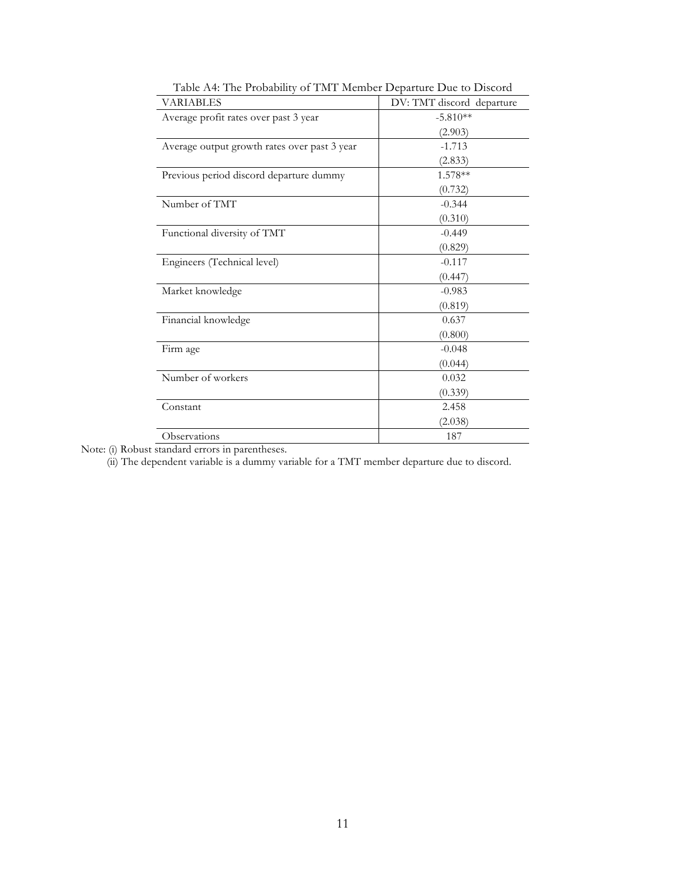| rable 184. The Probability of TIMT INTERIDER Departure Due to Discord |                           |
|-----------------------------------------------------------------------|---------------------------|
| <b>VARIABLES</b>                                                      | DV: TMT discord departure |
| Average profit rates over past 3 year                                 | $-5.810**$                |
|                                                                       | (2.903)                   |
| Average output growth rates over past 3 year                          | $-1.713$                  |
|                                                                       | (2.833)                   |
| Previous period discord departure dummy                               | 1.578**                   |
|                                                                       | (0.732)                   |
| Number of TMT                                                         | $-0.344$                  |
|                                                                       | (0.310)                   |
| Functional diversity of TMT                                           | $-0.449$                  |
|                                                                       | (0.829)                   |
| Engineers (Technical level)                                           | $-0.117$                  |
|                                                                       | (0.447)                   |
| Market knowledge                                                      | $-0.983$                  |
|                                                                       | (0.819)                   |
| Financial knowledge                                                   | 0.637                     |
|                                                                       | (0.800)                   |
| Firm age                                                              | $-0.048$                  |
|                                                                       | (0.044)                   |
| Number of workers                                                     | 0.032                     |
|                                                                       | (0.339)                   |
| Constant                                                              | 2.458                     |
|                                                                       | (2.038)                   |
| Observations                                                          | 187                       |

Table A4: The Probability of TMT Member Departure Due to Discord

Note: (i) Robust standard errors in parentheses.

(ii) The dependent variable is a dummy variable for a TMT member departure due to discord.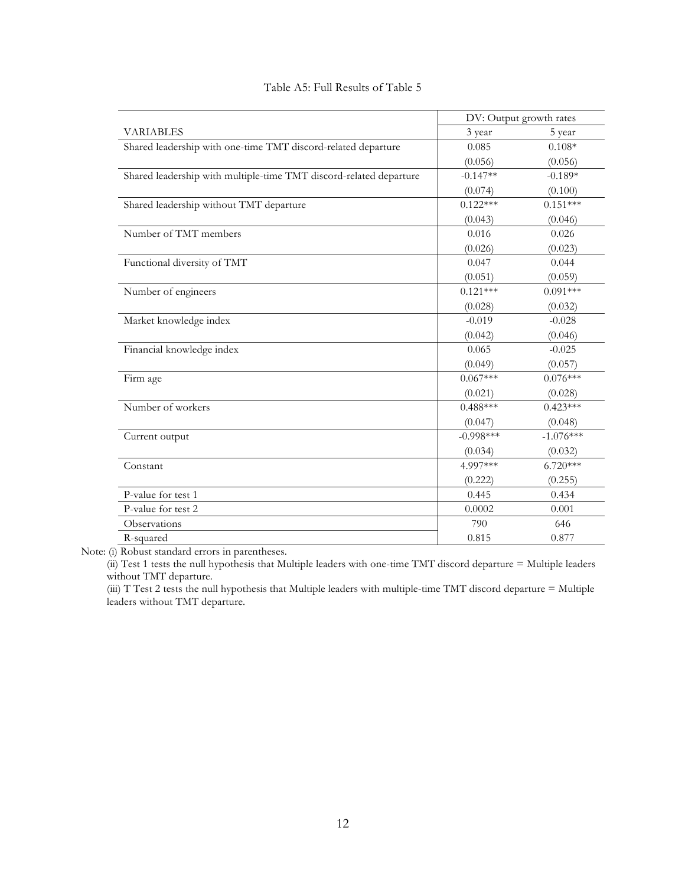|                                                                    | DV: Output growth rates |             |
|--------------------------------------------------------------------|-------------------------|-------------|
| <b>VARIABLES</b>                                                   | 3 year                  | 5 year      |
| Shared leadership with one-time TMT discord-related departure      | 0.085                   | $0.108*$    |
|                                                                    | (0.056)                 | (0.056)     |
| Shared leadership with multiple-time TMT discord-related departure | $-0.147**$              | $-0.189*$   |
|                                                                    | (0.074)                 | (0.100)     |
| Shared leadership without TMT departure                            | $0.122***$              | $0.151***$  |
|                                                                    | (0.043)                 | (0.046)     |
| Number of TMT members                                              | 0.016                   | 0.026       |
|                                                                    | (0.026)                 | (0.023)     |
| Functional diversity of TMT                                        | 0.047                   | 0.044       |
|                                                                    | (0.051)                 | (0.059)     |
| Number of engineers                                                | $0.121***$              | $0.091***$  |
|                                                                    | (0.028)                 | (0.032)     |
| Market knowledge index                                             | $-0.019$                | $-0.028$    |
|                                                                    | (0.042)                 | (0.046)     |
| Financial knowledge index                                          | 0.065                   | $-0.025$    |
|                                                                    | (0.049)                 | (0.057)     |
| Firm age                                                           | $0.067***$              | $0.076***$  |
|                                                                    | (0.021)                 | (0.028)     |
| Number of workers                                                  | $0.488***$              | $0.423***$  |
|                                                                    | (0.047)                 | (0.048)     |
| Current output                                                     | $-0.998***$             | $-1.076***$ |
|                                                                    | (0.034)                 | (0.032)     |
| Constant                                                           | 4.997***                | $6.720***$  |
|                                                                    | (0.222)                 | (0.255)     |
| P-value for test 1                                                 | 0.445                   | 0.434       |
| P-value for test 2                                                 | 0.0002                  | 0.001       |
| Observations                                                       | 790                     | 646         |
| R-squared                                                          | 0.815                   | 0.877       |

## Table A5: Full Results of Table 5

Note: (i) Robust standard errors in parentheses.

(ii) Test 1 tests the null hypothesis that Multiple leaders with one-time TMT discord departure = Multiple leaders without TMT departure.

(iii) T Test 2 tests the null hypothesis that Multiple leaders with multiple-time TMT discord departure = Multiple leaders without TMT departure.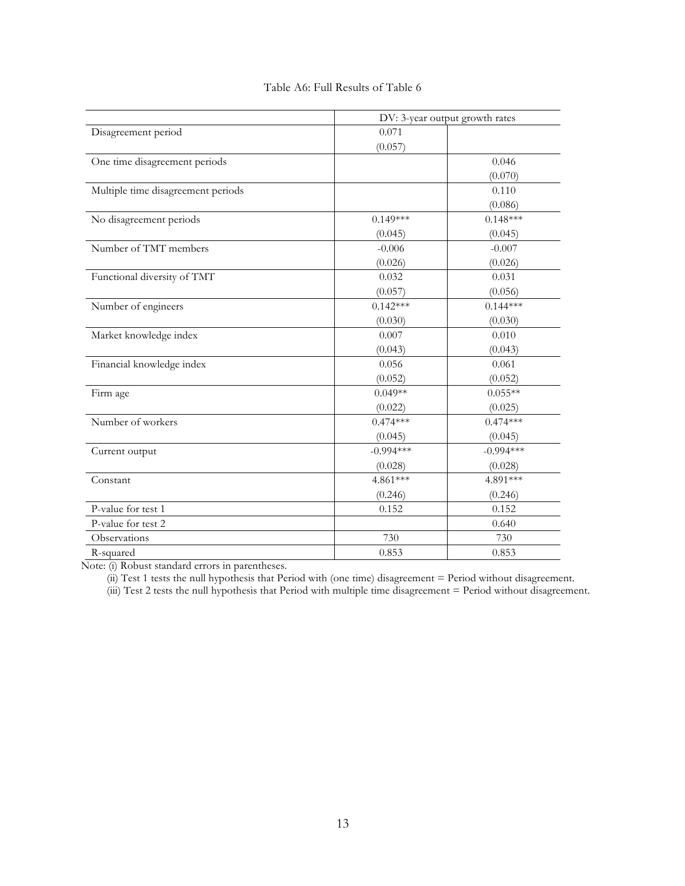|                                    | DV: 3-year output growth rates |             |  |  |
|------------------------------------|--------------------------------|-------------|--|--|
| Disagreement period                | 0.071                          |             |  |  |
|                                    | (0.057)                        |             |  |  |
| One time disagreement periods      |                                | 0.046       |  |  |
|                                    |                                | (0.070)     |  |  |
| Multiple time disagreement periods |                                | 0.110       |  |  |
|                                    |                                | (0.086)     |  |  |
| No disagreement periods            | $0.149***$                     | $0.148***$  |  |  |
|                                    | (0.045)                        | (0.045)     |  |  |
| Number of TMT members              | $-0.006$                       | $-0.007$    |  |  |
|                                    | (0.026)                        | (0.026)     |  |  |
| Functional diversity of TMT        | 0.032                          | 0.031       |  |  |
|                                    | (0.057)                        | (0.056)     |  |  |
| Number of engineers                | $0.142***$                     | $0.144***$  |  |  |
|                                    | (0.030)                        | (0.030)     |  |  |
| Market knowledge index             | 0.007                          | 0.010       |  |  |
|                                    | (0.043)                        | (0.043)     |  |  |
| Financial knowledge index          | 0.056                          | 0.061       |  |  |
|                                    | (0.052)                        | (0.052)     |  |  |
| Firm age                           | $0.049**$                      | $0.055**$   |  |  |
|                                    | (0.022)                        | (0.025)     |  |  |
| Number of workers                  | $0.474***$                     | $0.474***$  |  |  |
|                                    | (0.045)                        | (0.045)     |  |  |
| Current output                     | $-0.994***$                    | $-0.994***$ |  |  |
|                                    | (0.028)                        | (0.028)     |  |  |
| Constant                           | 4.861***                       | 4.891***    |  |  |
|                                    | (0.246)                        | (0.246)     |  |  |
| P-value for test 1                 | 0.152                          | 0.152       |  |  |
| P-value for test 2                 |                                | 0.640       |  |  |
| Observations                       | 730                            | 730         |  |  |
| R-squared                          | 0.853                          | 0.853       |  |  |

## Table A6: Full Results of Table 6

Note: (i) Robust standard errors in parentheses.

(ii) Test 1 tests the null hypothesis that Period with (one time) disagreement = Period without disagreement.

(iii) Test 2 tests the null hypothesis that Period with multiple time disagreement = Period without disagreement.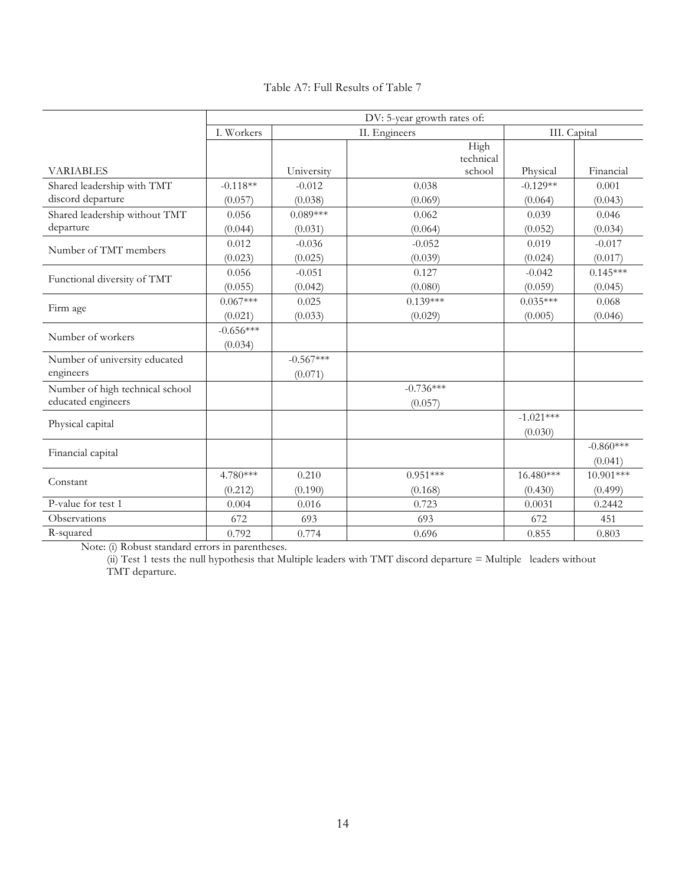| Table A7: Full Results of Table 7 |  |  |  |  |  |
|-----------------------------------|--|--|--|--|--|
|-----------------------------------|--|--|--|--|--|

|                                                 | DV: 5-year growth rates of: |                       |                             |                        |              |  |  |
|-------------------------------------------------|-----------------------------|-----------------------|-----------------------------|------------------------|--------------|--|--|
|                                                 | I. Workers                  |                       | II. Engineers               |                        | III. Capital |  |  |
| <b>VARIABLES</b>                                |                             | University            | High<br>technical<br>school |                        | Financial    |  |  |
|                                                 | $-0.118**$                  | $-0.012$              | 0.038                       | Physical<br>$-0.129**$ | 0.001        |  |  |
| Shared leadership with TMT<br>discord departure |                             |                       |                             |                        |              |  |  |
|                                                 | (0.057)<br>0.056            | (0.038)<br>$0.089***$ | (0.069)<br>0.062            | (0.064)<br>0.039       | (0.043)      |  |  |
| Shared leadership without TMT                   |                             |                       |                             |                        | 0.046        |  |  |
| departure                                       | (0.044)                     | (0.031)               | (0.064)                     | (0.052)                | (0.034)      |  |  |
| Number of TMT members                           | 0.012                       | $-0.036$              | $-0.052$                    | 0.019                  | $-0.017$     |  |  |
|                                                 | (0.023)                     | (0.025)               | (0.039)                     | (0.024)                | (0.017)      |  |  |
| Functional diversity of TMT                     | 0.056                       | $-0.051$              | 0.127                       | $-0.042$               | $0.145***$   |  |  |
|                                                 | (0.055)                     | (0.042)               | (0.080)                     | (0.059)                | (0.045)      |  |  |
| Firm age                                        | $0.067***$                  | 0.025                 | $0.139***$                  | $0.035***$             | 0.068        |  |  |
|                                                 | (0.021)                     | (0.033)               | (0.029)                     | (0.005)                | (0.046)      |  |  |
| Number of workers                               | $-0.656***$                 |                       |                             |                        |              |  |  |
|                                                 | (0.034)                     |                       |                             |                        |              |  |  |
| Number of university educated                   |                             | $-0.567***$           |                             |                        |              |  |  |
| engineers                                       |                             | (0.071)               |                             |                        |              |  |  |
| Number of high technical school                 |                             |                       | $-0.736***$                 |                        |              |  |  |
| educated engineers                              |                             |                       | (0.057)                     |                        |              |  |  |
|                                                 |                             |                       |                             | $-1.021***$            |              |  |  |
| Physical capital                                |                             |                       |                             | (0.030)                |              |  |  |
|                                                 |                             |                       |                             |                        | $-0.860***$  |  |  |
| Financial capital                               |                             |                       |                             |                        | (0.041)      |  |  |
|                                                 | 4.780***                    | 0.210                 | $0.951***$                  | 16.480***              | 10.901***    |  |  |
| Constant                                        | (0.212)                     | (0.190)               | (0.168)                     | (0.430)                | (0.499)      |  |  |
| P-value for test 1                              | 0.004                       | 0.016                 | 0.723                       | 0.0031                 | 0.2442       |  |  |
| Observations                                    | 672                         | 693                   | 693                         | 672                    | 451          |  |  |
| R-squared                                       | 0.792                       | 0.774                 | 0.696                       | 0.855                  | 0.803        |  |  |

Note: (i) Robust standard errors in parentheses.

(ii) Test 1 tests the null hypothesis that Multiple leaders with TMT discord departure = Multiple leaders without TMT departure.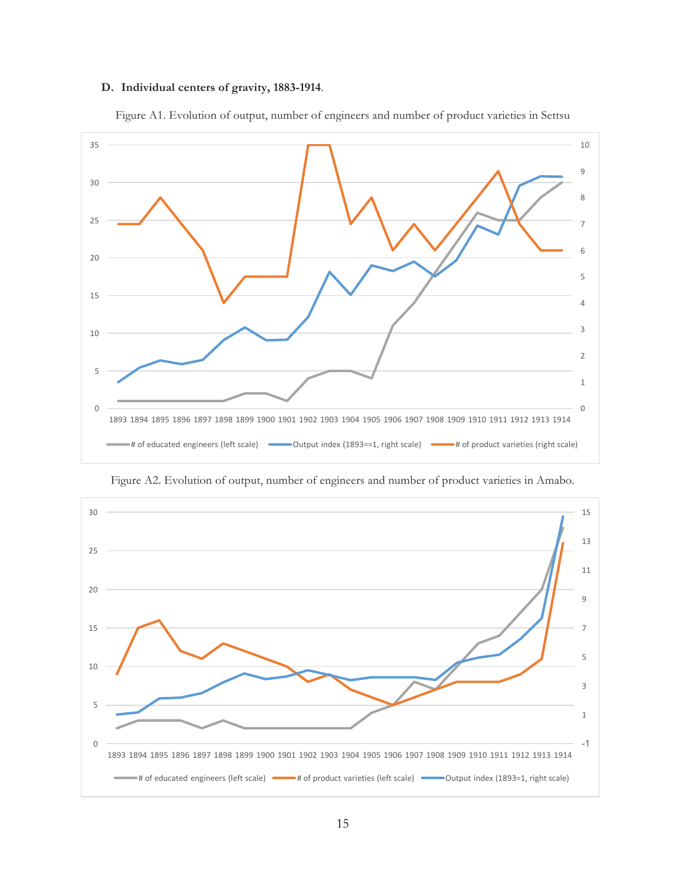## **D. Individual centers of gravity, 1883-1914**.



Figure A1. Evolution of output, number of engineers and number of product varieties in Settsu

Figure A2. Evolution of output, number of engineers and number of product varieties in Amabo.

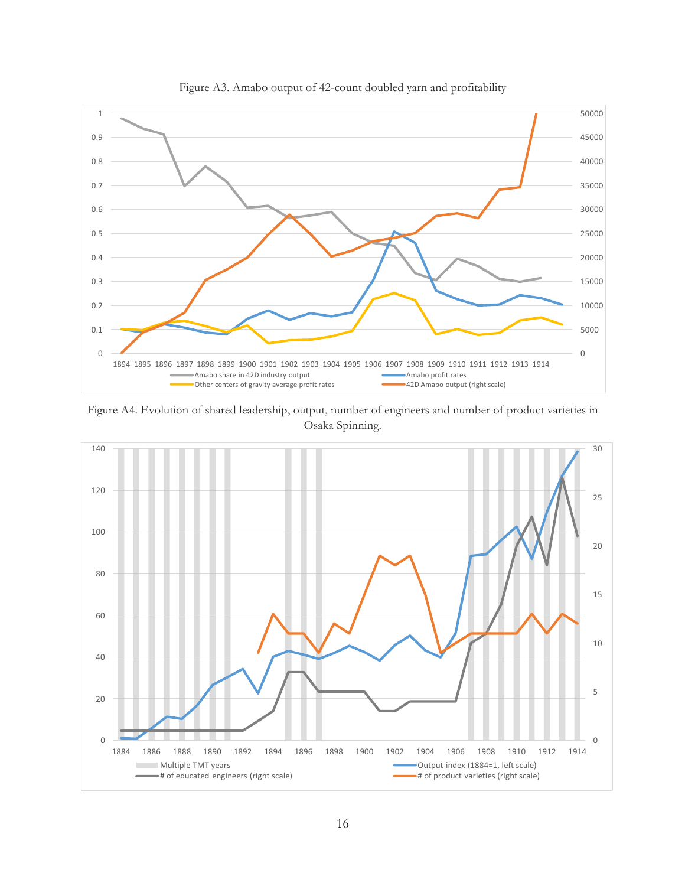

Figure A3. Amabo output of 42-count doubled yarn and profitability

Figure A4. Evolution of shared leadership, output, number of engineers and number of product varieties in Osaka Spinning.

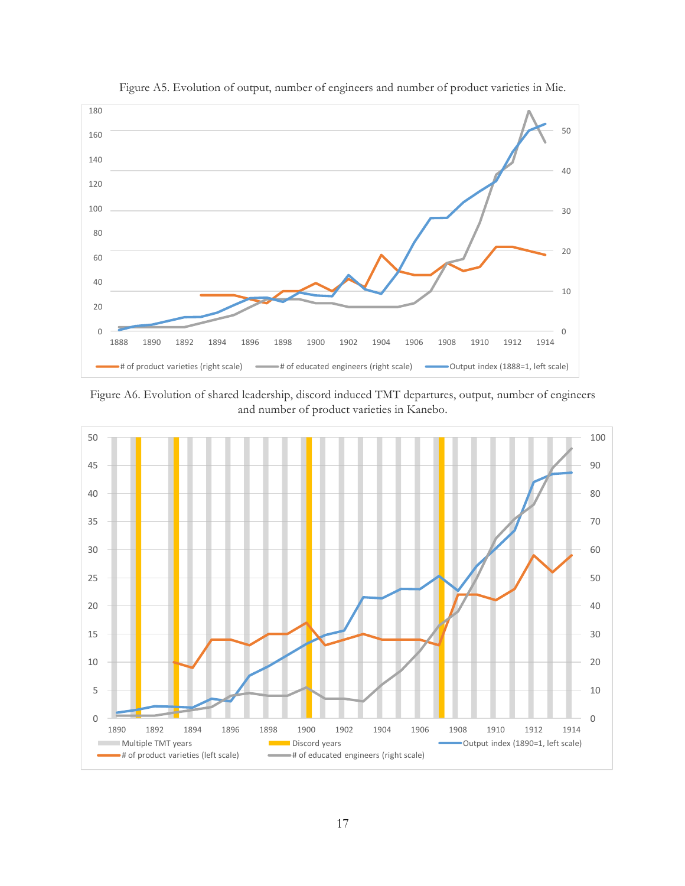

Figure A5. Evolution of output, number of engineers and number of product varieties in Mie.

Figure A6. Evolution of shared leadership, discord induced TMT departures, output, number of engineers and number of product varieties in Kanebo.

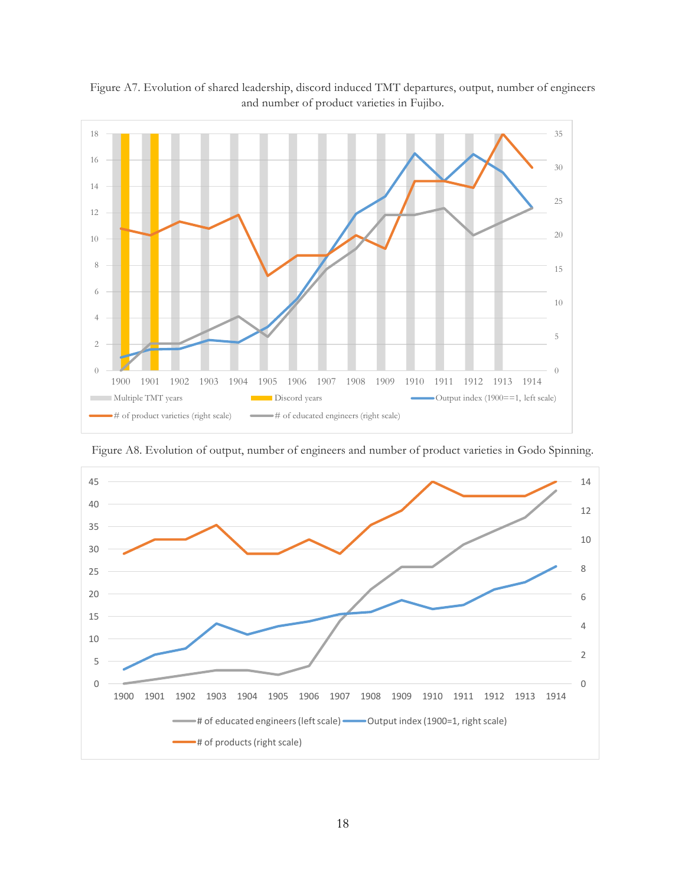

Figure A7. Evolution of shared leadership, discord induced TMT departures, output, number of engineers and number of product varieties in Fujibo.

 1901 1902 1903 1904 1905 1906 1907 1908 1909 1910 1911 1912 1913 1914 # of educated engineers (left scale) **-** Output index (1900=1, right scale) # of products (right scale)

Figure A8. Evolution of output, number of engineers and number of product varieties in Godo Spinning.